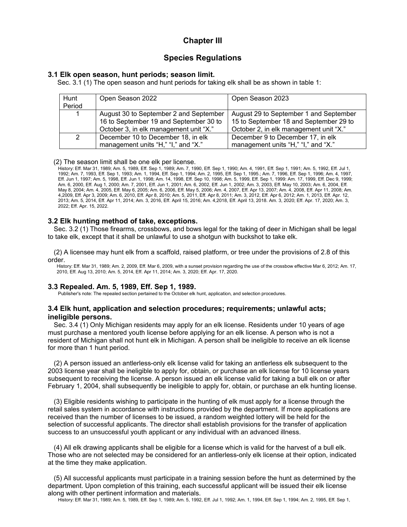# **Chapter III**

# **Species Regulations**

# **3.1 Elk open season, hunt periods; season limit.**

Sec. 3.1 (1) The open season and hunt periods for taking elk shall be as shown in table 1:

| Hunt<br>Period | Open Season 2022                                                                                                           | Open Season 2023                                                                                                           |
|----------------|----------------------------------------------------------------------------------------------------------------------------|----------------------------------------------------------------------------------------------------------------------------|
| 1              | August 30 to September 2 and September<br>16 to September 19 and September 30 to<br>October 3, in elk management unit "X." | August 29 to September 1 and September<br>15 to September 18 and September 29 to<br>October 2, in elk management unit "X." |
| 2              | December 10 to December 18, in elk<br>management units "H," "I," and "X."                                                  | December 9 to December 17, in elk<br>management units "H," "I," and "X."                                                   |

(2) The season limit shall be one elk per license.

History: Eff. Mar 31, 1989; Am. 5, 1989, Eff. Sep 1, 1989; Am. 7, 1990, Eff. Sep 1, 1990; Am. 4, 1991, Eff. Sep 1, 1991; Am. 5, 1992, Eff. Jul 1, 1992; Am. 7, 1993, Eff. Sep 1, 1993; Am. 1, 1994, Eff. Sep 1, 1994; Am. 2, 1995, Eff. Sep 1, 1995.; Am. 7, 1996, Eff. Sep 1, 1996; Am. 4, 1997, Eff. Jun 1, 1997; Am. 5, 1998, Eff. Jun 1, 1998; Am. 14, 1998, Eff. Sep 10, 1998; Am. 5, 1999, Eff. Sep 1, 1999: Am. 17, 1999, Eff. Dec 9, 1999; Am. 6, 2000, Eff. Aug 1, 2000; Am. 7, 2001, Eff. Jun 1, 2001; Am. 6, 2002, Eff. Jun 1, 2002; Am. 3, 2003, Eff. May 10, 2003; Am. 6, 2004, Eff. May 8, 2004; Am. 4, 2005, Eff. May 6, 2005; Am. 6, 2006, Eff. May 5, 2006; Am. 4, 2007, Eff. Apr 13, 2007; Am. 4, 2008, Eff. Apr 11, 2008; Am. 4,2009, Eff. Apr 3, 2009; Am. 6, 2010, Eff. Apr 8, 2010; Am. 5, 2011, Eff. Apr 8, 2011; Am. 3, 2012, Eff. Apr 6, 2012; Am. 1, 2013, Eff. Apr. 12, 2013; Am. 5, 2014, Eff. Apr 11, 2014; Am. 3, 2016, Eff. April 15, 2016; Am. 4,2018, Eff. April 13, 2018. Am. 3, 2020; Eff. Apr. 17, 2020; Am. 3, 2022; Eff. Apr. 15, 2022.

# **3.2 Elk hunting method of take, exceptions.**

Sec. 3.2 (1) Those firearms, crossbows, and bows legal for the taking of deer in Michigan shall be legal to take elk, except that it shall be unlawful to use a shotgun with buckshot to take elk.

(2) A licensee may hunt elk from a scaffold, raised platform, or tree under the provisions of 2.8 of this order.

History: Eff. Mar 31, 1989; Am. 2, 2009, Eff. Mar 6, 2009, with a sunset provision regarding the use of the crossbow effective Mar 6, 2012; Am. 17, 2010, Eff. Aug 13, 2010; Am. 5, 2014, Eff. Apr 11, 2014; Am. 3, 2020; Eff. Apr. 17, 2020.

# **3.3 Repealed. Am. 5, 1989, Eff. Sep 1, 1989.**

Publisher's note: The repealed section pertained to the October elk hunt, application, and selection procedures.

# **3.4 Elk hunt, application and selection procedures; requirements; unlawful acts; ineligible persons.**

Sec. 3.4 (1) Only Michigan residents may apply for an elk license. Residents under 10 years of age must purchase a mentored youth license before applying for an elk license. A person who is not a resident of Michigan shall not hunt elk in Michigan. A person shall be ineligible to receive an elk license for more than 1 hunt period.

(2) A person issued an antlerless-only elk license valid for taking an antlerless elk subsequent to the 2003 license year shall be ineligible to apply for, obtain, or purchase an elk license for 10 license years subsequent to receiving the license. A person issued an elk license valid for taking a bull elk on or after February 1, 2004, shall subsequently be ineligible to apply for, obtain, or purchase an elk hunting license.

(3) Eligible residents wishing to participate in the hunting of elk must apply for a license through the retail sales system in accordance with instructions provided by the department. If more applications are received than the number of licenses to be issued, a random weighted lottery will be held for the selection of successful applicants. The director shall establish provisions for the transfer of application success to an unsuccessful youth applicant or any individual with an advanced illness.

(4) All elk drawing applicants shall be eligible for a license which is valid for the harvest of a bull elk. Those who are not selected may be considered for an antlerless-only elk license at their option, indicated at the time they make application.

(5) All successful applicants must participate in a training session before the hunt as determined by the department. Upon completion of this training, each successful applicant will be issued their elk license along with other pertinent information and materials.

History: Eff. Mar 31, 1989; Am. 5, 1989, Eff. Sep 1, 1989; Am. 5, 1992, Eff. Jul 1, 1992; Am. 1, 1994, Eff. Sep 1, 1994; Am. 2, 1995, Eff. Sep 1,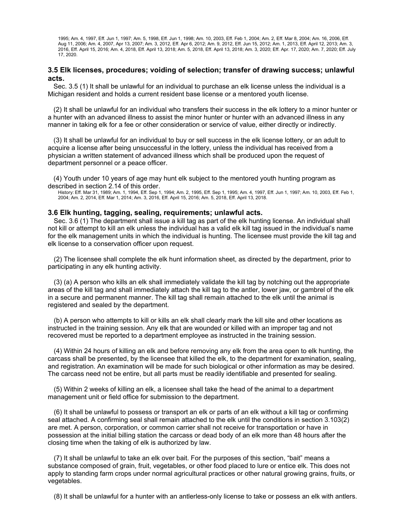1995; Am. 4, 1997, Eff. Jun 1, 1997; Am. 5, 1998, Eff. Jun 1, 1998; Am. 10, 2003, Eff. Feb 1, 2004; Am. 2, Eff. Mar 8, 2004; Am. 16, 2006, Eff. Aug 11, 2006; Am. 4, 2007, Apr 13, 2007; Am. 3, 2012, Eff. Apr 6, 2012; Am. 9, 2012, Eff. Jun 15, 2012; Am. 1, 2013, Eff. April 12, 2013; Am. 3, 2016, Eff. April 15, 2016; Am. 4, 2018, Eff. April 13, 2018; Am. 5, 2018, Eff. April 13, 2018; Am. 3, 2020; Eff. Apr. 17, 2020; Am. 7, 2020; Eff. July 17, 2020.

# **3.5 Elk licenses, procedures; voiding of selection; transfer of drawing success; unlawful acts.**

Sec. 3.5 (1) It shall be unlawful for an individual to purchase an elk license unless the individual is a Michigan resident and holds a current resident base license or a mentored youth license.

(2) It shall be unlawful for an individual who transfers their success in the elk lottery to a minor hunter or a hunter with an advanced illness to assist the minor hunter or hunter with an advanced illness in any manner in taking elk for a fee or other consideration or service of value, either directly or indirectly.

(3) It shall be unlawful for an individual to buy or sell success in the elk license lottery, or an adult to acquire a license after being unsuccessful in the lottery, unless the individual has received from a physician a written statement of advanced illness which shall be produced upon the request of department personnel or a peace officer.

(4) Youth under 10 years of age may hunt elk subject to the mentored youth hunting program as described in section 2.14 of this order.

History: Eff. Mar 31, 1989; Am. 1, 1994, Eff. Sep 1, 1994; Am. 2, 1995, Eff. Sep 1, 1995; Am. 4, 1997, Eff. Jun 1, 1997; Am. 10, 2003, Eff. Feb 1, 2004; Am. 2, 2014, Eff. Mar 1, 2014; Am. 3, 2016, Eff. April 15, 2016; Am. 5, 2018, Eff. April 13, 2018.

### **3.6 Elk hunting, tagging, sealing, requirements; unlawful acts.**

Sec. 3.6 (1) The department shall issue a kill tag as part of the elk hunting license. An individual shall not kill or attempt to kill an elk unless the individual has a valid elk kill tag issued in the individual's name for the elk management units in which the individual is hunting. The licensee must provide the kill tag and elk license to a conservation officer upon request.

(2) The licensee shall complete the elk hunt information sheet, as directed by the department, prior to participating in any elk hunting activity.

(3) (a) A person who kills an elk shall immediately validate the kill tag by notching out the appropriate areas of the kill tag and shall immediately attach the kill tag to the antler, lower jaw, or gambrel of the elk in a secure and permanent manner. The kill tag shall remain attached to the elk until the animal is registered and sealed by the department.

(b) A person who attempts to kill or kills an elk shall clearly mark the kill site and other locations as instructed in the training session. Any elk that are wounded or killed with an improper tag and not recovered must be reported to a department employee as instructed in the training session.

(4) Within 24 hours of killing an elk and before removing any elk from the area open to elk hunting, the carcass shall be presented, by the licensee that killed the elk, to the department for examination, sealing, and registration. An examination will be made for such biological or other information as may be desired. The carcass need not be entire, but all parts must be readily identifiable and presented for sealing.

(5) Within 2 weeks of killing an elk, a licensee shall take the head of the animal to a department management unit or field office for submission to the department.

(6) It shall be unlawful to possess or transport an elk or parts of an elk without a kill tag or confirming seal attached. A confirming seal shall remain attached to the elk until the conditions in section 3.103(2) are met. A person, corporation, or common carrier shall not receive for transportation or have in possession at the initial billing station the carcass or dead body of an elk more than 48 hours after the closing time when the taking of elk is authorized by law.

(7) It shall be unlawful to take an elk over bait. For the purposes of this section, "bait" means a substance composed of grain, fruit, vegetables, or other food placed to lure or entice elk. This does not apply to standing farm crops under normal agricultural practices or other natural growing grains, fruits, or vegetables.

(8) It shall be unlawful for a hunter with an antlerless-only license to take or possess an elk with antlers.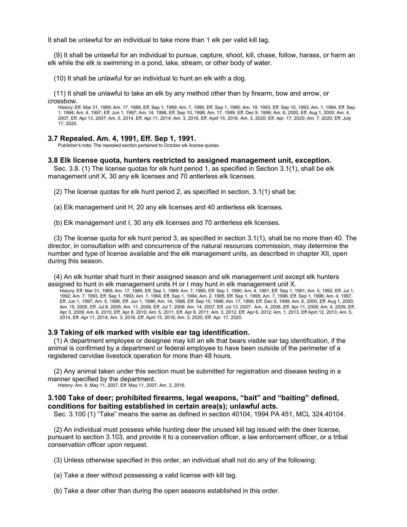It shall be unlawful for an individual to take more than 1 elk per valid kill tag.

(9) It shall be unlawful for an individual to pursue, capture, shoot, kill, chase, follow, harass, or harm an elk while the elk is swimming in a pond, lake, stream, or other body of water.

(10) It shall be unlawful for an individual to hunt an elk with a dog.

(11) It shall be unlawful to take an elk by any method other than by firearm, bow and arrow, or crossbow.

History: Eff. Mar 31, 1989; Am. 17, 1989, Eff. Sep 1, 1989; Am. 7, 1990, Eff. Sep 1, 1990; Am. 19, 1993, Eff. Sep 10, 1993; Am. 1, 1994, Eff. Sep 1, 1994; Am. 4, 1997, Eff. Jun 1, 1997; Am. 14, 1998, Eff. Sep 10, 1998; Am. 17, 1999, Eff. Dec 9, 1999; Am. 6, 2000, Eff. Aug 1, 2000; Am. 4, 2007, Eff. Apr 13, 2007; Am. 5, 2014, Eff. Apr.11, 2014; Am. 3, 2016, Eff. April 15, 2016. Am. 3, 2020; Eff. Apr. 17, 2020; Am. 7, 2020; Eff. July 17, 2020.

## **3.7 Repealed. Am. 4, 1991, Eff. Sep 1, 1991.**

Publisher's note: The repealed section pertained to October elk license quotas.

### **3.8 Elk license quota, hunters restricted to assigned management unit, exception.**

Sec. 3.8. (1) The license quotas for elk hunt period 1, as specified in Section 3.1(1), shall be elk management unit X, 30 any elk licenses and 70 antlerless elk licenses.

(2) The license quotas for elk hunt period 2, as specified in section, 3.1(1) shall be:

(a) Elk management unit H, 20 any elk licenses and 40 antlerless elk licenses.

(b) Elk management unit I, 30 any elk licenses and 70 antlerless elk licenses.

(3) The license quota for elk hunt period 3, as specified in section 3.1(1), shall be no more than 40. The director, in consultation with and concurrence of the natural resources commission, may determine the number and type of license available and the elk management units, as described in chapter XII, open during this season.

(4) An elk hunter shall hunt in their assigned season and elk management unit except elk hunters assigned to hunt in elk management units H or I may hunt in elk management unit X.

History: Eff. Mar 31, 1989; Am. 17, 1989, Eff. Sep 1, 1989; Am. 7, 1990, Eff. Sep 1, 1990; Am. 4, 1991, Eff. Sep 1, 1991; Am. 5, 1992, Eff. Jul 1, 1992; Am. 7, 1993, Eff. Sep 1, 1993; Am. 1, 1994, Eff. Sep 1, 1994; Am. 2, 1995, Eff. Sep 1, 1995; Am. 7, 1996, Eff. Sep 1, 1996; Am. 4, 1997, Eff. Jun 1, 1997; Am. 5, 1998, Eff. Jun 1, 1998; Am. 14, 1998, Eff. Sep 10, 1998; Am. 17, 1999, Eff. Dec 9, 1999; Am. 6, 2000, Eff. Aug 1, 2000; Am. 15, 2005, Eff. Jul 8, 2005; Am. 11, 2006, Eff. Jul 7, 2006; Am. 14, 2007, Eff. Jul 13, 2007; Am.. 4, 2008, Eff. Apr 11, 2008; Am. 4, 2009, Eff. Apr 3, 2009; Am. 6, 2010, Eff. Apr 8, 2010; Am. 5, 2011, Eff. Apr 8, 2011; Am. 3, 2012, Eff. Apr 6, 2012; Am. 1, 2013, Eff April 12, 2013; Am. 5, 2014, Eff. Apr 11, 2014; Am. 3, 2016, Eff. April 15, 2016; Am. 3, 2020; Eff. Apr. 17, 2020.

#### **3.9 Taking of elk marked with visible ear tag identification.**

(1) A department employee or designee may kill an elk that bears visible ear tag identification, if the animal is confirmed by a department or federal employee to have been outside of the perimeter of a registered cervidae livestock operation for more than 48 hours.

(2) Any animal taken under this section must be submitted for registration and disease testing in a manner specified by the department.

History: Am. 9, May 11, 2007, Eff. May 11, 2007; Am. 3, 2016.

### **3.100 Take of deer; prohibited firearms, legal weapons, "bait" and "baiting" defined, conditions for baiting established in certain area(s); unlawful acts.**

Sec. 3.100 (1) "Take" means the same as defined in section 40104, 1994 PA 451, MCL 324.40104.

(2) An individual must possess while hunting deer the unused kill tag issued with the deer license, pursuant to section 3.103, and provide it to a conservation officer, a law enforcement officer, or a tribal conservation officer upon request.

(3) Unless otherwise specified in this order, an individual shall not do any of the following:

(a) Take a deer without possessing a valid license with kill tag.

(b) Take a deer other than during the open seasons established in this order.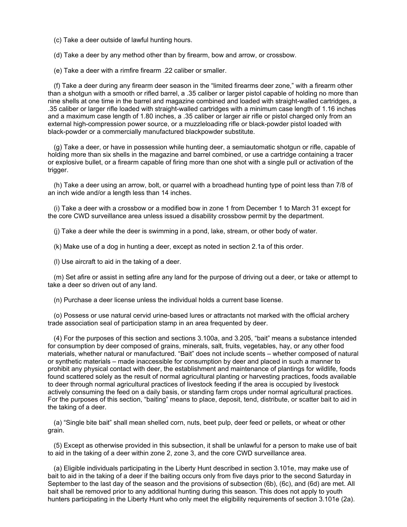(c) Take a deer outside of lawful hunting hours.

(d) Take a deer by any method other than by firearm, bow and arrow, or crossbow.

(e) Take a deer with a rimfire firearm .22 caliber or smaller.

(f) Take a deer during any firearm deer season in the "limited firearms deer zone," with a firearm other than a shotgun with a smooth or rifled barrel, a .35 caliber or larger pistol capable of holding no more than nine shells at one time in the barrel and magazine combined and loaded with straight-walled cartridges, a .35 caliber or larger rifle loaded with straight-walled cartridges with a minimum case length of 1.16 inches and a maximum case length of 1.80 inches, a .35 caliber or larger air rifle or pistol charged only from an external high-compression power source, or a muzzleloading rifle or black-powder pistol loaded with black-powder or a commercially manufactured blackpowder substitute.

(g) Take a deer, or have in possession while hunting deer, a semiautomatic shotgun or rifle, capable of holding more than six shells in the magazine and barrel combined, or use a cartridge containing a tracer or explosive bullet, or a firearm capable of firing more than one shot with a single pull or activation of the trigger.

(h) Take a deer using an arrow, bolt, or quarrel with a broadhead hunting type of point less than 7/8 of an inch wide and/or a length less than 14 inches.

(i) Take a deer with a crossbow or a modified bow in zone 1 from December 1 to March 31 except for the core CWD surveillance area unless issued a disability crossbow permit by the department.

(j) Take a deer while the deer is swimming in a pond, lake, stream, or other body of water.

(k) Make use of a dog in hunting a deer, except as noted in section 2.1a of this order.

(l) Use aircraft to aid in the taking of a deer.

(m) Set afire or assist in setting afire any land for the purpose of driving out a deer, or take or attempt to take a deer so driven out of any land.

(n) Purchase a deer license unless the individual holds a current base license.

(o) Possess or use natural cervid urine-based lures or attractants not marked with the official archery trade association seal of participation stamp in an area frequented by deer.

(4) For the purposes of this section and sections 3.100a, and 3.205, "bait" means a substance intended for consumption by deer composed of grains, minerals, salt, fruits, vegetables, hay, or any other food materials, whether natural or manufactured. "Bait" does not include scents – whether composed of natural or synthetic materials – made inaccessible for consumption by deer and placed in such a manner to prohibit any physical contact with deer, the establishment and maintenance of plantings for wildlife, foods found scattered solely as the result of normal agricultural planting or harvesting practices, foods available to deer through normal agricultural practices of livestock feeding if the area is occupied by livestock actively consuming the feed on a daily basis, or standing farm crops under normal agricultural practices. For the purposes of this section, "baiting" means to place, deposit, tend, distribute, or scatter bait to aid in the taking of a deer.

(a) "Single bite bait" shall mean shelled corn, nuts, beet pulp, deer feed or pellets, or wheat or other grain.

(5) Except as otherwise provided in this subsection, it shall be unlawful for a person to make use of bait to aid in the taking of a deer within zone 2, zone 3, and the core CWD surveillance area.

(a) Eligible individuals participating in the Liberty Hunt described in section 3.101e, may make use of bait to aid in the taking of a deer if the baiting occurs only from five days prior to the second Saturday in September to the last day of the season and the provisions of subsection (6b), (6c), and (6d) are met. All bait shall be removed prior to any additional hunting during this season. This does not apply to youth hunters participating in the Liberty Hunt who only meet the eligibility requirements of section 3.101e (2a).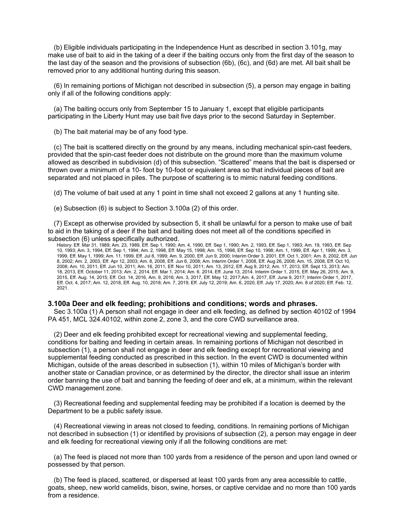(b) Eligible individuals participating in the Independence Hunt as described in section 3.101g, may make use of bait to aid in the taking of a deer if the baiting occurs only from the first day of the season to the last day of the season and the provisions of subsection (6b), (6c), and (6d) are met. All bait shall be removed prior to any additional hunting during this season.

(6) In remaining portions of Michigan not described in subsection (5), a person may engage in baiting only if all of the following conditions apply:

(a) The baiting occurs only from September 15 to January 1, except that eligible participants participating in the Liberty Hunt may use bait five days prior to the second Saturday in September.

(b) The bait material may be of any food type.

(c) The bait is scattered directly on the ground by any means, including mechanical spin-cast feeders, provided that the spin-cast feeder does not distribute on the ground more than the maximum volume allowed as described in subdivision (d) of this subsection. "Scattered" means that the bait is dispersed or thrown over a minimum of a 10- foot by 10-foot or equivalent area so that individual pieces of bait are separated and not placed in piles. The purpose of scattering is to mimic natural feeding conditions.

(d) The volume of bait used at any 1 point in time shall not exceed 2 gallons at any 1 hunting site.

(e) Subsection (6) is subject to Section 3.100a (2) of this order.

(7) Except as otherwise provided by subsection 5, it shall be unlawful for a person to make use of bait to aid in the taking of a deer if the bait and baiting does not meet all of the conditions specified in subsection (6) unless specifically authorized.

History: Eff. Mar 31, 1989; Am. 23, 1989, Eff. Sep 1, 1990; Am. 4, 1990, Eff. Sep 1, 1990; Am. 2, 1993, Eff. Sep 1, 1993; Am. 19, 1993, Eff. Sep 10, 1993; Am. 3, 1994, Eff. Sep 1, 1994; Am. 2, 1998, Eff. May 15, 1998; Am. 15, 1998, Eff. Sep 10, 1998; Am. 1, 1999, Eff. Apr 1, 1999; Am. 3, 1999, Eff. May 1, 1999; Am. 11, 1999, Eff. Jul 8, 1999; Am. 9, 2000, Eff. Jun 9, 2000; Interim Order 3, 2001, Eff. Oct 1, 2001; Am. 8, 2002, Eff. Jun 8, 2002; Am. 2, 2003, Eff. Apr 12, 2003; Am. 8, 2008, Eff. Jun 6, 2008; Am. Interim Order 1, 2008, Eff. Aug 26, 2008; Am. 15, 2008, Eff. Oct 10, 2008; Am. 10, 2011, Eff. Jun 10, 2011; Am. 16, 2011, Eff. Nov 10, 2011; Am. 13, 2012, Eff. Aug 9, 2012; Am. 17, 2013, Eff. Sept 13, 2013; Am. 18, 2013, Eff. October 11, 2013; Am. 2, 2014, Eff. Mar 1, 2014; Am. 6. 2014, Eff. June 13, 2014. Interim Order 1, 2015, Eff. May 26, 2015; Am. 9, 2015, Eff. Aug. 14, 2015; Eff. Oct. 14, 2016, Am. 9, 2016; Am. 3, 2017, Eff. May 12, 2017;Am. 4, 2017, Eff. June 9, 2017; Interim Order 1, 2017, Eff. Oct. 4, 2017; Am. 12, 2018, Eff. Aug. 10, 2018; Am. 7, 2019, Eff. July 12, 2019; Am. 6, 2020, Eff. July 17, 2020; Am. 8 of 2020; Eff. Feb. 12, 2021.

### **3.100a Deer and elk feeding; prohibitions and conditions; words and phrases.**

Sec 3.100a (1) A person shall not engage in deer and elk feeding, as defined by section 40102 of 1994 PA 451, MCL 324.40102, within zone 2, zone 3, and the core CWD surveillance area.

(2) Deer and elk feeding prohibited except for recreational viewing and supplemental feeding, conditions for baiting and feeding in certain areas. In remaining portions of Michigan not described in subsection (1), a person shall not engage in deer and elk feeding except for recreational viewing and supplemental feeding conducted as prescribed in this section. In the event CWD is documented within Michigan, outside of the areas described in subsection (1), within 10 miles of Michigan's border with another state or Canadian province, or as determined by the director, the director shall issue an interim order banning the use of bait and banning the feeding of deer and elk, at a minimum, within the relevant CWD management zone.

(3) Recreational feeding and supplemental feeding may be prohibited if a location is deemed by the Department to be a public safety issue.

(4) Recreational viewing in areas not closed to feeding, conditions. In remaining portions of Michigan not described in subsection (1) or identified by provisions of subsection (2), a person may engage in deer and elk feeding for recreational viewing only if all the following conditions are met:

(a) The feed is placed not more than 100 yards from a residence of the person and upon land owned or possessed by that person.

(b) The feed is placed, scattered, or dispersed at least 100 yards from any area accessible to cattle, goats, sheep, new world camelids, bison, swine, horses, or captive cervidae and no more than 100 yards from a residence.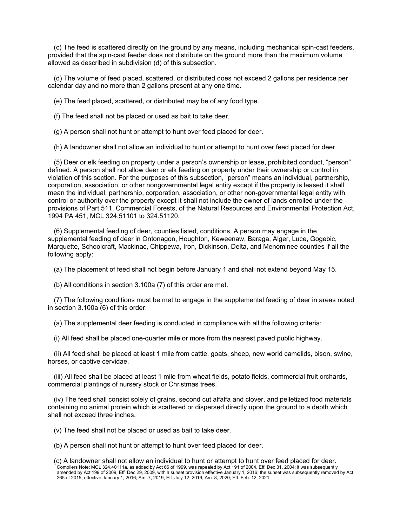(c) The feed is scattered directly on the ground by any means, including mechanical spin-cast feeders, provided that the spin-cast feeder does not distribute on the ground more than the maximum volume allowed as described in subdivision (d) of this subsection.

(d) The volume of feed placed, scattered, or distributed does not exceed 2 gallons per residence per calendar day and no more than 2 gallons present at any one time.

(e) The feed placed, scattered, or distributed may be of any food type.

(f) The feed shall not be placed or used as bait to take deer.

(g) A person shall not hunt or attempt to hunt over feed placed for deer.

(h) A landowner shall not allow an individual to hunt or attempt to hunt over feed placed for deer.

(5) Deer or elk feeding on property under a person's ownership or lease, prohibited conduct, "person" defined. A person shall not allow deer or elk feeding on property under their ownership or control in violation of this section. For the purposes of this subsection, "person" means an individual, partnership, corporation, association, or other nongovernmental legal entity except if the property is leased it shall mean the individual, partnership, corporation, association, or other non-governmental legal entity with control or authority over the property except it shall not include the owner of lands enrolled under the provisions of Part 511, Commercial Forests, of the Natural Resources and Environmental Protection Act, 1994 PA 451, MCL 324.51101 to 324.51120.

(6) Supplemental feeding of deer, counties listed, conditions. A person may engage in the supplemental feeding of deer in Ontonagon, Houghton, Keweenaw, Baraga, Alger, Luce, Gogebic, Marquette, Schoolcraft, Mackinac, Chippewa, Iron, Dickinson, Delta, and Menominee counties if all the following apply:

(a) The placement of feed shall not begin before January 1 and shall not extend beyond May 15.

(b) All conditions in section 3.100a (7) of this order are met.

(7) The following conditions must be met to engage in the supplemental feeding of deer in areas noted in section 3.100a (6) of this order:

(a) The supplemental deer feeding is conducted in compliance with all the following criteria:

(i) All feed shall be placed one-quarter mile or more from the nearest paved public highway.

(ii) All feed shall be placed at least 1 mile from cattle, goats, sheep, new world camelids, bison, swine, horses, or captive cervidae.

(iii) All feed shall be placed at least 1 mile from wheat fields, potato fields, commercial fruit orchards, commercial plantings of nursery stock or Christmas trees.

(iv) The feed shall consist solely of grains, second cut alfalfa and clover, and pelletized food materials containing no animal protein which is scattered or dispersed directly upon the ground to a depth which shall not exceed three inches.

(v) The feed shall not be placed or used as bait to take deer.

(b) A person shall not hunt or attempt to hunt over feed placed for deer.

<sup>(</sup>c) A landowner shall not allow an individual to hunt or attempt to hunt over feed placed for deer. Compilers Note: MCL 324.40111a, as added by Act 66 of 1999, was repealed by Act 191 of 2004, Eff. Dec 31, 2004; it was subsequently amended by Act 199 of 2009, Eff. Dec 29, 2009, with a sunset provision effective January 1, 2016; the sunset was subsequently removed by Act 265 of 2015, effective January 1, 2016; Am. 7, 2019, Eff. July 12, 2019; Am. 8, 2020; Eff. Feb. 12, 2021.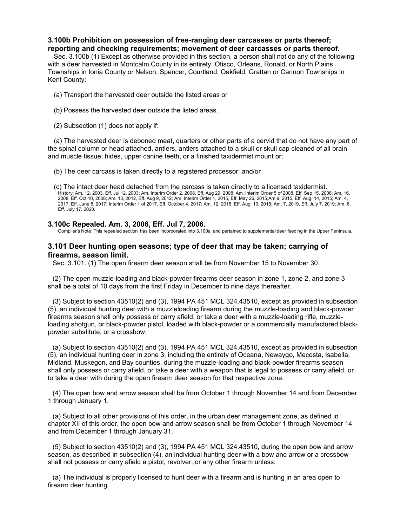# **3.100b Prohibition on possession of free-ranging deer carcasses or parts thereof; reporting and checking requirements; movement of deer carcasses or parts thereof.**

Sec. 3.100b (1) Except as otherwise provided in this section, a person shall not do any of the following with a deer harvested in Montcalm County in its entirety, Otisco, Orleans, Ronald, or North Plains Townships in Ionia County or Nelson, Spencer, Courtland, Oakfield, Grattan or Cannon Townships in Kent County:

- (a) Transport the harvested deer outside the listed areas or
- (b) Possess the harvested deer outside the listed areas.
- (2) Subsection (1) does not apply if:

(a) The harvested deer is deboned meat, quarters or other parts of a cervid that do not have any part of the spinal column or head attached, antlers, antlers attached to a skull or skull cap cleaned of all brain and muscle tissue, hides, upper canine teeth, or a finished taxidermist mount or;

(b) The deer carcass is taken directly to a registered processor; and/or

(c) The intact deer head detached from the carcass is taken directly to a licensed taxidermist. History: Am. 12, 2003, Eff. Jul 12, 2003; Am. Interim Order 2, 2008, Eff. Aug 29, 2008; Am. Interim Order 5 of 2008, Eff. Sep 15, 2008; Am. 16, 2008, Eff. Oct 10, 2008; Am. 13, 2012, Eff. Aug 9, 2012; Am. Interim Order 1, 2015, Eff. May 26, 2015;Am.9, 2015, Eff. Aug. 14, 2015; Am. 4, 2017, Eff. June 8, 2017; Interim Order 1 of 2017, Eff. October 4, 2017; Am. 12, 2018, Eff. Aug. 10, 2018; Am. 7, 2019, Eff. July 7, 2019; Am. 6, Eff. July 17, 2020.

# **3.100c Repealed. Am. 3, 2006, Eff. Jul 7, 2006.**

Compiler's Note: This repealed section has been incorporated into 3.100a and pertained to supplemental deer feeding in the Upper Peninsula.

# **3.101 Deer hunting open seasons; type of deer that may be taken; carrying of firearms, season limit.**

Sec. 3.101. (1) The open firearm deer season shall be from November 15 to November 30.

(2) The open muzzle-loading and black-powder firearms deer season in zone 1, zone 2, and zone 3 shall be a total of 10 days from the first Friday in December to nine days thereafter.

(3) Subject to section 43510(2) and (3), 1994 PA 451 MCL 324.43510, except as provided in subsection (5), an individual hunting deer with a muzzleloading firearm during the muzzle-loading and black-powder firearms season shall only possess or carry afield, or take a deer with a muzzle-loading rifle, muzzleloading shotgun, or black-powder pistol, loaded with black-powder or a commercially manufactured blackpowder substitute, or a crossbow.

(a) Subject to section 43510(2) and (3), 1994 PA 451 MCL 324.43510, except as provided in subsection (5), an individual hunting deer in zone 3, including the entirety of Oceana, Newaygo, Mecosta, Isabella, Midland, Muskegon, and Bay counties, during the muzzle-loading and black-powder firearms season shall only possess or carry afield, or take a deer with a weapon that is legal to possess or carry afield, or to take a deer with during the open firearm deer season for that respective zone.

(4) The open bow and arrow season shall be from October 1 through November 14 and from December 1 through January 1.

(a) Subject to all other provisions of this order, in the urban deer management zone, as defined in chapter XII of this order, the open bow and arrow season shall be from October 1 through November 14 and from December 1 through January 31.

(5) Subject to section 43510(2) and (3), 1994 PA 451 MCL 324.43510, during the open bow and arrow season, as described in subsection (4), an individual hunting deer with a bow and arrow or a crossbow shall not possess or carry afield a pistol, revolver, or any other firearm unless:

(a) The individual is properly licensed to hunt deer with a firearm and is hunting in an area open to firearm deer hunting.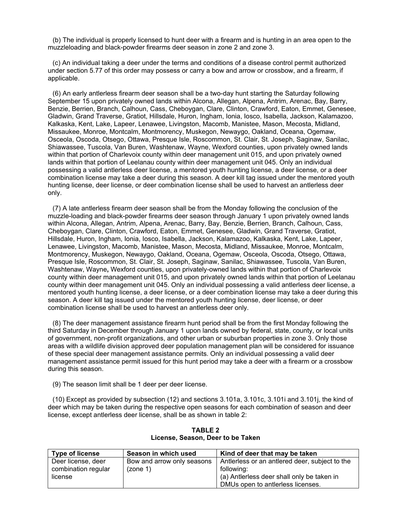(b) The individual is properly licensed to hunt deer with a firearm and is hunting in an area open to the muzzleloading and black-powder firearms deer season in zone 2 and zone 3.

(c) An individual taking a deer under the terms and conditions of a disease control permit authorized under section 5.77 of this order may possess or carry a bow and arrow or crossbow, and a firearm, if applicable.

(6) An early antlerless firearm deer season shall be a two-day hunt starting the Saturday following September 15 upon privately owned lands within Alcona, Allegan, Alpena, Antrim, Arenac, Bay, Barry, Benzie, Berrien, Branch, Calhoun, Cass, Cheboygan, Clare, Clinton, Crawford, Eaton, Emmet, Genesee, Gladwin, Grand Traverse, Gratiot, Hillsdale, Huron, Ingham, Ionia, Iosco, Isabella, Jackson, Kalamazoo, Kalkaska, Kent, Lake, Lapeer, Lenawee, Livingston, Macomb, Manistee, Mason, Mecosta, Midland, Missaukee, Monroe, Montcalm, Montmorency, Muskegon, Newaygo, Oakland, Oceana, Ogemaw, Osceola, Oscoda, Otsego, Ottawa, Presque Isle, Roscommon, St. Clair, St. Joseph, Saginaw, Sanilac, Shiawassee, Tuscola, Van Buren, Washtenaw, Wayne, Wexford counties, upon privately owned lands within that portion of Charlevoix county within deer management unit 015, and upon privately owned lands within that portion of Leelanau county within deer management unit 045. Only an individual possessing a valid antlerless deer license, a mentored youth hunting license, a deer license, or a deer combination license may take a deer during this season. A deer kill tag issued under the mentored youth hunting license, deer license, or deer combination license shall be used to harvest an antlerless deer only.

(7) A late antlerless firearm deer season shall be from the Monday following the conclusion of the muzzle-loading and black-powder firearms deer season through January 1 upon privately owned lands within Alcona, Allegan, Antrim, Alpena, Arenac, Barry, Bay, Benzie, Berrien, Branch, Calhoun, Cass, Cheboygan, Clare, Clinton, Crawford, Eaton, Emmet, Genesee, Gladwin, Grand Traverse, Gratiot, Hillsdale, Huron, Ingham, Ionia, Iosco, Isabella, Jackson, Kalamazoo, Kalkaska, Kent, Lake, Lapeer, Lenawee, Livingston, Macomb, Manistee, Mason, Mecosta, Midland, Missaukee, Monroe, Montcalm, Montmorency, Muskegon, Newaygo, Oakland, Oceana, Ogemaw, Osceola, Oscoda, Otsego, Ottawa, Presque Isle, Roscommon, St. Clair, St. Joseph, Saginaw, Sanilac, Shiawassee, Tuscola, Van Buren, Washtenaw, Wayne**,** Wexford counties, upon privately-owned lands within that portion of Charlevoix county within deer management unit 015, and upon privately owned lands within that portion of Leelanau county within deer management unit 045. Only an individual possessing a valid antlerless deer license, a mentored youth hunting license, a deer license, or a deer combination license may take a deer during this season. A deer kill tag issued under the mentored youth hunting license, deer license, or deer combination license shall be used to harvest an antlerless deer only.

(8) The deer management assistance firearm hunt period shall be from the first Monday following the third Saturday in December through January 1 upon lands owned by federal, state, county, or local units of government, non-profit organizations, and other urban or suburban properties in zone 3. Only those areas with a wildlife division approved deer population management plan will be considered for issuance of these special deer management assistance permits. Only an individual possessing a valid deer management assistance permit issued for this hunt period may take a deer with a firearm or a crossbow during this season.

(9) The season limit shall be 1 deer per deer license.

(10) Except as provided by subsection (12) and sections 3.101a, 3.101c, 3.101i and 3.101j, the kind of deer which may be taken during the respective open seasons for each combination of season and deer license, except antlerless deer license, shall be as shown in table 2:

| <b>Type of license</b> | Season in which used       | Kind of deer that may be taken                 |
|------------------------|----------------------------|------------------------------------------------|
| Deer license, deer     | Bow and arrow only seasons | Antierless or an antiered deer, subject to the |
| combination regular    | (zone 1)                   | following:                                     |
| license                |                            | (a) Antlerless deer shall only be taken in     |
|                        |                            | DMUs open to antierless licenses.              |

**TABLE 2 License, Season, Deer to be Taken**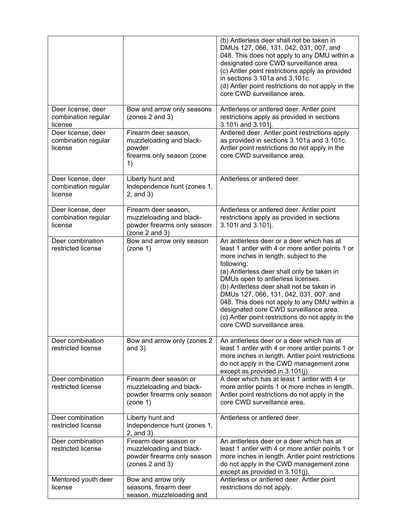|                                                      |                                                                                                      | (b) Antlerless deer shall not be taken in<br>DMUs 127, 066, 131, 042, 031, 007, and<br>048. This does not apply to any DMU within a<br>designated core CWD surveillance area.<br>(c) Antler point restrictions apply as provided<br>in sections 3.101a and 3.101c.<br>(d) Antler point restrictions do not apply in the<br>core CWD surveillance area.                                                                                                                                                       |
|------------------------------------------------------|------------------------------------------------------------------------------------------------------|--------------------------------------------------------------------------------------------------------------------------------------------------------------------------------------------------------------------------------------------------------------------------------------------------------------------------------------------------------------------------------------------------------------------------------------------------------------------------------------------------------------|
| Deer license, deer<br>combination regular<br>license | Bow and arrow only seasons<br>(zones 2 and 3)                                                        | Antlerless or antlered deer. Antler point<br>restrictions apply as provided in sections<br>3.101i and 3.101j.                                                                                                                                                                                                                                                                                                                                                                                                |
| Deer license, deer<br>combination regular<br>license | Firearm deer season,<br>muzzleloading and black-<br>powder<br>firearms only season (zone<br>1)       | Antlered deer. Antler point restrictions apply<br>as provided in sections 3.101a and 3.101c.<br>Antler point restrictions do not apply in the<br>core CWD surveillance area.                                                                                                                                                                                                                                                                                                                                 |
| Deer license, deer<br>combination regular<br>license | Liberty hunt and<br>Independence hunt (zones 1,<br>$2$ , and $3)$                                    | Antlerless or antlered deer.                                                                                                                                                                                                                                                                                                                                                                                                                                                                                 |
| Deer license, deer<br>combination regular<br>license | Firearm deer season,<br>muzzleloading and black-<br>powder firearms only season<br>(zone 2 and 3)    | Antlerless or antlered deer. Antler point<br>restrictions apply as provided in sections<br>3.101i and 3.101j.                                                                                                                                                                                                                                                                                                                                                                                                |
| Deer combination<br>restricted license               | Bow and arrow only season<br>(zone 1)                                                                | An antlerless deer or a deer which has at<br>least 1 antler with 4 or more antler points 1 or<br>more inches in length, subject to the<br>following:<br>(a) Antlerless deer shall only be taken in<br>DMUs open to antierless licenses.<br>(b) Antlerless deer shall not be taken in<br>DMUs 127, 066, 131, 042, 031, 007, and<br>048. This does not apply to any DMU within a<br>designated core CWD surveillance area.<br>(c) Antler point restrictions do not apply in the<br>core CWD surveillance area. |
| Deer combination<br>restricted license               | Bow and arrow only (zones 2<br>and $3)$                                                              | An antierless deer or a deer which has at<br>least 1 antler with 4 or more antler points 1 or<br>more inches in length. Antler point restrictions<br>do not apply in the CWD management zone<br>except as provided in 3.101(j).                                                                                                                                                                                                                                                                              |
| Deer combination<br>restricted license               | Firearm deer season or<br>muzzleloading and black-<br>powder firearms only season<br>(zone 1)        | A deer which has at least 1 antler with 4 or<br>more antler points 1 or more inches in length.<br>Antler point restrictions do not apply in the<br>core CWD surveillance area.                                                                                                                                                                                                                                                                                                                               |
| Deer combination<br>restricted license               | Liberty hunt and<br>Independence hunt (zones 1,<br>$2$ , and $3)$                                    | Antlerless or antlered deer.                                                                                                                                                                                                                                                                                                                                                                                                                                                                                 |
| Deer combination<br>restricted license               | Firearm deer season or<br>muzzleloading and black-<br>powder firearms only season<br>(zones 2 and 3) | An antierless deer or a deer which has at<br>least 1 antler with 4 or more antler points 1 or<br>more inches in length. Antler point restrictions<br>do not apply in the CWD management zone<br>except as provided in 3.101(j).                                                                                                                                                                                                                                                                              |
| Mentored youth deer<br>license                       | Bow and arrow only<br>seasons, firearm deer<br>season, muzzleloading and                             | Antlerless or antlered deer. Antler point<br>restrictions do not apply.                                                                                                                                                                                                                                                                                                                                                                                                                                      |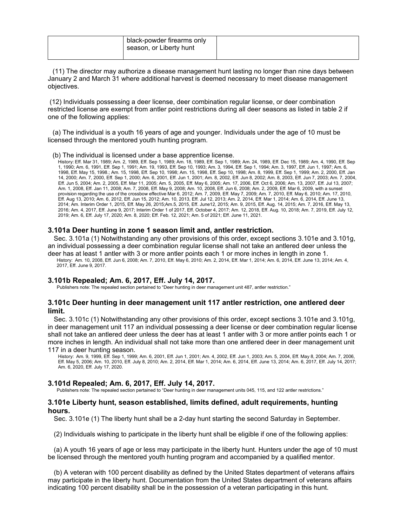| black-powder firearms only<br>season, or Liberty hunt |  |
|-------------------------------------------------------|--|
|                                                       |  |

(11) The director may authorize a disease management hunt lasting no longer than nine days between January 2 and March 31 where additional harvest is deemed necessary to meet disease management objectives.

(12) Individuals possessing a deer license, deer combination regular license, or deer combination restricted license are exempt from antler point restrictions during all deer seasons as listed in table 2 if one of the following applies:

(a) The individual is a youth 16 years of age and younger. Individuals under the age of 10 must be licensed through the mentored youth hunting program.

(b) The individual is licensed under a base apprentice license.

History: Eff. Mar 31, 1989; Am. 2, 1989, Eff. Sep 1, 1989; Am. 18, 1989, Eff. Sep 1, 1989; Am. 24, 1989, Eff. Dec 15, 1989; Am. 4, 1990, Eff. Sep 1, 1990; Am. 6, 1991, Eff. Sep 1, 1991; Am. 19, 1993, Eff. Sep 10, 1993; Am. 3, 1994, Eff. Sep 1, 1994; Am. 3, 1997, Eff. Jun 1, 1997; Am. 6, 1998, Eff. May 15, 1998.; Am. 15, 1998, Eff. Sep 10, 1998; Am. 15, 1998, Eff. Sep 10, 1998; Am. 8, 1999, Eff. Sep 1, 1999; Am. 2, 2000, Eff. Jan 14, 2000; Am. 7, 2000, Eff. Sep 1, 2000; Am. 6, 2001, Eff. Jun 1, 2001; Am. 8, 2002, Eff. Jun 8, 2002; Am. 8, 2003, Eff. Jun 7, 2003; Am. 7, 2004, Eff. Jun 5, 2004; Am. 2, 2005, Eff. Mar 11, 2005; Am. 5, 2005, Eff. May 6, 2005; Am. 17, 2006, Eff. Oct 6, 2006; Am. 13, 2007, Eff. Jul 13, 2007; Am. 1, 2008, Eff. Jan 11, 2008; Am. 7, 2008, Eff. May 9, 2008; Am. 10, 2008, Eff. Jun 6, 2008; Am. 2, 2009, Eff. Mar 6, 2009, with a sunset provision regarding the use of the crossbow effective Mar 6, 2012; Am. 7, 2009, Eff. May 7, 2009; Am. 7, 2010, Eff. May 6, 2010; Am. 17, 2010, Eff. Aug 13, 2010; Am. 6, 2012, Eff. Jun 15, 2012; Am. 10, 2013, Eff. Jul 12, 2013; Am. 2, 2014, Eff. Mar 1, 2014; Am. 6, 2014, Eff. June 13, 2014; Am. Interim Order 1, 2015, Eff. May 26, 2015;Am.5, 2015, Eff. June12, 2015; Am. 9, 2015, Eff. Aug. 14, 2015; Am. 7, 2016, Eff. May 13, 2016; Am. 4, 2017, Eff. June 9, 2017; Interim Order 1 of 2017, Eff. October 4, 2017; Am. 12, 2018, Eff. Aug. 10, 2018; Am. 7, 2019, Eff. July 12, 2019; Am. 6, Eff. July 17, 2020; Am. 8, 2020; Eff. Feb. 12, 2021; Am. 5 of 2021; Eff. June 11, 2021.

### **3.101a Deer hunting in zone 1 season limit and, antler restriction.**

Sec. 3.101a (1) Notwithstanding any other provisions of this order, except sections 3.101e and 3.101g, an individual possessing a deer combination regular license shall not take an antlered deer unless the

deer has at least 1 antler with 3 or more antler points each 1 or more inches in length in zone 1. History: Am. 10, 2008, Eff. Jun 6, 2008; Am. 7, 2010, Eff. May 6, 2010; Am. 2, 2014, Eff. Mar 1, 2014; Am. 6, 2014, Eff. June 13, 2014; Am. 4, 2017, Eff. June 9, 2017.

# **3.101b Repealed; Am. 6, 2017, Eff. July 14, 2017.**

Publishers note: The repealed section pertained to "Deer hunting in deer management unit 487, antler restriction."

### **3.101c Deer hunting in deer management unit 117 antler restriction, one antlered deer limit.**

Sec. 3.101c (1) Notwithstanding any other provisions of this order, except sections 3.101e and 3.101g, in deer management unit 117 an individual possessing a deer license or deer combination regular license shall not take an antlered deer unless the deer has at least 1 antler with 3 or more antler points each 1 or more inches in length. An individual shall not take more than one antlered deer in deer management unit 117 in a deer hunting season.

History: Am. 9, 1999, Eff. Sep 1, 1999; Am. 6, 2001, Eff. Jun 1, 2001; Am. 4, 2002, Eff. Jun 1, 2003; Am. 5, 2004, Eff. May 8, 2004; Am. 7, 2006, Eff. May 5, 2006; Am. 10, 2010, Eff. July 8, 2010; Am. 2, 2014, Eff. Mar 1, 2014; Am. 6, 2014, Eff. June 13, 2014; Am. 6, 2017, Eff. July 14, 2017; Am. 6, 2020, Eff. July 17, 2020.

### **3.101d Repealed; Am. 6, 2017, Eff. July 14, 2017.**

Publishers note: The repealed section pertained to "Deer hunting in deer management units 045, 115, and 122 antler restrictions."

### **3.101e Liberty hunt, season established, limits defined, adult requirements, hunting hours.**

Sec. 3.101e (1) The liberty hunt shall be a 2-day hunt starting the second Saturday in September.

(2) Individuals wishing to participate in the liberty hunt shall be eligible if one of the following applies:

(a) A youth 16 years of age or less may participate in the liberty hunt. Hunters under the age of 10 must be licensed through the mentored youth hunting program and accompanied by a qualified mentor.

(b) A veteran with 100 percent disability as defined by the United States department of veterans affairs may participate in the liberty hunt. Documentation from the United States department of veterans affairs indicating 100 percent disability shall be in the possession of a veteran participating in this hunt.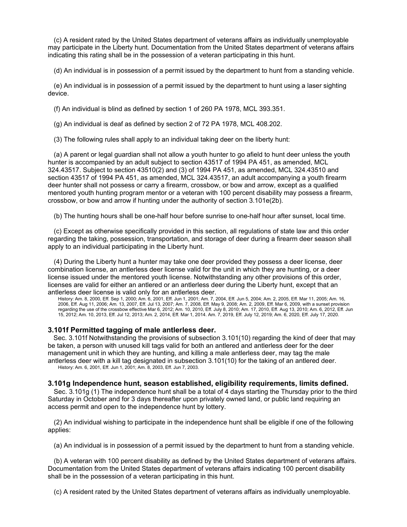(c) A resident rated by the United States department of veterans affairs as individually unemployable may participate in the Liberty hunt. Documentation from the United States department of veterans affairs indicating this rating shall be in the possession of a veteran participating in this hunt.

(d) An individual is in possession of a permit issued by the department to hunt from a standing vehicle.

(e) An individual is in possession of a permit issued by the department to hunt using a laser sighting device.

(f) An individual is blind as defined by section 1 of 260 PA 1978, MCL 393.351.

(g) An individual is deaf as defined by section 2 of 72 PA 1978, MCL 408.202.

(3) The following rules shall apply to an individual taking deer on the liberty hunt:

(a) A parent or legal guardian shall not allow a youth hunter to go afield to hunt deer unless the youth hunter is accompanied by an adult subject to section 43517 of 1994 PA 451, as amended, MCL 324.43517. Subject to section 43510(2) and (3) of 1994 PA 451, as amended, MCL 324.43510 and section 43517 of 1994 PA 451, as amended, MCL 324.43517, an adult accompanying a youth firearm deer hunter shall not possess or carry a firearm, crossbow, or bow and arrow, except as a qualified mentored youth hunting program mentor or a veteran with 100 percent disability may possess a firearm, crossbow, or bow and arrow if hunting under the authority of section 3.101e(2b).

(b) The hunting hours shall be one-half hour before sunrise to one-half hour after sunset, local time.

(c) Except as otherwise specifically provided in this section, all regulations of state law and this order regarding the taking, possession, transportation, and storage of deer during a firearm deer season shall apply to an individual participating in the Liberty hunt.

(4) During the Liberty hunt a hunter may take one deer provided they possess a deer license, deer combination license, an antlerless deer license valid for the unit in which they are hunting, or a deer license issued under the mentored youth license. Notwithstanding any other provisions of this order, licenses are valid for either an antlered or an antlerless deer during the Liberty hunt, except that an antlerless deer license is valid only for an antlerless deer.

History: Am. 8, 2000, Eff. Sep 1, 2000; Am. 6, 2001, Eff. Jun 1, 2001; Am. 7, 2004, Eff. Jun 5, 2004; Am. 2, 2005, Eff. Mar 11, 2005; Am. 16, 2006, Eff. Aug 11, 2006; Am. 13, 2007, Eff. Jul 13, 2007; Am. 7, 2008, Eff. May 9, 2008; Am. 2, 2009, Eff. Mar 6, 2009, with a sunset provision regarding the use of the crossbow effective Mar 6, 2012; Am. 10, 2010, Eff. July 8, 2010; Am. 17, 2010, Eff. Aug 13, 2010; Am. 6, 2012, Eff. Jun 15, 2012; Am. 10, 2013, Eff. Jul 12, 2013; Am. 2, 2014, Eff. Mar 1, 2014. Am. 7, 2019, Eff. July 12, 2019; Am. 6, 2020, Eff. July 17, 2020.

# **3.101f Permitted tagging of male antlerless deer.**

Sec. 3.101f Notwithstanding the provisions of subsection 3.101(10) regarding the kind of deer that may be taken, a person with unused kill tags valid for both an antlered and antlerless deer for the deer management unit in which they are hunting, and killing a male antlerless deer, may tag the male antlerless deer with a kill tag designated in subsection 3.101(10) for the taking of an antlered deer. History: Am. 6, 2001, Eff. Jun 1, 2001; Am. 8, 2003, Eff. Jun 7, 2003.

# **3.101g Independence hunt, season established, eligibility requirements, limits defined.**

Sec. 3.101g (1) The independence hunt shall be a total of 4 days starting the Thursday prior to the third Saturday in October and for 3 days thereafter upon privately owned land, or public land requiring an access permit and open to the independence hunt by lottery.

(2) An individual wishing to participate in the independence hunt shall be eligible if one of the following applies:

(a) An individual is in possession of a permit issued by the department to hunt from a standing vehicle.

(b) A veteran with 100 percent disability as defined by the United States department of veterans affairs. Documentation from the United States department of veterans affairs indicating 100 percent disability shall be in the possession of a veteran participating in this hunt.

(c) A resident rated by the United States department of veterans affairs as individually unemployable.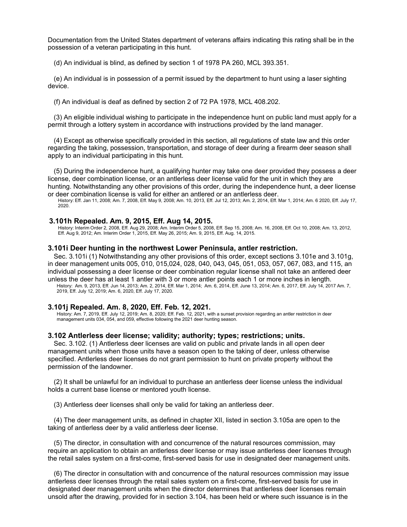Documentation from the United States department of veterans affairs indicating this rating shall be in the possession of a veteran participating in this hunt.

(d) An individual is blind, as defined by section 1 of 1978 PA 260, MCL 393.351.

(e) An individual is in possession of a permit issued by the department to hunt using a laser sighting device.

(f) An individual is deaf as defined by section 2 of 72 PA 1978, MCL 408.202.

(3) An eligible individual wishing to participate in the independence hunt on public land must apply for a permit through a lottery system in accordance with instructions provided by the land manager.

(4) Except as otherwise specifically provided in this section, all regulations of state law and this order regarding the taking, possession, transportation, and storage of deer during a firearm deer season shall apply to an individual participating in this hunt.

(5) During the independence hunt, a qualifying hunter may take one deer provided they possess a deer license, deer combination license, or an antlerless deer license valid for the unit in which they are hunting. Notwithstanding any other provisions of this order, during the independence hunt, a deer license or deer combination license is valid for either an antlered or an antlerless deer.

History: Eff. Jan 11, 2008; Am. 7, 2008, Eff. May 9, 2008; Am. 10, 2013, Eff. Jul 12, 2013; Am. 2, 2014, Eff. Mar 1, 2014; Am. 6 2020, Eff. July 17, 2020.

### **3.101h Repealed. Am. 9, 2015, Eff. Aug 14, 2015.**

History: Interim Order 2, 2008, Eff. Aug 29, 2008; Am. Interim Order 5, 2008, Eff. Sep 15, 2008; Am. 16, 2008, Eff. Oct 10, 2008; Am. 13, 2012, Eff. Aug 9, 2012; Am. Interim Order 1, 2015, Eff. May 26, 2015; Am. 9, 2015, Eff. Aug. 14, 2015.

### **3.101i Deer hunting in the northwest Lower Peninsula, antler restriction.**

Sec. 3.101i (1) Notwithstanding any other provisions of this order, except sections 3.101e and 3.101g, in deer management units 005, 010, 015,024, 028, 040, 043, 045, 051, 053, 057, 067, 083, and 115, an individual possessing a deer license or deer combination regular license shall not take an antlered deer unless the deer has at least 1 antler with 3 or more antler points each 1 or more inches in length. History: Am. 9, 2013, Eff. Jun 14, 2013; Am. 2, 2014, Eff. Mar 1, 2014; Am. 6, 2014, Eff. June 13, 2014; Am. 6, 2017, Eff. July 14, 2017 Am. 7, 2019, Eff. July 12, 2019; Am. 6, 2020, Eff. July 17, 2020.

### **3.101j Repealed. Am. 8, 2020, Eff. Feb. 12, 2021.**

History: Am. 7, 2019, Eff. July 12, 2019; Am. 8, 2020; Eff. Feb. 12, 2021, with a sunset provision regarding an antler restriction in deer management units 034, 054, and 059, effective following the 2021 deer hunting season.

### **3.102 Antlerless deer license; validity; authority; types; restrictions; units.**

Sec. 3.102. (1) Antlerless deer licenses are valid on public and private lands in all open deer management units when those units have a season open to the taking of deer, unless otherwise specified. Antlerless deer licenses do not grant permission to hunt on private property without the permission of the landowner.

(2) It shall be unlawful for an individual to purchase an antlerless deer license unless the individual holds a current base license or mentored youth license.

(3) Antlerless deer licenses shall only be valid for taking an antlerless deer.

(4) The deer management units, as defined in chapter XII, listed in section 3.105a are open to the taking of antlerless deer by a valid antlerless deer license.

(5) The director, in consultation with and concurrence of the natural resources commission, may require an application to obtain an antlerless deer license or may issue antlerless deer licenses through the retail sales system on a first-come, first-served basis for use in designated deer management units.

(6) The director in consultation with and concurrence of the natural resources commission may issue antlerless deer licenses through the retail sales system on a first-come, first-served basis for use in designated deer management units when the director determines that antlerless deer licenses remain unsold after the drawing, provided for in section 3.104, has been held or where such issuance is in the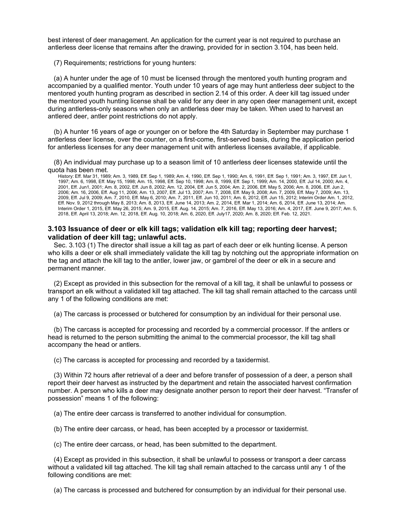best interest of deer management. An application for the current year is not required to purchase an antlerless deer license that remains after the drawing, provided for in section 3.104, has been held.

(7) Requirements; restrictions for young hunters:

(a) A hunter under the age of 10 must be licensed through the mentored youth hunting program and accompanied by a qualified mentor. Youth under 10 years of age may hunt antlerless deer subject to the mentored youth hunting program as described in section 2.14 of this order. A deer kill tag issued under the mentored youth hunting license shall be valid for any deer in any open deer management unit, except during antlerless-only seasons when only an antlerless deer may be taken. When used to harvest an antlered deer, antler point restrictions do not apply.

(b) A hunter 16 years of age or younger on or before the 4th Saturday in September may purchase 1 antlerless deer license, over the counter, on a first-come, first-served basis, during the application period for antlerless licenses for any deer management unit with antlerless licenses available, if applicable.

(8) An individual may purchase up to a season limit of 10 antlerless deer licenses statewide until the quota has been met.

History: Eff. Mar 31, 1989; Am. 3, 1989, Eff. Sep 1, 1989; Am. 4, 1990, Eff. Sep 1, 1990; Am. 6, 1991, Eff. Sep 1, 1991; Am. 3, 1997, Eff. Jun 1, 1997; Am. 6, 1998, Eff. May 15, 1998; Am. 15, 1998, Eff. Sep 10, 1998; Am. 8, 1999, Eff. Sep 1, 1999; Am. 14, 2000, Eff. Jul 14, 2000; Am. 4, 2001, Eff. Jun1, 2001; Am. 8, 2002, Eff. Jun 8, 2002; Am. 12, 2004, Eff. Jun 5, 2004; Am. 2, 2006, Eff. May 5, 2006; Am. 8, 2006, Eff. Jun 2, 2006; Am. 16, 2006, Eff. Aug 11, 2006; Am. 13, 2007, Eff. Jul 13, 2007; Am. 7, 2008, Eff. May 9, 2008; Am. 7, 2009, Eff. May 7, 2009; Am. 13, 2009, Eff. Jul 9, 2009; Am. 7, 2010, Eff. May 6, 2010; Am. 7, 2011, Eff. Jun 10, 2011; Am. 6, 2012, Eff. Jun 15, 2012; Interim Order Am. 1, 2012, Eff. Nov. 9, 2012 through May 8, 2013; Am. 8, 2013, Eff. June 14, 2013; Am. 2, 2014, Eff. Mar 1, 2014; Am. 6, 2014, Eff. June 13, 2014; Am. Interim Order 1, 2015, Eff. May 26, 2015; Am. 9, 2015, Eff. Aug. 14, 2015; Am. 7, 2016, Eff. May 13, 2016; Am. 4, 2017, Eff. June 9, 2017; Am. 5, 2018, Eff. April 13, 2018; Am. 12, 2018, Eff. Aug. 10, 2018; Am. 6, 2020, Eff. July17, 2020; Am. 8, 2020; Eff. Feb. 12, 2021.

## **3.103 Issuance of deer or elk kill tags; validation elk kill tag; reporting deer harvest; validation of deer kill tag; unlawful acts.**

Sec. 3.103 (1) The director shall issue a kill tag as part of each deer or elk hunting license. A person who kills a deer or elk shall immediately validate the kill tag by notching out the appropriate information on the tag and attach the kill tag to the antler, lower jaw, or gambrel of the deer or elk in a secure and permanent manner.

(2) Except as provided in this subsection for the removal of a kill tag, it shall be unlawful to possess or transport an elk without a validated kill tag attached. The kill tag shall remain attached to the carcass until any 1 of the following conditions are met:

(a) The carcass is processed or butchered for consumption by an individual for their personal use.

(b) The carcass is accepted for processing and recorded by a commercial processor. If the antlers or head is returned to the person submitting the animal to the commercial processor, the kill tag shall accompany the head or antlers.

(c) The carcass is accepted for processing and recorded by a taxidermist.

(3) Within 72 hours after retrieval of a deer and before transfer of possession of a deer, a person shall report their deer harvest as instructed by the department and retain the associated harvest confirmation number. A person who kills a deer may designate another person to report their deer harvest. "Transfer of possession" means 1 of the following:

(a) The entire deer carcass is transferred to another individual for consumption.

(b) The entire deer carcass, or head, has been accepted by a processor or taxidermist.

(c) The entire deer carcass, or head, has been submitted to the department.

(4) Except as provided in this subsection, it shall be unlawful to possess or transport a deer carcass without a validated kill tag attached. The kill tag shall remain attached to the carcass until any 1 of the following conditions are met:

(a) The carcass is processed and butchered for consumption by an individual for their personal use.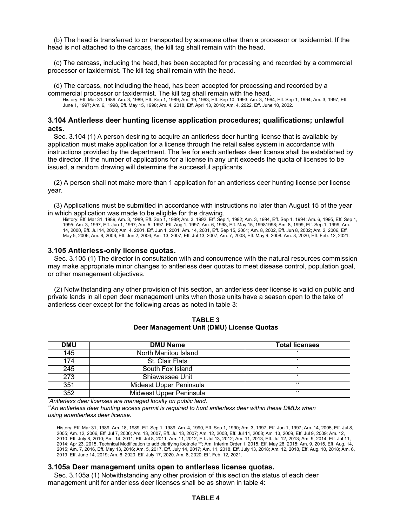(b) The head is transferred to or transported by someone other than a processor or taxidermist. If the head is not attached to the carcass, the kill tag shall remain with the head.

(c) The carcass, including the head, has been accepted for processing and recorded by a commercial processor or taxidermist. The kill tag shall remain with the head.

(d) The carcass, not including the head, has been accepted for processing and recorded by a commercial processor or taxidermist. The kill tag shall remain with the head. History: Eff. Mar 31, 1989; Am. 3, 1989, Eff. Sep 1, 1989; Am. 19, 1993, Eff. Sep 10, 1993; Am. 3, 1994, Eff. Sep 1, 1994; Am. 3, 1997, Eff. June 1, 1997; Am. 6, 1998, Eff. May 15, 1998; Am. 4, 2018, Eff. April 13, 2018; Am. 4, 2022, Eff. June 10, 2022.

# **3.104 Antlerless deer hunting license application procedures; qualifications; unlawful acts.**

Sec. 3.104 (1) A person desiring to acquire an antlerless deer hunting license that is available by application must make application for a license through the retail sales system in accordance with instructions provided by the department. The fee for each antlerless deer license shall be established by the director. If the number of applications for a license in any unit exceeds the quota of licenses to be issued, a random drawing will determine the successful applicants.

(2) A person shall not make more than 1 application for an antlerless deer hunting license per license year.

(3) Applications must be submitted in accordance with instructions no later than August 15 of the year in which application was made to be eligible for the drawing.

History: Eff. Mar 31, 1989; Am. 3, 1989, Eff. Sep 1, 1989; Am. 3, 1992, Eff. Sep 1, 1992; Am. 3, 1994, Eff. Sep 1, 1994; Am. 6, 1995, Eff. Sep 1, 1995; Am. 3, 1997, Eff. Jun 1, 1997; Am. 5, 1997, Eff. Aug 1, 1997; Am. 6, 1998, Eff. May 15, 19981998; Am. 8, 1999, Eff. Sep 1, 1999; Am. 14, 2000, Eff. Jul 14, 2000; Am. 4, 2001, Eff. Jun 1, 2001; Am. 14, 2001, Eff. Sep 15, 2001; Am. 8, 2002, Eff. Jun 8, 2002; Am. 2, 2006, Eff. May 5, 2006; Am. 8, 2006, Eff. Jun 2, 2006; Am. 13, 2007, Eff. Jul 13, 2007; Am. 7, 2008, Eff. May 9, 2008. Am. 8, 2020; Eff. Feb. 12, 2021.

### **3.105 Antlerless-only license quotas.**

Sec. 3.105 (1) The director in consultation with and concurrence with the natural resources commission may make appropriate minor changes to antlerless deer quotas to meet disease control, population goal, or other management objectives.

(2) Notwithstanding any other provision of this section, an antlerless deer license is valid on public and private lands in all open deer management units when those units have a season open to the take of antlerless deer except for the following areas as noted in table 3:

| <b>DMU</b> | <b>DMU Name</b>                  | <b>Total licenses</b> |
|------------|----------------------------------|-----------------------|
| 145        | North Manitou Island             |                       |
| 174        | St. Clair Flats                  |                       |
| 245        | South Fox Island                 |                       |
| 273        | Shiawassee Unit                  |                       |
| 351        | Mideast Upper Peninsula<br>$***$ |                       |
| 352        | Midwest Upper Peninsula          | $***$                 |

**TABLE 3 Deer Management Unit (DMU) License Quotas**

*\* Antlerless deer licenses are managed locally on public land.*

*\*\*An antlerless deer hunting access permit is required to hunt antlerless deer within these DMUs when using anantlerless deer license.*

History: Eff. Mar 31, 1989, Am. 18, 1989, Eff. Sep 1, 1989; Am. 4, 1990, Eff. Sep 1, 1990; Am. 3, 1997, Eff. Jun 1, 1997; Am. 14, 2005, Eff. Jul 8, 2005; Am. 12, 2006, Eff. Jul 7, 2006; Am. 13, 2007, Eff. Jul 13, 2007; Am. 12, 2008, Eff. Jul 11, 2008; Am. 13, 2009, Eff. Jul 9, 2009; Am. 12, 2010, Eff. July 8, 2010; Am. 14, 2011, Eff. Jul 8, 2011; Am. 11, 2012, Eff. Jul 13, 2012; Am. 11, 2013, Eff. Jul 12, 2013; Am. 9, 2014, Eff. Jul 11, 2014; Apr 23, 2015, Technical Modification to add clarifying footnote \*\*; Am. Interim Order 1, 2015, Eff. May 26, 2015; Am. 9, 2015, Eff. Aug. 14, 2015; Am. 7, 2016, Eff. May 13, 2016; Am. 5, 2017, Eff. July 14, 2017; Am. 11, 2018, Eff. July 13, 2018; Am. 12, 2018, Eff. Aug. 10, 2018; Am. 6, 2019, Eff. June 14, 2019; Am. 6, 2020, Eff. July 17, 2020. Am. 8, 2020; Eff. Feb. 12, 2021.

# **3.105a Deer management units open to antlerless license quotas.**

Sec. 3.105a (1) Notwithstanding any other provision of this section the status of each deer management unit for antlerless deer licenses shall be as shown in table 4: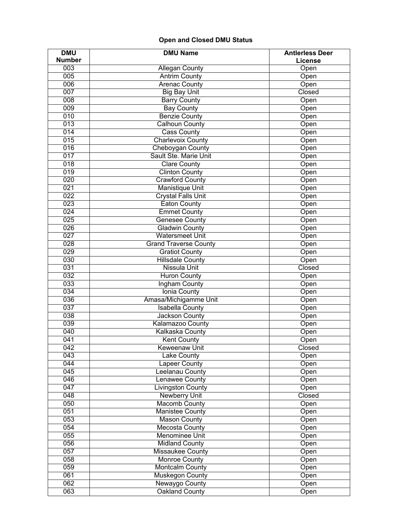# **Open and Closed DMU Status**

| <b>DMU</b>       | <b>DMU Name</b>                | <b>Antierless Deer</b> |  |  |
|------------------|--------------------------------|------------------------|--|--|
| <b>Number</b>    | License                        |                        |  |  |
| $\overline{003}$ | <b>Allegan County</b>          | Open                   |  |  |
| 005              | <b>Antrim County</b><br>Open   |                        |  |  |
| 006              | <b>Arenac County</b><br>Open   |                        |  |  |
| 007              | <b>Big Bay Unit</b>            | Closed                 |  |  |
| 008              | <b>Barry County</b>            | Open                   |  |  |
| 009              | <b>Bay County</b>              | Open                   |  |  |
| $\overline{010}$ | <b>Benzie County</b>           | Open                   |  |  |
| 013              | <b>Calhoun County</b>          | Open                   |  |  |
| 014              | <b>Cass County</b>             | Open                   |  |  |
| 015              | <b>Charlevoix County</b>       | Open                   |  |  |
| 016              | Cheboygan County               | Open                   |  |  |
| 017              | Sault Ste. Marie Unit          | Open                   |  |  |
| $\overline{018}$ | <b>Clare County</b>            | Open                   |  |  |
| 019              | <b>Clinton County</b>          | Open                   |  |  |
| 020              | <b>Crawford County</b>         | Open                   |  |  |
| 021              | <b>Manistique Unit</b>         | Open                   |  |  |
| 022              | <b>Crystal Falls Unit</b>      | Open                   |  |  |
| 023              | <b>Eaton County</b>            | Open                   |  |  |
| 024              | <b>Emmet County</b>            | Open                   |  |  |
| 025              |                                |                        |  |  |
| 026              | <b>Genesee County</b>          | Open                   |  |  |
|                  | <b>Gladwin County</b>          | Open                   |  |  |
| 027              | <b>Watersmeet Unit</b>         | Open                   |  |  |
| 028              | <b>Grand Traverse County</b>   | Open                   |  |  |
| 029              | <b>Gratiot County</b>          | Open                   |  |  |
| 030              | <b>Hillsdale County</b>        | Open                   |  |  |
| 031              | Nissula Unit                   | Closed                 |  |  |
| 032              | <b>Huron County</b>            | Open                   |  |  |
| 033              | <b>Ingham County</b>           | Open                   |  |  |
| 034              | <b>Ionia County</b>            | Open                   |  |  |
| 036              | Amasa/Michigamme Unit<br>Open  |                        |  |  |
| 037              | <b>Isabella County</b><br>Open |                        |  |  |
| 038              | <b>Jackson County</b>          | Open                   |  |  |
| 039              | Kalamazoo County               | Open                   |  |  |
| 040              | <b>Kalkaska County</b><br>Open |                        |  |  |
| 041              | <b>Kent County</b><br>Open     |                        |  |  |
| 042              | <b>Keweenaw Unit</b>           | Closed                 |  |  |
| $\overline{043}$ | Lake County                    | Open                   |  |  |
| 044              | <b>Lapeer County</b>           | Open                   |  |  |
| 045              | Leelanau County                | Open                   |  |  |
| 046              | <b>Lenawee County</b>          | Open                   |  |  |
| 047              | <b>Livingston County</b>       | Open                   |  |  |
| 048              | <b>Newberry Unit</b>           | Closed                 |  |  |
| 050              | <b>Macomb County</b>           | Open                   |  |  |
| 051              | <b>Manistee County</b>         | Open                   |  |  |
| 053              | <b>Mason County</b>            | Open                   |  |  |
| 054              | Mecosta County                 | Open                   |  |  |
| 055              | <b>Menominee Unit</b><br>Open  |                        |  |  |
| 056              | <b>Midland County</b><br>Open  |                        |  |  |
| 057              | Missaukee County<br>Open       |                        |  |  |
| 058              | <b>Monroe County</b><br>Open   |                        |  |  |
| 059              | <b>Montcalm County</b>         | Open                   |  |  |
| 061              | <b>Muskegon County</b>         | Open                   |  |  |
| 062              | Newaygo County                 | Open                   |  |  |
| 063              | <b>Oakland County</b>          | Open                   |  |  |
|                  |                                |                        |  |  |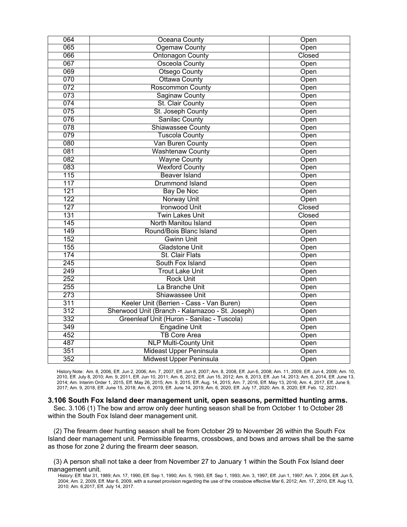| 064 | Oceana County                                           | Open   |
|-----|---------------------------------------------------------|--------|
| 065 | <b>Ogemaw County</b>                                    | Open   |
| 066 | <b>Ontonagon County</b>                                 | Closed |
| 067 | Osceola County                                          | Open   |
| 069 | Otsego County                                           | Open   |
| 070 | Ottawa County                                           | Open   |
| 072 | <b>Roscommon County</b>                                 | Open   |
| 073 | <b>Saginaw County</b>                                   | Open   |
| 074 | St. Clair County                                        | Open   |
| 075 | St. Joseph County                                       | Open   |
| 076 | <b>Sanilac County</b>                                   | Open   |
| 078 | <b>Shiawassee County</b>                                | Open   |
| 079 | <b>Tuscola County</b>                                   | Open   |
| 080 | Van Buren County                                        | Open   |
| 081 | <b>Washtenaw County</b>                                 | Open   |
| 082 | <b>Wayne County</b>                                     | Open   |
| 083 | <b>Wexford County</b>                                   | Open   |
| 115 | <b>Beaver Island</b>                                    | Open   |
| 117 | <b>Drummond Island</b>                                  | Open   |
| 121 | <b>Bay De Noc</b>                                       | Open   |
| 122 | Norway Unit<br>Open                                     |        |
| 127 | <b>Ironwood Unit</b>                                    | Closed |
| 131 | <b>Twin Lakes Unit</b>                                  | Closed |
| 145 | North Manitou Island                                    | Open   |
| 149 | Round/Bois Blanc Island                                 | Open   |
| 152 | <b>Gwinn Unit</b><br>Open                               |        |
| 155 | <b>Gladstone Unit</b><br>Open                           |        |
| 174 | St. Clair Flats                                         | Open   |
| 245 | South Fox Island                                        | Open   |
| 249 | <b>Trout Lake Unit</b>                                  | Open   |
| 252 | <b>Rock Unit</b>                                        | Open   |
| 255 | La Branche Unit                                         | Open   |
| 273 | Shiawassee Unit<br>Open                                 |        |
| 311 | Keeler Unit (Berrien - Cass - Van Buren)<br>Open        |        |
| 312 | Sherwood Unit (Branch - Kalamazoo - St. Joseph)<br>Open |        |
| 332 | Greenleaf Unit (Huron - Sanilac - Tuscola)<br>Open      |        |
| 349 | <b>Engadine Unit</b><br>Open                            |        |
| 452 | <b>TB Core Area</b><br>Open                             |        |
| 487 | <b>NLP Multi-County Unit</b><br>Open                    |        |
| 351 | <b>Mideast Upper Peninsula</b><br>Open                  |        |
| 352 | Midwest Upper Peninsula<br>Open                         |        |

History Note: Am. 8, 2006, Eff. Jun 2, 2006; Am. 7, 2007, Eff. Jun 8, 2007; Am. 8, 2008, Eff. Jun 6, 2008; Am. 11, 2009, Eff. Jun 4, 2009; Am. 10, 2010, Eff. July 8, 2010; Am. 9, 2011, Eff. Jun 10, 2011; Am. 6, 2012, Eff. Jun 15, 2012; Am. 8, 2013, Eff. Jun 14, 2013; Am. 6, 2014, Eff. June 13, 2014; Am. Interim Order 1, 2015, Eff. May 26, 2015; Am. 9, 2015, Eff. Aug. 14, 2015; Am. 7, 2016, Eff. May 13, 2016; Am. 4, 2017, Eff. June 9, 2017; Am. 9, 2018, Eff. June 15, 2018; Am. 6, 2019, Eff. June 14, 2019; Am. 6, 2020, Eff. July 17, 2020; Am. 8, 2020; Eff. Feb. 12, 2021.

### **3.106 South Fox Island deer management unit, open seasons, permitted hunting arms.**

Sec. 3.106 (1) The bow and arrow only deer hunting season shall be from October 1 to October 28 within the South Fox Island deer management unit.

(2) The firearm deer hunting season shall be from October 29 to November 26 within the South Fox Island deer management unit. Permissible firearms, crossbows, and bows and arrows shall be the same as those for zone 2 during the firearm deer season.

(3) A person shall not take a deer from November 27 to January 1 within the South Fox Island deer management unit.

History: Eff. Mar 31, 1989; Am. 17, 1990, Eff. Sep 1, 1990; Am. 5, 1993, Eff. Sep 1, 1993; Am. 3, 1997, Eff. Jun 1, 1997; Am. 7, 2004, Eff. Jun 5, 2004; Am. 2, 2009, Eff. Mar 6, 2009, with a sunset provision regarding the use of the crossbow effective Mar 6, 2012; Am. 17, 2010, Eff. Aug 13, 2010; Am. 6,2017, Eff. July 14, 2017.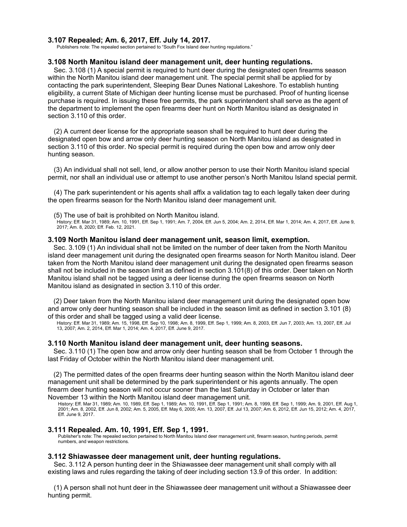# **3.107 Repealed; Am. 6, 2017, Eff. July 14, 2017.**

Publishers note: The repealed section pertained to "South Fox Island deer hunting regulations."

### **3.108 North Manitou island deer management unit, deer hunting regulations.**

Sec. 3.108 (1) A special permit is required to hunt deer during the designated open firearms season within the North Manitou island deer management unit. The special permit shall be applied for by contacting the park superintendent, Sleeping Bear Dunes National Lakeshore. To establish hunting eligibility, a current State of Michigan deer hunting license must be purchased. Proof of hunting license purchase is required. In issuing these free permits, the park superintendent shall serve as the agent of the department to implement the open firearms deer hunt on North Manitou island as designated in section 3.110 of this order.

(2) A current deer license for the appropriate season shall be required to hunt deer during the designated open bow and arrow only deer hunting season on North Manitou island as designated in section 3.110 of this order. No special permit is required during the open bow and arrow only deer hunting season.

(3) An individual shall not sell, lend, or allow another person to use their North Manitou island special permit, nor shall an individual use or attempt to use another person's North Manitou Island special permit.

(4) The park superintendent or his agents shall affix a validation tag to each legally taken deer during the open firearms season for the North Manitou island deer management unit.

(5) The use of bait is prohibited on North Manitou island.

History: Eff. Mar 31, 1989; Am. 10, 1991, Eff. Sep 1, 1991; Am. 7, 2004, Eff. Jun 5, 2004; Am. 2, 2014, Eff. Mar 1, 2014; Am. 4, 2017, Eff. June 9, 2017; Am. 8, 2020; Eff. Feb. 12, 2021.

### **3.109 North Manitou island deer management unit, season limit, exemption.**

Sec. 3.109 (1) An individual shall not be limited on the number of deer taken from the North Manitou island deer management unit during the designated open firearms season for North Manitou island. Deer taken from the North Manitou island deer management unit during the designated open firearms season shall not be included in the season limit as defined in section 3.101(8) of this order. Deer taken on North Manitou island shall not be tagged using a deer license during the open firearms season on North Manitou island as designated in section 3.110 of this order.

(2) Deer taken from the North Manitou island deer management unit during the designated open bow and arrow only deer hunting season shall be included in the season limit as defined in section 3.101 (8) of this order and shall be tagged using a valid deer license.

History: Eff. Mar 31, 1989; Am. 15, 1998, Eff. Sep 10, 1998; Am. 8, 1999, Eff. Sep 1, 1999; Am. 8, 2003, Eff. Jun 7, 2003; Am. 13, 2007, Eff. Jul 13, 2007; Am. 2, 2014, Eff. Mar 1, 2014; Am. 4, 2017, Eff. June 9, 2017.

### **3.110 North Manitou island deer management unit, deer hunting seasons.**

Sec. 3.110 (1) The open bow and arrow only deer hunting season shall be from October 1 through the last Friday of October within the North Manitou island deer management unit.

(2) The permitted dates of the open firearms deer hunting season within the North Manitou island deer management unit shall be determined by the park superintendent or his agents annually. The open firearm deer hunting season will not occur sooner than the last Saturday in October or later than November 13 within the North Manitou island deer management unit.

History: Eff. Mar 31, 1989; Am. 10, 1989, Eff. Sep 1, 1989; Am. 10, 1991, Eff. Sep 1, 1991; Am. 8, 1999, Eff. Sep 1, 1999; Am. 9, 2001, Eff. Aug 1, 2001; Am. 8, 2002, Eff. Jun 8, 2002; Am. 5, 2005, Eff. May 6, 2005; Am. 13, 2007, Eff. Jul 13, 2007; Am. 6, 2012, Eff. Jun 15, 2012; Am. 4, 2017, Eff. June 9, 2017.

### **3.111 Repealed. Am. 10, 1991, Eff. Sep 1, 1991.**

Publisher's note: The repealed section pertained to North Manitou Island deer management unit, firearm season, hunting periods, permit numbers, and weapon restrictions.

### **3.112 Shiawassee deer management unit, deer hunting regulations.**

Sec. 3.112 A person hunting deer in the Shiawassee deer management unit shall comply with all existing laws and rules regarding the taking of deer including section 13.9 of this order. In addition:

(1) A person shall not hunt deer in the Shiawassee deer management unit without a Shiawassee deer hunting permit.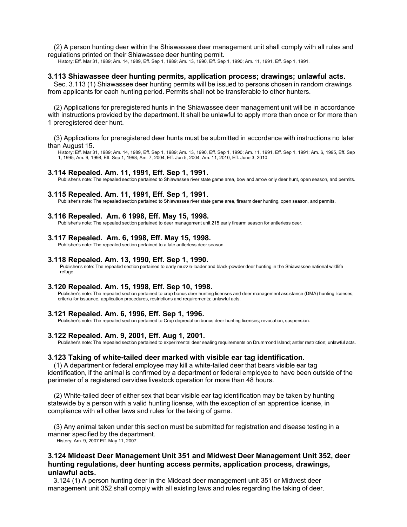(2) A person hunting deer within the Shiawassee deer management unit shall comply with all rules and regulations printed on their Shiawassee deer hunting permit.

History: Eff. Mar 31, 1989; Am. 14, 1989, Eff. Sep 1, 1989; Am. 13, 1990, Eff. Sep 1, 1990; Am. 11, 1991, Eff. Sep 1, 1991.

### **3.113 Shiawassee deer hunting permits, application process; drawings; unlawful acts.**

Sec. 3.113 (1) Shiawassee deer hunting permits will be issued to persons chosen in random drawings from applicants for each hunting period. Permits shall not be transferable to other hunters.

(2) Applications for preregistered hunts in the Shiawassee deer management unit will be in accordance with instructions provided by the department. It shall be unlawful to apply more than once or for more than 1 preregistered deer hunt.

(3) Applications for preregistered deer hunts must be submitted in accordance with instructions no later than August 15.

History: Eff. Mar 31, 1989; Am. 14, 1989, Eff. Sep 1, 1989; Am. 13, 1990, Eff. Sep 1, 1990; Am. 11, 1991, Eff. Sep 1, 1991; Am. 6, 1995, Eff. Sep 1, 1995; Am. 9, 1998, Eff. Sep 1, 1998; Am. 7, 2004, Eff. Jun 5, 2004; Am. 11, 2010, Eff. June 3, 2010.

#### **3.114 Repealed. Am. 11, 1991, Eff. Sep 1, 1991.**

Publisher's note: The repealed section pertained to Shiawassee river state game area, bow and arrow only deer hunt, open season, and permits.

### **3.115 Repealed. Am. 11, 1991, Eff. Sep 1, 1991.**

Publisher's note: The repealed section pertained to Shiawassee river state game area, firearm deer hunting, open season, and permits.

### **3.116 Repealed. Am. 6 1998, Eff. May 15, 1998.**

Publisher's note: The repealed section pertained to deer management unit 215 early firearm season for antlerless deer.

#### **3.117 Repealed. Am. 6, 1998, Eff. May 15, 1998.**

Publisher's note: The repealed section pertained to a late antlerless deer season.

#### **3.118 Repealed. Am. 13, 1990, Eff. Sep 1, 1990.**

Publisher's note: The repealed section pertained to early muzzle-loader and black-powder deer hunting in the Shiawassee national wildlife refuge.

### **3.120 Repealed. Am. 15, 1998, Eff. Sep 10, 1998.**

Publisher's note: The repealed section pertained to crop bonus deer hunting licenses and deer management assistance (DMA) hunting licenses; criteria for issuance, application procedures, restrictions and requirements; unlawful acts.

#### **3.121 Repealed. Am. 6, 1996, Eff. Sep 1, 1996.**

Publisher's note: The repealed section pertained to Crop depredation bonus deer hunting licenses; revocation, suspension.

### **3.122 Repealed. Am. 9, 2001, Eff. Aug 1, 2001.**

Publisher's note: The repealed section pertained to experimental deer sealing requirements on Drummond Island; antler restriction; unlawful acts.

#### **3.123 Taking of white-tailed deer marked with visible ear tag identification.**

(1) A department or federal employee may kill a white-tailed deer that bears visible ear tag identification, if the animal is confirmed by a department or federal employee to have been outside of the perimeter of a registered cervidae livestock operation for more than 48 hours.

(2) White-tailed deer of either sex that bear visible ear tag identification may be taken by hunting statewide by a person with a valid hunting license, with the exception of an apprentice license, in compliance with all other laws and rules for the taking of game.

(3) Any animal taken under this section must be submitted for registration and disease testing in a manner specified by the department.

History: Am. 9, 2007 Eff. May 11, 2007.

# **3.124 Mideast Deer Management Unit 351 and Midwest Deer Management Unit 352, deer hunting regulations, deer hunting access permits, application process, drawings, unlawful acts.**

3.124 (1) A person hunting deer in the Mideast deer management unit 351 or Midwest deer management unit 352 shall comply with all existing laws and rules regarding the taking of deer.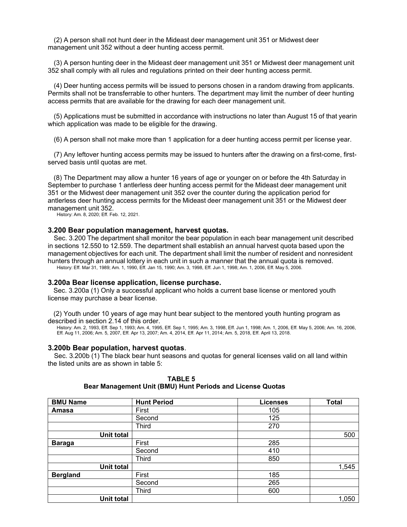(2) A person shall not hunt deer in the Mideast deer management unit 351 or Midwest deer management unit 352 without a deer hunting access permit.

(3) A person hunting deer in the Mideast deer management unit 351 or Midwest deer management unit 352 shall comply with all rules and regulations printed on their deer hunting access permit.

(4) Deer hunting access permits will be issued to persons chosen in a random drawing from applicants. Permits shall not be transferrable to other hunters. The department may limit the number of deer hunting access permits that are available for the drawing for each deer management unit.

(5) Applications must be submitted in accordance with instructions no later than August 15 of that yearin which application was made to be eligible for the drawing.

(6) A person shall not make more than 1 application for a deer hunting access permit per license year.

(7) Any leftover hunting access permits may be issued to hunters after the drawing on a first-come, firstserved basis until quotas are met.

(8) The Department may allow a hunter 16 years of age or younger on or before the 4th Saturday in September to purchase 1 antlerless deer hunting access permit for the Mideast deer management unit 351 or the Midwest deer management unit 352 over the counter during the application period for antlerless deer hunting access permits for the Mideast deer management unit 351 or the Midwest deer management unit 352.

History: Am. 8, 2020; Eff. Feb. 12, 2021.

### **3.200 Bear population management, harvest quotas.**

Sec. 3.200 The department shall monitor the bear population in each bear management unit described in sections 12.550 to 12.559. The department shall establish an annual harvest quota based upon the management objectives for each unit. The department shall limit the number of resident and nonresident hunters through an annual lottery in each unit in such a manner that the annual quota is removed. History: Eff. Mar 31, 1989; Am. 1, 1990, Eff. Jan 15, 1990; Am. 3, 1998, Eff. Jun 1, 1998; Am. 1, 2006, Eff. May 5, 2006.

**3.200a Bear license application, license purchase.**

Sec. 3.200a (1) Only a successful applicant who holds a current base license or mentored youth license may purchase a bear license.

(2) Youth under 10 years of age may hunt bear subject to the mentored youth hunting program as described in section 2.14 of this order.

History: Am. 2, 1993, Eff. Sep 1, 1993; Am. 4, 1995, Eff. Sep 1, 1995; Am. 3, 1998, Eff. Jun 1, 1998; Am. 1, 2006, Eff. May 5, 2006; Am. 16, 2006, Eff. Aug 11, 2006; Am. 5, 2007, Eff. Apr 13, 2007; Am. 4, 2014, Eff. Apr 11, 2014; Am. 5, 2018, Eff. April 13, 2018.

### **3.200b Bear population, harvest quotas**.

Sec. 3.200b (1) The black bear hunt seasons and quotas for general licenses valid on all land within the listed units are as shown in table 5:

| <b>BMU Name</b>   | <b>Hunt Period</b> | <b>Licenses</b> | <b>Total</b> |
|-------------------|--------------------|-----------------|--------------|
| Amasa             | First              | 105             |              |
|                   | Second             | 125             |              |
|                   | <b>Third</b>       | 270             |              |
| <b>Unit total</b> |                    |                 | 500          |
| <b>Baraga</b>     | First              | 285             |              |
|                   | Second             | 410             |              |
|                   | <b>Third</b>       | 850             |              |
| <b>Unit total</b> |                    |                 | 1,545        |
| <b>Bergland</b>   | First              | 185             |              |
|                   | Second             | 265             |              |
|                   | <b>Third</b>       | 600             |              |
| <b>Unit total</b> |                    |                 | 1,050        |

**TABLE 5 Bear Management Unit (BMU) Hunt Periods and License Quotas**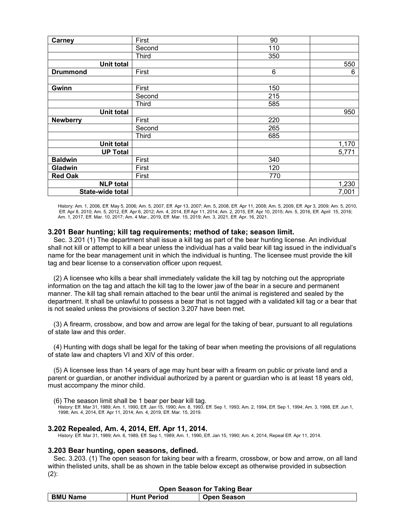| Carney            | First        | 90  |       |
|-------------------|--------------|-----|-------|
|                   | Second       | 110 |       |
|                   | <b>Third</b> | 350 |       |
| <b>Unit total</b> |              |     | 550   |
| <b>Drummond</b>   | First        | 6   | 6     |
|                   |              |     |       |
| Gwinn             | First        | 150 |       |
|                   | Second       | 215 |       |
|                   | <b>Third</b> | 585 |       |
| <b>Unit total</b> |              |     | 950   |
| <b>Newberry</b>   | First        | 220 |       |
|                   | Second       | 265 |       |
|                   | <b>Third</b> | 685 |       |
| <b>Unit total</b> |              |     | 1,170 |
| <b>UP Total</b>   |              |     | 5,771 |
| <b>Baldwin</b>    | First        | 340 |       |
| Gladwin           | First        | 120 |       |
| <b>Red Oak</b>    | First        | 770 |       |
| <b>NLP</b> total  |              |     | 1,230 |
| State-wide total  |              |     | 7,001 |

History: Am. 1, 2006, Eff. May 5, 2006; Am. 5, 2007, Eff. Apr 13, 2007; Am. 5, 2008, Eff. Apr 11, 2008; Am. 5, 2009, Eff. Apr 3, 2009; Am. 5, 2010, Eff. Apr 8, 2010; Am. 5, 2012, Eff. Apr 6, 2012; Am. 4, 2014, Eff Apr 11, 2014; Am. 2, 2015, Eff. Apr 10, 2015; Am. 5, 2016, Eff. April 15, 2016; Am. 1, 2017, Eff. Mar. 10, 2017; Am. 4 Mar., 2019, Eff. Mar. 15, 2019; Am. 3, 2021, Eff. Apr. 16, 2021.

# **3.201 Bear hunting; kill tag requirements; method of take; season limit.**

Sec. 3.201 (1) The department shall issue a kill tag as part of the bear hunting license. An individual shall not kill or attempt to kill a bear unless the individual has a valid bear kill tag issued in the individual's name for the bear management unit in which the individual is hunting. The licensee must provide the kill tag and bear license to a conservation officer upon request.

(2) A licensee who kills a bear shall immediately validate the kill tag by notching out the appropriate information on the tag and attach the kill tag to the lower jaw of the bear in a secure and permanent manner. The kill tag shall remain attached to the bear until the animal is registered and sealed by the department. It shall be unlawful to possess a bear that is not tagged with a validated kill tag or a bear that is not sealed unless the provisions of section 3.207 have been met.

(3) A firearm, crossbow, and bow and arrow are legal for the taking of bear, pursuant to all regulations of state law and this order.

(4) Hunting with dogs shall be legal for the taking of bear when meeting the provisions of all regulations of state law and chapters VI and XIV of this order.

(5) A licensee less than 14 years of age may hunt bear with a firearm on public or private land and a parent or guardian, or another individual authorized by a parent or guardian who is at least 18 years old, must accompany the minor child.

(6) The season limit shall be 1 bear per bear kill tag.

History: Eff. Mar 31, 1989; Am. 1, 1990, Eff. Jan 15, 1990; Am. 8, 1993, Eff. Sep 1, 1993; Am. 2, 1994, Eff. Sep 1, 1994; Am. 3, 1998, Eff. Jun 1, 1998; Am. 4, 2014, Eff. Apr 11, 2014; Am. 4, 2019, Eff. Mar. 15, 2019.

### **3.202 Repealed, Am. 4, 2014, Eff. Apr 11, 2014.**

History: Eff. Mar 31, 1989; Am. 6, 1989, Eff. Sep 1, 1989; Am. 1, 1990, Eff. Jan 15, 1990; Am. 4, 2014, Repeal Eff. Apr 11, 2014.

### **3.203 Bear hunting, open seasons, defined.**

Sec. 3.203. (1) The open season for taking bear with a firearm, crossbow, or bow and arrow, on all land within thelisted units, shall be as shown in the table below except as otherwise provided in subsection  $(2)$ :

| <b>Open Season for Taking Bear</b> |                    |                    |  |
|------------------------------------|--------------------|--------------------|--|
| <b>BMU Name</b>                    | <b>Hunt Period</b> | <b>Open Season</b> |  |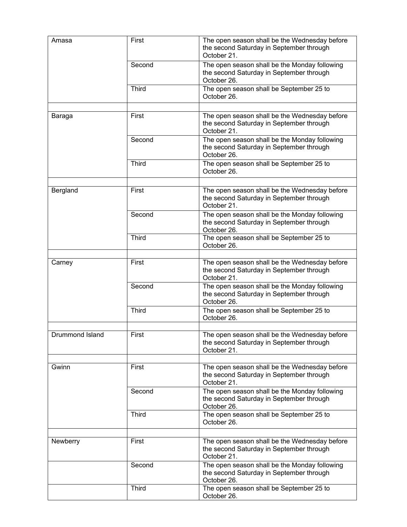| Amasa           | First              | The open season shall be the Wednesday before<br>the second Saturday in September through<br>October 21. |
|-----------------|--------------------|----------------------------------------------------------------------------------------------------------|
|                 | Second             | The open season shall be the Monday following<br>the second Saturday in September through<br>October 26. |
|                 | <b>Third</b>       | The open season shall be September 25 to<br>October 26.                                                  |
|                 |                    |                                                                                                          |
| Baraga          | First              | The open season shall be the Wednesday before<br>the second Saturday in September through<br>October 21. |
|                 | Second             | The open season shall be the Monday following<br>the second Saturday in September through<br>October 26. |
|                 | <b>Third</b>       | The open season shall be September 25 to<br>October 26.                                                  |
|                 |                    |                                                                                                          |
| Bergland        | First              | The open season shall be the Wednesday before<br>the second Saturday in September through<br>October 21. |
|                 | Second             | The open season shall be the Monday following<br>the second Saturday in September through<br>October 26. |
|                 | <b>Third</b>       | The open season shall be September 25 to<br>October 26.                                                  |
|                 |                    |                                                                                                          |
| Carney          | First              | The open season shall be the Wednesday before<br>the second Saturday in September through<br>October 21. |
|                 | Second             | The open season shall be the Monday following<br>the second Saturday in September through<br>October 26. |
|                 | Third              | The open season shall be September 25 to<br>October 26.                                                  |
|                 | $\overline{First}$ |                                                                                                          |
| Drummond Island |                    | The open season shall be the Wednesday before<br>the second Saturday in September through<br>October 21. |
|                 |                    |                                                                                                          |
| Gwinn           | First              | The open season shall be the Wednesday before<br>the second Saturday in September through<br>October 21. |
|                 | Second             | The open season shall be the Monday following<br>the second Saturday in September through<br>October 26. |
|                 | <b>Third</b>       | The open season shall be September 25 to<br>October 26.                                                  |
|                 |                    |                                                                                                          |
| Newberry        | First              | The open season shall be the Wednesday before<br>the second Saturday in September through<br>October 21. |
|                 | Second             | The open season shall be the Monday following<br>the second Saturday in September through<br>October 26. |
|                 | <b>Third</b>       | The open season shall be September 25 to<br>October 26.                                                  |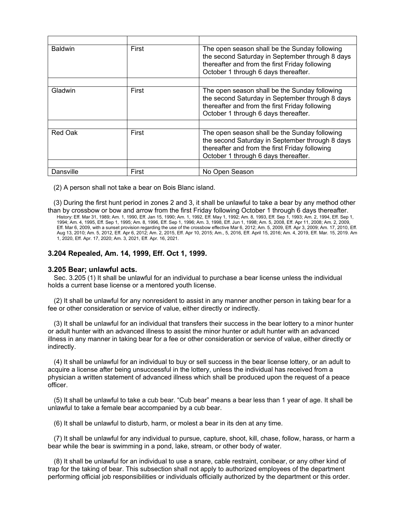| <b>Baldwin</b> | First | The open season shall be the Sunday following<br>the second Saturday in September through 8 days<br>thereafter and from the first Friday following<br>October 1 through 6 days thereafter. |
|----------------|-------|--------------------------------------------------------------------------------------------------------------------------------------------------------------------------------------------|
|                |       |                                                                                                                                                                                            |
| Gladwin        | First | The open season shall be the Sunday following<br>the second Saturday in September through 8 days<br>thereafter and from the first Friday following<br>October 1 through 6 days thereafter. |
|                |       |                                                                                                                                                                                            |
| Red Oak        | First | The open season shall be the Sunday following<br>the second Saturday in September through 8 days<br>thereafter and from the first Friday following<br>October 1 through 6 days thereafter. |
|                |       |                                                                                                                                                                                            |
| Dansville      | First | No Open Season                                                                                                                                                                             |

(2) A person shall not take a bear on Bois Blanc island.

(3) During the first hunt period in zones 2 and 3, it shall be unlawful to take a bear by any method other than by crossbow or bow and arrow from the first Friday following October 1 through 6 days thereafter.

History: Eff. Mar 31, 1989; Am. 1, 1990, Eff. Jan 15, 1990; Am. 1, 1992, Eff. May 1, 1992; Am. 8, 1993, Eff. Sep 1, 1993; Am. 2, 1994, Eff. Sep 1, 1994; Am. 4, 1995, Eff. Sep 1, 1995; Am. 8, 1996, Eff. Sep 1, 1996; Am. 3, 1998, Eff. Jun 1, 1998; Am. 5, 2008, Eff. Apr 11, 2008; Am. 2, 2009, Eff. Mar 6, 2009, with a sunset provision regarding the use of the crossbow effective Mar 6, 2012; Am. 5, 2009, Eff. Apr 3, 2009; Am. 17, 2010, Eff. Aug 13, 2010; Am. 5, 2012, Eff. Apr 6, 2012; Am. 2, 2015, Eff. Apr 10, 2015; Am., 5, 2016, Eff. April 15, 2016; Am. 4, 2019, Eff. Mar. 15, 2019. Am 1, 2020, Eff. Apr. 17, 2020; Am. 3, 2021, Eff. Apr. 16, 2021.

# **3.204 Repealed, Am. 14, 1999, Eff. Oct 1, 1999.**

# **3.205 Bear; unlawful acts.**

Sec. 3.205 (1) It shall be unlawful for an individual to purchase a bear license unless the individual holds a current base license or a mentored youth license.

(2) It shall be unlawful for any nonresident to assist in any manner another person in taking bear for a fee or other consideration or service of value, either directly or indirectly.

(3) It shall be unlawful for an individual that transfers their success in the bear lottery to a minor hunter or adult hunter with an advanced illness to assist the minor hunter or adult hunter with an advanced illness in any manner in taking bear for a fee or other consideration or service of value, either directly or indirectly.

(4) It shall be unlawful for an individual to buy or sell success in the bear license lottery, or an adult to acquire a license after being unsuccessful in the lottery, unless the individual has received from a physician a written statement of advanced illness which shall be produced upon the request of a peace officer.

(5) It shall be unlawful to take a cub bear. "Cub bear" means a bear less than 1 year of age. It shall be unlawful to take a female bear accompanied by a cub bear.

(6) It shall be unlawful to disturb, harm, or molest a bear in its den at any time.

(7) It shall be unlawful for any individual to pursue, capture, shoot, kill, chase, follow, harass, or harm a bear while the bear is swimming in a pond, lake, stream, or other body of water.

(8) It shall be unlawful for an individual to use a snare, cable restraint, conibear, or any other kind of trap for the taking of bear. This subsection shall not apply to authorized employees of the department performing official job responsibilities or individuals officially authorized by the department or this order.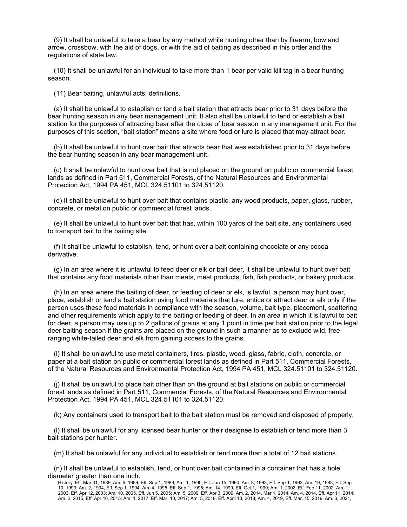(9) It shall be unlawful to take a bear by any method while hunting other than by firearm, bow and arrow, crossbow, with the aid of dogs, or with the aid of baiting as described in this order and the regulations of state law.

(10) It shall be unlawful for an individual to take more than 1 bear per valid kill tag in a bear hunting season.

(11) Bear baiting, unlawful acts, definitions.

(a) It shall be unlawful to establish or tend a bait station that attracts bear prior to 31 days before the bear hunting season in any bear management unit. It also shall be unlawful to tend or establish a bait station for the purposes of attracting bear after the close of bear season in any management unit. For the purposes of this section, "bait station" means a site where food or lure is placed that may attract bear.

(b) It shall be unlawful to hunt over bait that attracts bear that was established prior to 31 days before the bear hunting season in any bear management unit.

(c) It shall be unlawful to hunt over bait that is not placed on the ground on public or commercial forest lands as defined in Part 511, Commercial Forests, of the Natural Resources and Environmental Protection Act, 1994 PA 451, MCL 324.51101 to 324.51120.

(d) It shall be unlawful to hunt over bait that contains plastic, any wood products, paper, glass, rubber, concrete, or metal on public or commercial forest lands.

(e) It shall be unlawful to hunt over bait that has, within 100 yards of the bait site, any containers used to transport bait to the baiting site.

(f) It shall be unlawful to establish, tend, or hunt over a bait containing chocolate or any cocoa derivative.

(g) In an area where it is unlawful to feed deer or elk or bait deer, it shall be unlawful to hunt over bait that contains any food materials other than meats, meat products, fish, fish products, or bakery products.

(h) In an area where the baiting of deer, or feeding of deer or elk, is lawful, a person may hunt over, place, establish or tend a bait station using food materials that lure, entice or attract deer or elk only if the person uses these food materials in compliance with the season, volume, bait type, placement, scattering and other requirements which apply to the baiting or feeding of deer. In an area in which it is lawful to bait for deer, a person may use up to 2 gallons of grains at any 1 point in time per bait station prior to the legal deer baiting season if the grains are placed on the ground in such a manner as to exclude wild, freeranging white-tailed deer and elk from gaining access to the grains.

(i) It shall be unlawful to use metal containers, tires, plastic, wood, glass, fabric, cloth, concrete, or paper at a bait station on public or commercial forest lands as defined in Part 511, Commercial Forests, of the Natural Resources and Environmental Protection Act, 1994 PA 451, MCL 324.51101 to 324.51120.

(j) It shall be unlawful to place bait other than on the ground at bait stations on public or commercial forest lands as defined in Part 511, Commercial Forests, of the Natural Resources and Environmental Protection Act, 1994 PA 451, MCL 324.51101 to 324.51120.

(k) Any containers used to transport bait to the bait station must be removed and disposed of properly.

(l) It shall be unlawful for any licensed bear hunter or their designee to establish or tend more than 3 bait stations per hunter.

(m) It shall be unlawful for any individual to establish or tend more than a total of 12 bait stations.

(n) It shall be unlawful to establish, tend, or hunt over bait contained in a container that has a hole diameter greater than one inch.

History: Eff. Mar 31, 1989; Am. 6, 1989, Eff. Sep 1, 1989; Am. 1, 1990, Eff. Jan 15, 1990; Am. 8, 1993, Eff. Sep 1, 1993; Am. 19, 1993, Eff. Sep 10, 1993; Am. 2, 1994, Eff. Sep 1, 1994; Am. 4, 1995, Eff. Sep 1, 1995; Am. 14, 1999, Eff. Oct 1, 1999; Am. 1, 2002, Eff. Feb 11, 2002; Am. 1, 2003, Eff. Apr 12, 2003; Am. 10, 2005, Eff. Jun 5, 2005; Am. 5, 2009, Eff. Apr 3, 2009; Am. 2, 2014, Mar 1, 2014; Am. 4, 2014, Eff. Apr 11, 2014; Am. 2, 2015, Eff. Apr 10, 2015; Am. 1, 2017, Eff. Mar. 10, 2017; Am. 5, 2018, Eff. April 13, 2018; Am. 4, 2019, Eff. Mar. 15, 2019; Am. 3, 2021,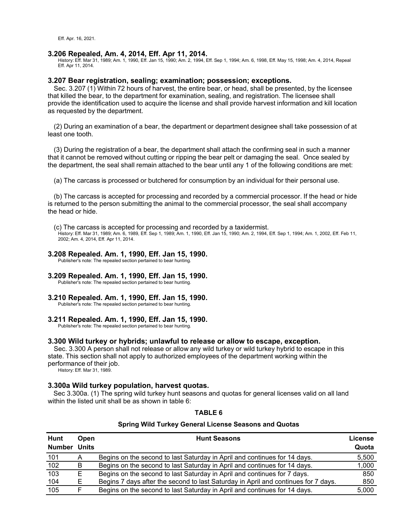Eff. Apr. 16, 2021.

### **3.206 Repealed, Am. 4, 2014, Eff. Apr 11, 2014.**

History: Eff. Mar 31, 1989; Am. 1, 1990, Eff. Jan 15, 1990; Am. 2, 1994, Eff. Sep 1, 1994; Am. 6, 1998, Eff. May 15, 1998; Am. 4, 2014, Repeal Eff. Apr 11, 2014.

## **3.207 Bear registration, sealing; examination; possession; exceptions.**

Sec. 3.207 (1) Within 72 hours of harvest, the entire bear, or head, shall be presented, by the licensee that killed the bear, to the department for examination, sealing, and registration. The licensee shall provide the identification used to acquire the license and shall provide harvest information and kill location as requested by the department.

(2) During an examination of a bear, the department or department designee shall take possession of at least one tooth.

(3) During the registration of a bear, the department shall attach the confirming seal in such a manner that it cannot be removed without cutting or ripping the bear pelt or damaging the seal. Once sealed by the department, the seal shall remain attached to the bear until any 1 of the following conditions are met:

(a) The carcass is processed or butchered for consumption by an individual for their personal use.

(b) The carcass is accepted for processing and recorded by a commercial processor. If the head or hide is returned to the person submitting the animal to the commercial processor, the seal shall accompany the head or hide.

(c) The carcass is accepted for processing and recorded by a taxidermist.

History: Eff. Mar 31, 1989; Am. 6, 1989, Eff. Sep 1, 1989; Am. 1, 1990, Eff. Jan 15, 1990; Am. 2, 1994, Eff. Sep 1, 1994; Am. 1, 2002, Eff. Feb 11, 2002; Am. 4, 2014, Eff. Apr 11, 2014.

### **3.208 Repealed. Am. 1, 1990, Eff. Jan 15, 1990.**

Publisher's note: The repealed section pertained to bear hunting.

# **3.209 Repealed. Am. 1, 1990, Eff. Jan 15, 1990.**

Publisher's note: The repealed section pertained to bear hunting.

### **3.210 Repealed. Am. 1, 1990, Eff. Jan 15, 1990.**

Publisher's note: The repealed section pertained to bear hunting.

### **3.211 Repealed. Am. 1, 1990, Eff. Jan 15, 1990.**

Publisher's note: The repealed section pertained to bear hunting.

### **3.300 Wild turkey or hybrids; unlawful to release or allow to escape, exception.**

Sec. 3.300 A person shall not release or allow any wild turkey or wild turkey hybrid to escape in this state. This section shall not apply to authorized employees of the department working within the performance of their job.

History: Eff. Mar 31, 1989.

### **3.300a Wild turkey population, harvest quotas.**

Sec 3.300a. (1) The spring wild turkey hunt seasons and quotas for general licenses valid on all land within the listed unit shall be as shown in table 6:

### **TABLE 6**

#### **Spring Wild Turkey General License Seasons and Quotas**

| Hunt          | Open  | <b>Hunt Seasons</b>                                                                | <b>License</b> |
|---------------|-------|------------------------------------------------------------------------------------|----------------|
| <b>Number</b> | Units |                                                                                    | Quota          |
| 101           | A     | Begins on the second to last Saturday in April and continues for 14 days.          | 5,500          |
| 102           | B.    | Begins on the second to last Saturday in April and continues for 14 days.          | 1,000          |
| 103           | E.    | Begins on the second to last Saturday in April and continues for 7 days.           | 850            |
| <u>104</u>    |       | Begins 7 days after the second to last Saturday in April and continues for 7 days. | 850            |
| 105           |       | Begins on the second to last Saturday in April and continues for 14 days.          | 5,000          |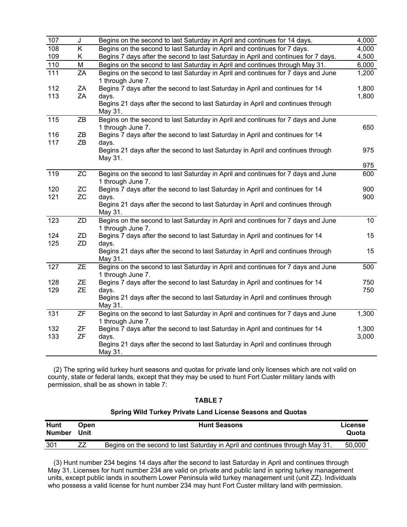| 107              | J         | Begins on the second to last Saturday in April and continues for 14 days.                          | 4,000           |
|------------------|-----------|----------------------------------------------------------------------------------------------------|-----------------|
| 108              | K         | Begins on the second to last Saturday in April and continues for 7 days.                           | 4,000           |
| 109              | K.        | Begins 7 days after the second to last Saturday in April and continues for 7 days.                 | 4,500           |
| 110              | M         | Begins on the second to last Saturday in April and continues through May 31.                       | 6,000           |
| $\overline{11}1$ | ZA        | Begins on the second to last Saturday in April and continues for 7 days and June                   | 1,200           |
|                  |           | 1 through June 7.                                                                                  |                 |
| 112              | ZA        | Begins 7 days after the second to last Saturday in April and continues for 14                      | 1,800           |
| 113              | ZA        | days.<br>Begins 21 days after the second to last Saturday in April and continues through           | 1,800           |
|                  |           | May 31.                                                                                            |                 |
| $\overline{1}15$ | ZB        | Begins on the second to last Saturday in April and continues for 7 days and June                   |                 |
|                  |           | 1 through June 7.                                                                                  | 650             |
| 116              | ZB        | Begins 7 days after the second to last Saturday in April and continues for 14                      |                 |
| 117              | ZB        | days.                                                                                              |                 |
|                  |           | Begins 21 days after the second to last Saturday in April and continues through                    | 975             |
|                  |           | May 31.                                                                                            | 975             |
| 119              | ZC        | Begins on the second to last Saturday in April and continues for 7 days and June                   | 600             |
|                  |           | 1 through June 7.                                                                                  |                 |
| 120              | ZC        | Begins 7 days after the second to last Saturday in April and continues for 14                      | 900             |
| 121              | ZC        | days.                                                                                              | 900             |
|                  |           | Begins 21 days after the second to last Saturday in April and continues through                    |                 |
|                  |           | May 31.                                                                                            |                 |
| 123              | ZD        | Begins on the second to last Saturday in April and continues for 7 days and June                   | 10 <sup>°</sup> |
|                  |           | 1 through June 7.                                                                                  |                 |
| 124              | ZD        | Begins 7 days after the second to last Saturday in April and continues for 14                      | 15              |
| 125              | ZD        | days.                                                                                              |                 |
|                  |           | Begins 21 days after the second to last Saturday in April and continues through                    | 15              |
|                  |           | May 31.                                                                                            |                 |
| 127              | <b>ZE</b> | Begins on the second to last Saturday in April and continues for 7 days and June                   | 500             |
| 128              | ZE        | 1 through June 7.<br>Begins 7 days after the second to last Saturday in April and continues for 14 | 750             |
| 129              | ZE        |                                                                                                    | 750             |
|                  |           | days.<br>Begins 21 days after the second to last Saturday in April and continues through           |                 |
|                  |           | May 31.                                                                                            |                 |
| 131              | ZF        | Begins on the second to last Saturday in April and continues for 7 days and June                   | 1,300           |
|                  |           | 1 through June 7.                                                                                  |                 |
| 132              | ZF        | Begins 7 days after the second to last Saturday in April and continues for 14                      | 1,300           |
| 133              | <b>ZF</b> | days.                                                                                              | 3,000           |
|                  |           | Begins 21 days after the second to last Saturday in April and continues through                    |                 |
|                  |           | May 31.                                                                                            |                 |

(2) The spring wild turkey hunt seasons and quotas for private land only licenses which are not valid on county, state or federal lands, except that they may be used to hunt Fort Custer military lands with permission, shall be as shown in table 7:

| וכו<br><br>- |  |
|--------------|--|
|--------------|--|

# **Spring Wild Turkey Private Land License Seasons and Quotas**

| <b>Hunt</b><br>Number Unit | <b>Open</b> | <b>Hunt Seasons</b>                                                          | License<br>Quota |
|----------------------------|-------------|------------------------------------------------------------------------------|------------------|
| 301                        |             | Begins on the second to last Saturday in April and continues through May 31. | 50.000           |

(3) Hunt number 234 begins 14 days after the second to last Saturday in April and continues through May 31. Licenses for hunt number 234 are valid on private and public land in spring turkey management units, except public lands in southern Lower Peninsula wild turkey management unit (unit ZZ). Individuals who possess a valid license for hunt number 234 may hunt Fort Custer military land with permission.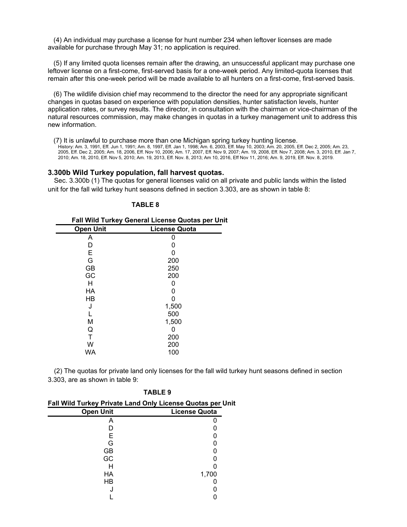(4) An individual may purchase a license for hunt number 234 when leftover licenses are made available for purchase through May 31; no application is required.

(5) If any limited quota licenses remain after the drawing, an unsuccessful applicant may purchase one leftover license on a first-come, first-served basis for a one-week period. Any limited-quota licenses that remain after this one-week period will be made available to all hunters on a first-come, first-served basis.

(6) The wildlife division chief may recommend to the director the need for any appropriate significant changes in quotas based on experience with population densities, hunter satisfaction levels, hunter application rates, or survey results. The director, in consultation with the chairman or vice-chairman of the natural resources commission, may make changes in quotas in a turkey management unit to address this new information.

(7) It is unlawful to purchase more than one Michigan spring turkey hunting license.

History: Am. 3, 1991, Eff. Jun 1, 1991; Am. 8, 1997, Eff. Jan 1, 1998; Am. 6, 2003, Eff. May 10, 2003; Am. 20, 2005, Eff. Dec 2, 2005; Am. 23, 2005, Eff. Dec 2, 2005; Am. 18, 2006, Eff. Nov 10, 2006; Am. 17, 2007, Eff. Nov 9, 2007; Am. 19, 2008, Eff. Nov 7, 2008; Am. 3, 2010, Eff. Jan 7, 2010; Am. 18, 2010, Eff. Nov 5, 2010; Am. 19, 2013, Eff. Nov. 8, 2013; Am 10, 2016, Eff Nov 11, 2016; Am. 9, 2019, Eff. Nov. 8, 2019.

### **3.300b Wild Turkey population, fall harvest quotas.**

Sec. 3.300b (1) The quotas for general licenses valid on all private and public lands within the listed unit for the fall wild turkey hunt seasons defined in section 3.303, are as shown in table 8:

| чB' |  |
|-----|--|
|-----|--|

| Fall Wild Turkey General License Quotas per Unit |                      |
|--------------------------------------------------|----------------------|
| <b>Open Unit</b>                                 | <b>License Quota</b> |
| A                                                |                      |
| D                                                |                      |
| E                                                | 0                    |
| G                                                | 200                  |
| <b>GB</b>                                        | 250                  |
| GC                                               | 200                  |
| н                                                |                      |
| НA                                               |                      |
| HВ                                               | 0                    |
| J                                                | 1,500                |
|                                                  | 500                  |
| M                                                | 1,500                |
| Q                                                | 0                    |
| T                                                | 200                  |
| W                                                | 200                  |
| WA                                               | 100                  |
|                                                  |                      |

(2) The quotas for private land only licenses for the fall wild turkey hunt seasons defined in section 3.303, are as shown in table 9:

| Fall Wild Turkey Private Land Only License Quotas per Unit |                      |
|------------------------------------------------------------|----------------------|
| <b>Open Unit</b>                                           | <b>License Quota</b> |
| А                                                          |                      |
|                                                            |                      |
| Е                                                          |                      |
| G                                                          |                      |
| GB                                                         |                      |
| GC                                                         |                      |
| H                                                          |                      |
| НA                                                         | 1,700                |
| HB                                                         |                      |
|                                                            |                      |
|                                                            |                      |

**TABLE 9**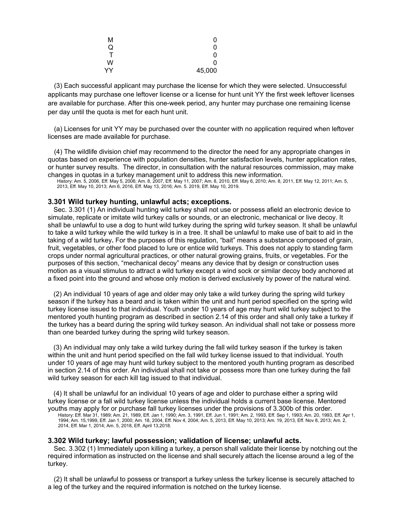| М            | 0            |
|--------------|--------------|
| Q            | $\mathbf{0}$ |
| $\mathsf{T}$ | $\mathbf{0}$ |
| W            | $\mathbf{0}$ |
| YY           | 45,000       |

(3) Each successful applicant may purchase the license for which they were selected. Unsuccessful applicants may purchase one leftover license or a license for hunt unit YY the first week leftover licenses are available for purchase. After this one-week period, any hunter may purchase one remaining license per day until the quota is met for each hunt unit.

(a) Licenses for unit YY may be purchased over the counter with no application required when leftover licenses are made available for purchase.

(4) The wildlife division chief may recommend to the director the need for any appropriate changes in quotas based on experience with population densities, hunter satisfaction levels, hunter application rates, or hunter survey results. The director, in consultation with the natural resources commission, may make changes in quotas in a turkey management unit to address this new information.

History: Am. 5, 2006, Eff. May 5, 2006; Am. 8, 2007, Eff. May 11, 2007; Am. 8, 2010, Eff. May 6, 2010; Am. 8, 2011, Eff. May 12, 2011; Am. 5, 2013, Eff. May 10, 2013; Am 6, 2016, Eff. May 13, 2016; Am. 5. 2019, Eff. May 10, 2019.

# **3.301 Wild turkey hunting, unlawful acts; exceptions.**

Sec. 3.301 (1) An individual hunting wild turkey shall not use or possess afield an electronic device to simulate, replicate or imitate wild turkey calls or sounds, or an electronic, mechanical or live decoy. It shall be unlawful to use a dog to hunt wild turkey during the spring wild turkey season. It shall be unlawful to take a wild turkey while the wild turkey is in a tree. It shall be unlawful to make use of bait to aid in the taking of a wild turkey**.** For the purposes of this regulation, "bait" means a substance composed of grain, fruit, vegetables, or other food placed to lure or entice wild turkeys. This does not apply to standing farm crops under normal agricultural practices, or other natural growing grains, fruits, or vegetables. For the purposes of this section, "mechanical decoy" means any device that by design or construction uses motion as a visual stimulus to attract a wild turkey except a wind sock or similar decoy body anchored at a fixed point into the ground and whose only motion is derived exclusively by power of the natural wind.

(2) An individual 10 years of age and older may only take a wild turkey during the spring wild turkey season if the turkey has a beard and is taken within the unit and hunt period specified on the spring wild turkey license issued to that individual. Youth under 10 years of age may hunt wild turkey subject to the mentored youth hunting program as described in section 2.14 of this order and shall only take a turkey if the turkey has a beard during the spring wild turkey season. An individual shall not take or possess more than one bearded turkey during the spring wild turkey season.

(3) An individual may only take a wild turkey during the fall wild turkey season if the turkey is taken within the unit and hunt period specified on the fall wild turkey license issued to that individual. Youth under 10 years of age may hunt wild turkey subject to the mentored youth hunting program as described in section 2.14 of this order. An individual shall not take or possess more than one turkey during the fall wild turkey season for each kill tag issued to that individual.

(4) It shall be unlawful for an individual 10 years of age and older to purchase either a spring wild turkey license or a fall wild turkey license unless the individual holds a current base license. Mentored youths may apply for or purchase fall turkey licenses under the provisions of 3.300b of this order.

History: Eff. Mar 31, 1989; Am. 21, 1989, Eff. Jan 1, 1990; Am. 3, 1991, Eff. Jun 1, 1991; Am. 2, 1993, Eff. Sep 1, 1993; Am. 20, 1993, Eff. Apr 1, 1994; Am. 15,1999, Eff. Jan 1, 2000; Am. 18, 2004, Eff. Nov 4, 2004; Am. 5, 2013, Eff. May 10, 2013; Am. 19, 2013, Eff. Nov 8, 2013; Am. 2, 2014, Eff. Mar 1, 2014; Am. 5, 2018, Eff. April 13,2018.

### **3.302 Wild turkey; lawful possession; validation of license; unlawful acts.**

Sec. 3.302 (1) Immediately upon killing a turkey, a person shall validate their license by notching out the required information as instructed on the license and shall securely attach the license around a leg of the turkey.

(2) It shall be unlawful to possess or transport a turkey unless the turkey license is securely attached to a leg of the turkey and the required information is notched on the turkey license.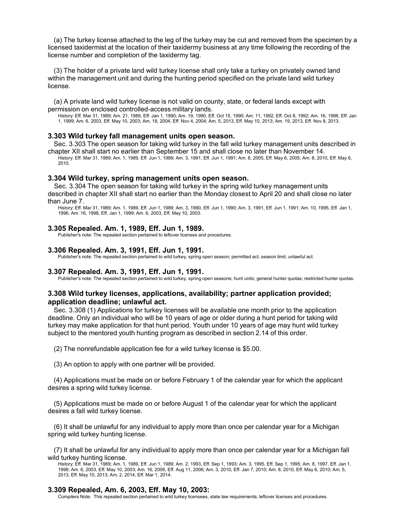(a) The turkey license attached to the leg of the turkey may be cut and removed from the specimen by a licensed taxidermist at the location of their taxidermy business at any time following the recording of the license number and completion of the taxidermy tag.

(3) The holder of a private land wild turkey license shall only take a turkey on privately owned land within the management unit and during the hunting period specified on the private land wild turkey license.

(a) A private land wild turkey license is not valid on county, state, or federal lands except with permission on enclosed controlled-access military lands.

History: Eff. Mar 31, 1989; Am. 21, 1989, Eff. Jan 1, 1990; Am. 19, 1990, Eff. Oct 15, 1990; Am. 11, 1992, Eff. Oct 8, 1992; Am. 16, 1998, Eff. Jan 1, 1999; Am. 6, 2003, Eff. May 10, 2003; Am. 18, 2004, Eff. Nov 4, 2004; Am. 5, 2013, Eff. May 10, 2013; Am. 19, 2013, Eff. Nov 8, 2013.

### **3.303 Wild turkey fall management units open season.**

Sec. 3.303 The open season for taking wild turkey in the fall wild turkey management units described in chapter XII shall start no earlier than September 15 and shall close no later than November 14.

History: Eff. Mar 31, 1989; Am. 1, 1989, Eff. Jun 1, 1989; Am. 3, 1991, Eff. Jun 1, 1991; Am. 8, 2005, Eff. May 6, 2005; Am. 8, 2010, Eff. May 6, 2010.

### **3.304 Wild turkey, spring management units open season.**

Sec. 3.304 The open season for taking wild turkey in the spring wild turkey management units described in chapter XII shall start no earlier than the Monday closest to April 20 and shall close no later than June 7.

History: Eff. Mar 31, 1989; Am. 1, 1989, Eff. Jun 1, 1989; Am. 3, 1990, Eff. Jun 1, 1990; Am. 3, 1991, Eff. Jun 1, 1991; Am. 10, 1995, Eff. Jan 1, 1996; Am. 16, 1998, Eff. Jan 1, 1999; Am. 6, 2003, Eff. May 10, 2003.

#### **3.305 Repealed. Am. 1, 1989, Eff. Jun 1, 1989.**

Publisher's note: The repealed section pertained to leftover licenses and procedures.

#### **3.306 Repealed. Am. 3, 1991, Eff. Jun 1, 1991.**

Publisher's note: The repealed section pertained to wild turkey, spring open season; permitted act; season limit, unlawful act.

#### **3.307 Repealed. Am. 3, 1991, Eff. Jun 1, 1991.**

Publisher's note: The repealed section pertained to wild turkey, spring open seasons; hunt units; general hunter quotas; restricted hunter quotas.

# **3.308 Wild turkey licenses, applications, availability; partner application provided; application deadline; unlawful act.**

Sec. 3.308 (1) Applications for turkey licenses will be available one month prior to the application deadline. Only an individual who will be 10 years of age or older during a hunt period for taking wild turkey may make application for that hunt period. Youth under 10 years of age may hunt wild turkey subject to the mentored youth hunting program as described in section 2.14 of this order.

(2) The nonrefundable application fee for a wild turkey license is \$5.00.

(3) An option to apply with one partner will be provided.

(4) Applications must be made on or before February 1 of the calendar year for which the applicant desires a spring wild turkey license.

(5) Applications must be made on or before August 1 of the calendar year for which the applicant desires a fall wild turkey license.

(6) It shall be unlawful for any individual to apply more than once per calendar year for a Michigan spring wild turkey hunting license.

(7) It shall be unlawful for any individual to apply more than once per calendar year for a Michigan fall wild turkey hunting license.

History: Eff. Mar 31, 1989; Am. 1, 1989, Eff. Jun 1, 1989; Am. 2, 1993, Eff. Sep 1, 1993; Am. 3, 1995, Eff. Sep 1, 1995; Am. 8, 1997, Eff. Jan 1, 1998; Am. 6, 2003, Eff. May 10, 2003; Am. 16, 2006, Eff. Aug 11, 2006; Am. 3, 2010, Eff. Jan 7, 2010; Am. 8, 2010, Eff. May 6, 2010; Am. 5, 2013, Eff. May 10, 2013; Am. 2, 2014, Eff. Mar 1, 2014.

# **3.309 Repealed, Am. 6, 2003, Eff. May 10, 2003:**

Compilers Note: This repealed section pertained to wild turkey licensees, state law requirements; leftover licenses and procedures.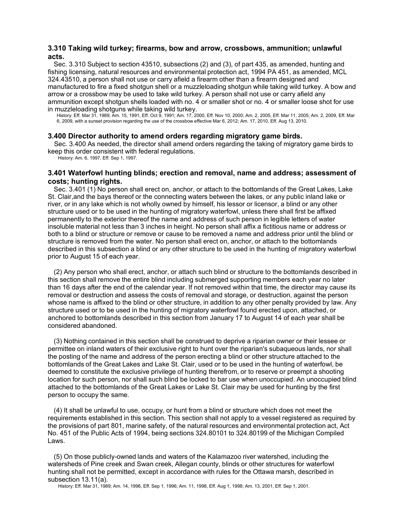# **3.310 Taking wild turkey; firearms, bow and arrow, crossbows, ammunition; unlawful acts.**

Sec. 3.310 Subject to section 43510, subsections (2) and (3), of part 435, as amended, hunting and fishing licensing, natural resources and environmental protection act, 1994 PA 451, as amended, MCL 324.43510, a person shall not use or carry afield a firearm other than a firearm designed and manufactured to fire a fixed shotgun shell or a muzzleloading shotgun while taking wild turkey. A bow and arrow or a crossbow may be used to take wild turkey. A person shall not use or carry afield any ammunition except shotgun shells loaded with no. 4 or smaller shot or no. 4 or smaller loose shot for use in muzzleloading shotguns while taking wild turkey.

History: Eff. Mar 31, 1989; Am. 15, 1991, Eff. Oct 9, 1991; Am. 17, 2000, Eff. Nov 10, 2000; Am. 2, 2005, Eff. Mar 11, 2005; Am. 2, 2009, Eff. Mar 6, 2009, with a sunset provision regarding the use of the crossbow effective Mar 6, 2012; Am. 17, 2010, Eff. Aug 13, 2010.

# **3.400 Director authority to amend orders regarding migratory game birds.**

Sec. 3.400 As needed, the director shall amend orders regarding the taking of migratory game birds to keep this order consistent with federal regulations.

History: Am. 6, 1997, Eff. Sep 1, 1997.

# **3.401 Waterfowl hunting blinds; erection and removal, name and address; assessment of costs; hunting rights.**

Sec. 3.401 (1) No person shall erect on, anchor, or attach to the bottomlands of the Great Lakes, Lake St. Clair,and the bays thereof or the connecting waters between the lakes, or any public inland lake or river, or in any lake which is not wholly owned by himself, his lessor or licensor, a blind or any other structure used or to be used in the hunting of migratory waterfowl, unless there shall first be affixed permanently to the exterior thereof the name and address of such person in legible letters of water insoluble material not less than 3 inches in height. No person shall affix a fictitious name or address or both to a blind or structure or remove or cause to be removed a name and address prior until the blind or structure is removed from the water. No person shall erect on, anchor, or attach to the bottomlands described in this subsection a blind or any other structure to be used in the hunting of migratory waterfowl prior to August 15 of each year.

(2) Any person who shall erect, anchor, or attach such blind or structure to the bottomlands described in this section shall remove the entire blind including submerged supporting members each year no later than 16 days after the end of the calendar year. If not removed within that time, the director may cause its removal or destruction and assess the costs of removal and storage, or destruction, against the person whose name is affixed to the blind or other structure, in addition to any other penalty provided by law. Any structure used or to be used in the hunting of migratory waterfowl found erected upon, attached, or anchored to bottomlands described in this section from January 17 to August 14 of each year shall be considered abandoned.

(3) Nothing contained in this section shall be construed to deprive a riparian owner or their lessee or permittee on inland waters of their exclusive right to hunt over the riparian's subaqueous lands, nor shall the posting of the name and address of the person erecting a blind or other structure attached to the bottomlands of the Great Lakes and Lake St. Clair, used or to be used in the hunting of waterfowl, be deemed to constitute the exclusive privilege of hunting therefrom, or to reserve or preempt a shooting location for such person, nor shall such blind be locked to bar use when unoccupied. An unoccupied blind attached to the bottomlands of the Great Lakes or Lake St. Clair may be used for hunting by the first person to occupy the same.

(4) It shall be unlawful to use, occupy, or hunt from a blind or structure which does not meet the requirements established in this section. This section shall not apply to a vessel registered as required by the provisions of part 801, marine safety, of the natural resources and environmental protection act, Act No. 451 of the Public Acts of 1994, being sections 324.80101 to 324.80199 of the Michigan Compiled Laws.

(5) On those publicly-owned lands and waters of the Kalamazoo river watershed, including the watersheds of Pine creek and Swan creek, Allegan county, blinds or other structures for waterfowl hunting shall not be permitted, except in accordance with rules for the Ottawa marsh, described in subsection 13.11(a).

History: Eff. Mar 31, 1989; Am. 14, 1996, Eff. Sep 1, 1996; Am. 11, 1998, Eff. Aug 1, 1998; Am. 13, 2001, Eff. Sep 1, 2001.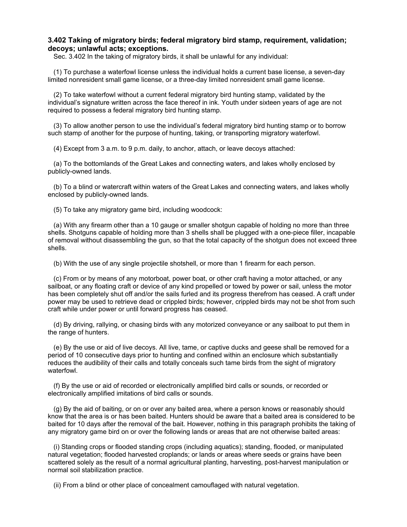# **3.402 Taking of migratory birds; federal migratory bird stamp, requirement, validation; decoys; unlawful acts; exceptions.**

Sec. 3.402 In the taking of migratory birds, it shall be unlawful for any individual:

(1) To purchase a waterfowl license unless the individual holds a current base license, a seven-day limited nonresident small game license, or a three-day limited nonresident small game license.

(2) To take waterfowl without a current federal migratory bird hunting stamp, validated by the individual's signature written across the face thereof in ink. Youth under sixteen years of age are not required to possess a federal migratory bird hunting stamp.

(3) To allow another person to use the individual's federal migratory bird hunting stamp or to borrow such stamp of another for the purpose of hunting, taking, or transporting migratory waterfowl.

(4) Except from 3 a.m. to 9 p.m. daily, to anchor, attach, or leave decoys attached:

(a) To the bottomlands of the Great Lakes and connecting waters, and lakes wholly enclosed by publicly-owned lands.

(b) To a blind or watercraft within waters of the Great Lakes and connecting waters, and lakes wholly enclosed by publicly-owned lands.

(5) To take any migratory game bird, including woodcock:

(a) With any firearm other than a 10 gauge or smaller shotgun capable of holding no more than three shells. Shotguns capable of holding more than 3 shells shall be plugged with a one-piece filler, incapable of removal without disassembling the gun, so that the total capacity of the shotgun does not exceed three shells.

(b) With the use of any single projectile shotshell, or more than 1 firearm for each person.

(c) From or by means of any motorboat, power boat, or other craft having a motor attached, or any sailboat, or any floating craft or device of any kind propelled or towed by power or sail, unless the motor has been completely shut off and/or the sails furled and its progress therefrom has ceased. A craft under power may be used to retrieve dead or crippled birds; however, crippled birds may not be shot from such craft while under power or until forward progress has ceased.

(d) By driving, rallying, or chasing birds with any motorized conveyance or any sailboat to put them in the range of hunters.

(e) By the use or aid of live decoys. All live, tame, or captive ducks and geese shall be removed for a period of 10 consecutive days prior to hunting and confined within an enclosure which substantially reduces the audibility of their calls and totally conceals such tame birds from the sight of migratory waterfowl.

(f) By the use or aid of recorded or electronically amplified bird calls or sounds, or recorded or electronically amplified imitations of bird calls or sounds.

(g) By the aid of baiting, or on or over any baited area, where a person knows or reasonably should know that the area is or has been baited. Hunters should be aware that a baited area is considered to be baited for 10 days after the removal of the bait. However, nothing in this paragraph prohibits the taking of any migratory game bird on or over the following lands or areas that are not otherwise baited areas:

(i) Standing crops or flooded standing crops (including aquatics); standing, flooded, or manipulated natural vegetation; flooded harvested croplands; or lands or areas where seeds or grains have been scattered solely as the result of a normal agricultural planting, harvesting, post-harvest manipulation or normal soil stabilization practice.

(ii) From a blind or other place of concealment camouflaged with natural vegetation.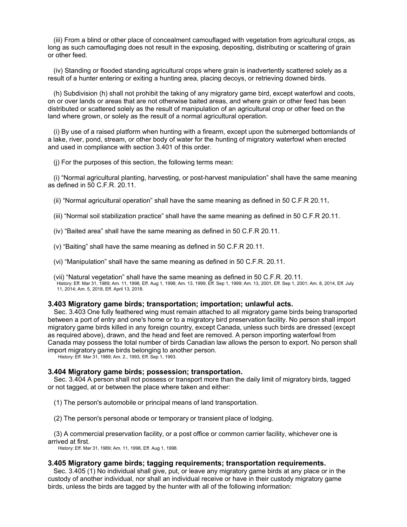(iii) From a blind or other place of concealment camouflaged with vegetation from agricultural crops, as long as such camouflaging does not result in the exposing, depositing, distributing or scattering of grain or other feed.

(iv) Standing or flooded standing agricultural crops where grain is inadvertently scattered solely as a result of a hunter entering or exiting a hunting area, placing decoys, or retrieving downed birds.

(h) Subdivision (h) shall not prohibit the taking of any migratory game bird, except waterfowl and coots, on or over lands or areas that are not otherwise baited areas, and where grain or other feed has been distributed or scattered solely as the result of manipulation of an agricultural crop or other feed on the land where grown, or solely as the result of a normal agricultural operation.

(i) By use of a raised platform when hunting with a firearm, except upon the submerged bottomlands of a lake, river, pond, stream, or other body of water for the hunting of migratory waterfowl when erected and used in compliance with section 3.401 of this order.

(j) For the purposes of this section, the following terms mean:

(i) "Normal agricultural planting, harvesting, or post-harvest manipulation" shall have the same meaning as defined in 50 C.F.R. 20.11.

(ii) "Normal agricultural operation" shall have the same meaning as defined in 50 C.F.R 20.11**.**

(iii) "Normal soil stabilization practice" shall have the same meaning as defined in 50 C.F.R 20.11.

(iv) "Baited area" shall have the same meaning as defined in 50 C.F.R 20.11.

(v) "Baiting" shall have the same meaning as defined in 50 C.F.R 20.11.

(vi) "Manipulation" shall have the same meaning as defined in 50 C.F.R. 20.11.

(vii) "Natural vegetation" shall have the same meaning as defined in 50 C.F.R. 20.11. History: Eff. Mar 31, 1989; Am. 11, 1998, Eff. Aug 1, 1998; Am. 13, 1999, Eff. Sep 1, 1999; Am. 13, 2001, Eff. Sep 1, 2001; Am. 8, 2014, Eff. July 11, 2014; Am. 5, 2018, Eff. April 13, 2018.

# **3.403 Migratory game birds; transportation; importation; unlawful acts.**

Sec. 3.403 One fully feathered wing must remain attached to all migratory game birds being transported between a port of entry and one's home or to a migratory bird preservation facility. No person shall import migratory game birds killed in any foreign country, except Canada, unless such birds are dressed (except as required above), drawn, and the head and feet are removed. A person importing waterfowl from Canada may possess the total number of birds Canadian law allows the person to export. No person shall import migratory game birds belonging to another person.

History: Eff. Mar 31, 1989; Am. 2., 1993, Eff. Sep 1, 1993.

#### **3.404 Migratory game birds; possession; transportation.**

Sec. 3.404 A person shall not possess or transport more than the daily limit of migratory birds, tagged or not tagged, at or between the place where taken and either:

(1) The person's automobile or principal means of land transportation.

(2) The person's personal abode or temporary or transient place of lodging.

(3) A commercial preservation facility, or a post office or common carrier facility, whichever one is arrived at first.

History: Eff. Mar 31, 1989; Am. 11, 1998, Eff. Aug 1, 1998.

#### **3.405 Migratory game birds; tagging requirements; transportation requirements.**

Sec. 3.405 (1) No individual shall give, put, or leave any migratory game birds at any place or in the custody of another individual, nor shall an individual receive or have in their custody migratory game birds, unless the birds are tagged by the hunter with all of the following information: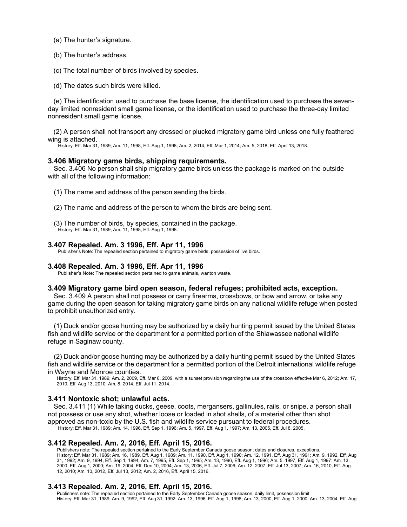(a) The hunter's signature.

(b) The hunter's address.

(c) The total number of birds involved by species.

(d) The dates such birds were killed.

(e) The identification used to purchase the base license, the identification used to purchase the sevenday limited nonresident small game license, or the identification used to purchase the three-day limited nonresident small game license.

(2) A person shall not transport any dressed or plucked migratory game bird unless one fully feathered wing is attached.

History: Eff. Mar 31, 1989; Am. 11, 1998, Eff. Aug 1, 1998; Am. 2, 2014, Eff. Mar 1, 2014; Am. 5, 2018, Eff. April 13, 2018.

# **3.406 Migratory game birds, shipping requirements.**

Sec. 3.406 No person shall ship migratory game birds unless the package is marked on the outside with all of the following information:

(1) The name and address of the person sending the birds.

- (2) The name and address of the person to whom the birds are being sent.
- (3) The number of birds, by species, contained in the package. History: Eff. Mar 31, 1989; Am. 11, 1998, Eff. Aug 1, 1998.

# **3.407 Repealed. Am. 3 1996, Eff. Apr 11, 1996**

Publisher's Note: The repealed section pertained to migratory game birds, possession of live birds.

### **3.408 Repealed. Am. 3 1996, Eff. Apr 11, 1996**

Publisher's Note: The repealed section pertained to game animals, wanton waste.

### **3.409 Migratory game bird open season, federal refuges; prohibited acts, exception.**

Sec. 3.409 A person shall not possess or carry firearms, crossbows, or bow and arrow, or take any game during the open season for taking migratory game birds on any national wildlife refuge when posted to prohibit unauthorized entry.

(1) Duck and/or goose hunting may be authorized by a daily hunting permit issued by the United States fish and wildlife service or the department for a permitted portion of the Shiawassee national wildlife refuge in Saginaw county.

(2) Duck and/or goose hunting may be authorized by a daily hunting permit issued by the United States fish and wildlife service or the department for a permitted portion of the Detroit international wildlife refuge in Wayne and Monroe counties.

History: Eff. Mar 31, 1989; Am. 2, 2009, Eff. Mar 6, 2009, with a sunset provision regarding the use of the crossbow effective Mar 6, 2012; Am. 17, 2010, Eff. Aug 13, 2010; Am. 8, 2014, Eff. Jul 11, 2014.

# **3.411 Nontoxic shot; unlawful acts.**

Sec. 3.411 (1) While taking ducks, geese, coots, mergansers, gallinules, rails, or snipe, a person shall not possess or use any shot, whether loose or loaded in shot shells, of a material other than shot approved as non-toxic by the U.S. fish and wildlife service pursuant to federal procedures.

History: Eff. Mar 31, 1989; Am. 14, 1996, Eff. Sep 1, 1996; Am. 5, 1997, Eff. Aug 1, 1997; Am. 13, 2005, Eff. Jul 8, 2005.

# **3.412 Repealed. Am. 2, 2016, Eff. April 15, 2016.**

Publishers note: The repealed section pertained to the Early September Canada goose season; dates and closures, exceptions. History: Eff. Mar 31, 1989; Am. 16, 1989, Eff. Aug 1, 1989; Am. 11, 1990, Eff. Aug 1, 1990; Am. 12, 1991, Eff. Aug 31, 1991; Am. 9, 1992, Eff. Aug 31, 1992; Am. 9, 1994, Eff. Sep 1, 1994; Am. 7, 1995, Eff. Sep 1, 1995; Am. 13, 1996, Eff. Aug 1, 1996; Am. 5, 1997, Eff. Aug 1, 1997: Am. 13, 2000, Eff. Aug 1, 2000; Am. 19, 2004, Eff. Dec 10, 2004; Am. 13, 2006, Eff. Jul 7, 2006; Am. 12, 2007, Eff. Jul 13, 2007; Am. 16, 2010, Eff. Aug. 12, 2010; Am. 10, 2012, Eff. Jul 13, 2012; Am. 2, 2016, Eff. April 15, 2016.

# **3.413 Repealed. Am. 2, 2016, Eff. April 15, 2016.**

Publishers note: The repealed section pertained to the Early September Canada goose season, daily limit, possession limit. History: Eff. Mar 31, 1989; Am. 9, 1992, Eff. Aug 31, 1992; Am. 13, 1996, Eff. Aug 1, 1996; Am. 13, 2000, Eff. Aug 1, 2000; Am. 13, 2004, Eff. Aug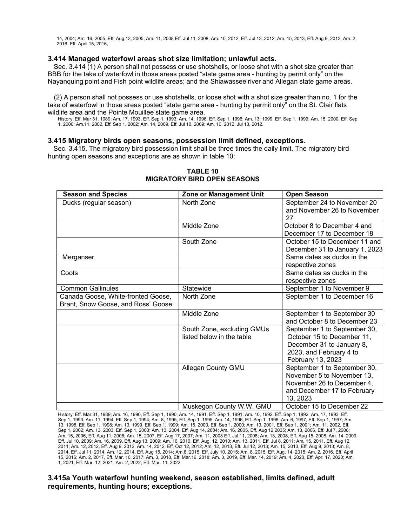14, 2004; Am. 16, 2005, Eff. Aug 12, 2005; Am. 11, 2008 Eff. Jul 11, 2008; Am. 10, 2012, Eff. Jul 13, 2012; Am. 15, 2013, Eff. Aug 9, 2013; Am. 2, 2016. Eff. April 15, 2016,

# **3.414 Managed waterfowl areas shot size limitation; unlawful acts.**

Sec. 3.414 (1) A person shall not possess or use shotshells, or loose shot with a shot size greater than BBB for the take of waterfowl in those areas posted "state game area - hunting by permit only" on the Nayanquing point and Fish point wildlife areas; and the Shiawassee river and Allegan state game areas.

(2) A person shall not possess or use shotshells, or loose shot with a shot size greater than no. 1 for the take of waterfowl in those areas posted "state game area - hunting by permit only" on the St. Clair flats wildlife area and the Pointe Mouillee state game area.

History: Eff. Mar 31, 1989; Am. 17, 1993, Eff. Sep 1, 1993; Am. 14, 1996, Eff. Sep 1, 1996; Am. 13, 1999, Eff. Sep 1, 1999; Am. 15, 2000, Eff. Sep 1, 2000; Am.11, 2002, Eff. Sep 1, 2002; Am. 14, 2009, Eff. Jul 10, 2009; Am. 10, 2012, Jul 13, 2012.

# **3.415 Migratory birds open seasons, possession limit defined, exceptions.**

Sec. 3.415. The migratory bird possession limit shall be three times the daily limit. The migratory bird hunting open seasons and exceptions are as shown in table 10:

| <b>Season and Species</b>                                                | Zone or Management Unit                                 | <b>Open Season</b>                                                                                                                      |
|--------------------------------------------------------------------------|---------------------------------------------------------|-----------------------------------------------------------------------------------------------------------------------------------------|
| Ducks (regular season)                                                   | North Zone                                              | September 24 to November 20<br>and November 26 to November<br>27                                                                        |
|                                                                          | Middle Zone                                             | October 8 to December 4 and<br>December 17 to December 18                                                                               |
|                                                                          | South Zone                                              | October 15 to December 11 and<br>December 31 to January 1, 2023                                                                         |
| Merganser                                                                |                                                         | Same dates as ducks in the<br>respective zones                                                                                          |
| Coots                                                                    |                                                         | Same dates as ducks in the<br>respective zones                                                                                          |
| <b>Common Gallinules</b>                                                 | Statewide                                               | September 1 to November 9                                                                                                               |
| Canada Goose, White-fronted Goose,<br>Brant, Snow Goose, and Ross' Goose | North Zone                                              | September 1 to December 16                                                                                                              |
|                                                                          | Middle Zone                                             | September 1 to September 30<br>and October 8 to December 23                                                                             |
|                                                                          | South Zone, excluding GMUs<br>listed below in the table | September 1 to September 30,<br>October 15 to December 11,<br>December 31 to January 8,<br>2023, and February 4 to<br>February 13, 2023 |
|                                                                          | Allegan County GMU                                      | September 1 to September 30,<br>November 5 to November 13,<br>November 26 to December 4,<br>and December 17 to February<br>13, 2023     |
|                                                                          | Muskegon County W.W. GMU                                | October 15 to December 22                                                                                                               |

# **TABLE 10 MIGRATORY BIRD OPEN SEASONS**

History: Eff. Mar 31, 1989; Am. 16, 1990, Eff. Sep 1, 1990; Am. 14, 1991, Eff. Sep 1, 1991; Am. 10, 1992, Eff. Sep 1, 1992; Am. 17, 1993, Eff. Sep 1, 1993; Am. 11, 1994, Eff. Sep 1, 1994; Am. 8, 1995, Eff. Sep 1, 1995; Am. 14, 1996, Eff. Sep 1, 1996; Am. 6, 1997, Eff. Sep 1, 1997; Am. 13, 1998, Eff. Sep 1, 1998; Am. 13, 1999, Eff. Sep 1, 1999; Am. 15, 2000, Eff. Sep 1, 2000; Am. 13, 2001, Eff. Sep 1, 2001; Am. 11, 2002, Eff. Sep 1, 2002; Am. 13, 2003, Eff. Sep 1, 2003; Am. 13, 2004, Eff. Aug 14, 2004; Am. 16, 2005, Eff. Aug 12,2005; Am. 13, 2006, Eff. Jul 7, 2006; Am. 15, 2006, Eff. Aug 11, 2006; Am. 15, 2007, Eff. Aug 17, 2007; Am. 11, 2008 Eff. Jul 11, 2008; Am. 13, 2008, Eff. Aug 15, 2008; Am. 14, 2009, Eff. Jul 10, 2009; Am. 16, 2009, Eff. Aug 13, 2009; Am. 16, 2010, Eff. Aug. 12, 2010; Am. 13, 2011, Eff. Jul 8, 2011; Am. 15, 2011, Eff. Aug 12, 2011; Am. 12, 2012, Eff. Aug 9, 2012; Am. 14, 2012, Eff. Oct 12, 2012; Am. 12, 2013, Eff. Jul 12, 2013; Am. 15, 2013, Eff. Aug 9, 2013; Am. 8, 2014, Eff. Jul 11, 2014; Am. 12, 2014, Eff. Aug 15, 2014; Am.6, 2015, Eff. July 10, 2015; Am. 8, 2015, Eff. Aug. 14, 2015; Am. 2, 2016, Eff. April 15, 2016; Am. 2, 2017, Eff. Mar. 10, 2017; Am. 3, 2018, Eff. Mar.16, 2018; Am. 3, 2019, Eff. Mar. 14, 2019; Am. 4, 2020, Eff. Apr. 17, 2020; Am. 1, 2021, Eff. Mar. 12, 2021; Am. 2, 2022, Eff. Mar. 11, 2022.

# **3.415a Youth waterfowl hunting weekend, season established, limits defined, adult requirements, hunting hours; exceptions.**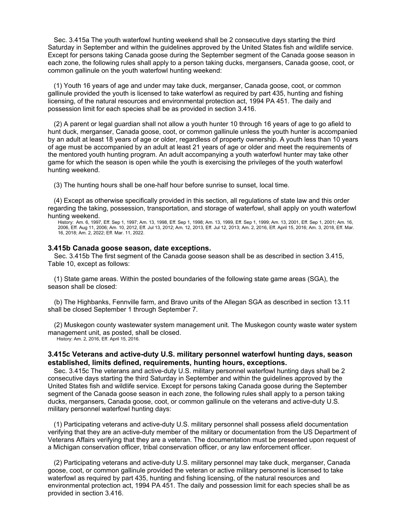Sec. 3.415a The youth waterfowl hunting weekend shall be 2 consecutive days starting the third Saturday in September and within the guidelines approved by the United States fish and wildlife service. Except for persons taking Canada goose during the September segment of the Canada goose season in each zone, the following rules shall apply to a person taking ducks, mergansers, Canada goose, coot, or common gallinule on the youth waterfowl hunting weekend:

(1) Youth 16 years of age and under may take duck, merganser, Canada goose, coot, or common gallinule provided the youth is licensed to take waterfowl as required by part 435, hunting and fishing licensing, of the natural resources and environmental protection act, 1994 PA 451. The daily and possession limit for each species shall be as provided in section 3.416.

(2) A parent or legal guardian shall not allow a youth hunter 10 through 16 years of age to go afield to hunt duck, merganser, Canada goose, coot, or common gallinule unless the youth hunter is accompanied by an adult at least 18 years of age or older, regardless of property ownership. A youth less than 10 years of age must be accompanied by an adult at least 21 years of age or older and meet the requirements of the mentored youth hunting program. An adult accompanying a youth waterfowl hunter may take other game for which the season is open while the youth is exercising the privileges of the youth waterfowl hunting weekend.

(3) The hunting hours shall be one-half hour before sunrise to sunset, local time.

(4) Except as otherwise specifically provided in this section, all regulations of state law and this order regarding the taking, possession, transportation, and storage of waterfowl, shall apply on youth waterfowl hunting weekend.

History: Am. 6, 1997, Eff. Sep 1, 1997; Am. 13, 1998, Eff. Sep 1, 1998; Am. 13, 1999, Eff. Sep 1, 1999; Am. 13, 2001, Eff. Sep 1, 2001; Am. 16, 2006, Eff. Aug 11, 2006; Am. 10, 2012, Eff. Jul 13, 2012; Am. 12, 2013, Eff. Jul 12, 2013; Am. 2, 2016, Eff. April 15, 2016; Am. 3, 2018, Eff. Mar. 16, 2018; Am. 2, 2022; Eff. Mar. 11, 2022.

### **3.415b Canada goose season, date exceptions.**

Sec. 3.415b The first segment of the Canada goose season shall be as described in section 3.415, Table 10, except as follows:

(1) State game areas. Within the posted boundaries of the following state game areas (SGA), the season shall be closed:

(b) The Highbanks, Fennville farm, and Bravo units of the Allegan SGA as described in section 13.11 shall be closed September 1 through September 7.

(2) Muskegon county wastewater system management unit. The Muskegon county waste water system management unit, as posted, shall be closed.

History: Am. 2, 2016, Eff. April 15, 2016.

# **3.415c Veterans and active-duty U.S. military personnel waterfowl hunting days, season established, limits defined, requirements, hunting hours, exceptions.**

Sec. 3.415c The veterans and active-duty U.S. military personnel waterfowl hunting days shall be 2 consecutive days starting the third Saturday in September and within the guidelines approved by the United States fish and wildlife service. Except for persons taking Canada goose during the September segment of the Canada goose season in each zone, the following rules shall apply to a person taking ducks, mergansers, Canada goose, coot, or common gallinule on the veterans and active-duty U.S. military personnel waterfowl hunting days:

(1) Participating veterans and active-duty U.S. military personnel shall possess afield documentation verifying that they are an active-duty member of the military or documentation from the US Department of Veterans Affairs verifying that they are a veteran. The documentation must be presented upon request of a Michigan conservation officer, tribal conservation officer, or any law enforcement officer.

(2) Participating veterans and active-duty U.S. military personnel may take duck, merganser, Canada goose, coot, or common gallinule provided the veteran or active military personnel is licensed to take waterfowl as required by part 435, hunting and fishing licensing, of the natural resources and environmental protection act, 1994 PA 451. The daily and possession limit for each species shall be as provided in section 3.416.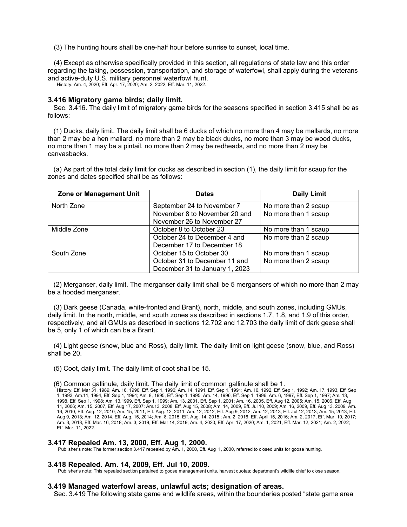(3) The hunting hours shall be one-half hour before sunrise to sunset, local time.

(4) Except as otherwise specifically provided in this section, all regulations of state law and this order regarding the taking, possession, transportation, and storage of waterfowl, shall apply during the veterans and active-duty U.S. military personnel waterfowl hunt.

History: Am. 4, 2020; Eff. Apr. 17, 2020; Am. 2, 2022; Eff. Mar. 11, 2022.

### **3.416 Migratory game birds; daily limit.**

Sec. 3.416. The daily limit of migratory game birds for the seasons specified in section 3.415 shall be as follows:

(1) Ducks, daily limit. The daily limit shall be 6 ducks of which no more than 4 may be mallards, no more than 2 may be a hen mallard, no more than 2 may be black ducks, no more than 3 may be wood ducks, no more than 1 may be a pintail, no more than 2 may be redheads, and no more than 2 may be canvasbacks.

(a) As part of the total daily limit for ducks as described in section (1), the daily limit for scaup for the zones and dates specified shall be as follows:

| Zone or Management Unit | <b>Dates</b>                   | <b>Daily Limit</b>   |
|-------------------------|--------------------------------|----------------------|
| North Zone              | September 24 to November 7     | No more than 2 scaup |
|                         | November 8 to November 20 and  | No more than 1 scaup |
|                         | November 26 to November 27     |                      |
| Middle Zone             | October 8 to October 23        | No more than 1 scaup |
|                         | October 24 to December 4 and   | No more than 2 scaup |
|                         | December 17 to December 18     |                      |
| South Zone              | October 15 to October 30       | No more than 1 scaup |
|                         | October 31 to December 11 and  | No more than 2 scaup |
|                         | December 31 to January 1, 2023 |                      |

(2) Merganser, daily limit. The merganser daily limit shall be 5 mergansers of which no more than 2 may be a hooded merganser.

(3) Dark geese (Canada, white-fronted and Brant), north, middle, and south zones, including GMUs, daily limit. In the north, middle, and south zones as described in sections 1.7, 1.8, and 1.9 of this order, respectively, and all GMUs as described in sections 12.702 and 12.703 the daily limit of dark geese shall be 5, only 1 of which can be a Brant.

(4) Light geese (snow, blue and Ross), daily limit. The daily limit on light geese (snow, blue, and Ross) shall be 20.

- (5) Coot, daily limit. The daily limit of coot shall be 15.
- (6) Common gallinule, daily limit. The daily limit of common gallinule shall be 1.

History: Eff. Mar 31, 1989; Am. 16, 1990, Eff. Sep 1, 1990; Am. 14, 1991, Eff. Sep 1, 1991; Am. 10, 1992, Eff. Sep 1, 1992; Am. 17, 1993, Eff. Sep 1, 1993; Am.11, 1994, Eff. Sep 1, 1994; Am. 8, 1995, Eff. Sep 1, 1995; Am. 14, 1996, Eff. Sep 1, 1996; Am. 6, 1997, Eff. Sep 1, 1997; Am. 13, 1998, Eff. Sep 1, 1998; Am. 13,1999, Eff. Sep 1, 1999; Am. 13, 2001, Eff. Sep 1, 2001; Am. 16, 2005, Eff. Aug 12, 2005; Am. 15, 2006, Eff. Aug 11, 2006; Am. 15, 2007, Eff. Aug 17, 2007; Am.13, 2008, Eff. Aug 15, 2008; Am. 14, 2009, Eff. Jul 10, 2009; Am. 16, 2009, Eff. Aug 13, 2009; Am. 16, 2010, Eff. Aug. 12, 2010; Am. 15, 2011, Eff. Aug. 12, 2011; Am. 12, 2012, Eff. Aug 9, 2012; Am. 12, 2013, Eff. Jul 12, 2013; Am. 15, 2013, Eff. Aug 9, 2013; Am. 12, 2014, Eff. Aug. 15, 2014; Am. 8, 2015, Eff. Aug. 14, 2015.; Am. 2, 2016, Eff. April 15, 2016; Am. 2, 2017, Eff. Mar. 10, 2017; Am. 3, 2018, Eff. Mar. 16, 2018; Am. 3, 2019, Eff. Mar 14, 2019; Am. 4, 2020, Eff. Apr. 17, 2020; Am. 1, 2021, Eff. Mar. 12, 2021; Am. 2, 2022; Eff. Mar. 11, 2022.

# **3.417 Repealed Am. 13, 2000, Eff. Aug 1, 2000.**

Publisher's note: The former section 3.417 repealed by Am. 1, 2000, Eff. Aug 1, 2000, referred to closed units for goose hunting.

# **3.418 Repealed. Am. 14, 2009, Eff. Jul 10, 2009.**

Publisher's note: This repealed section pertained to goose management units, harvest quotas; department's wildlife chief to close season.

#### **3.419 Managed waterfowl areas, unlawful acts; designation of areas.**

Sec. 3.419 The following state game and wildlife areas, within the boundaries posted "state game area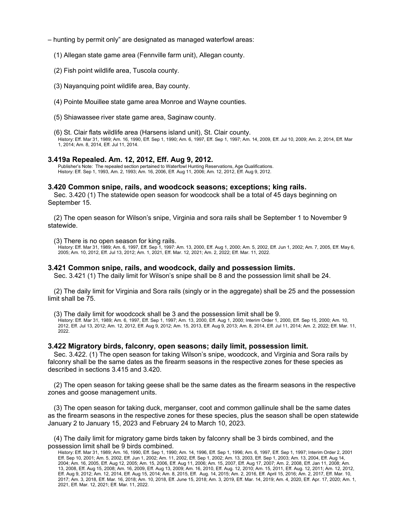- hunting by permit only" are designated as managed waterfowl areas:
	- (1) Allegan state game area (Fennville farm unit), Allegan county.
	- (2) Fish point wildlife area, Tuscola county.
	- (3) Nayanquing point wildlife area, Bay county.
	- (4) Pointe Mouillee state game area Monroe and Wayne counties.
	- (5) Shiawassee river state game area, Saginaw county.

(6) St. Clair flats wildlife area (Harsens island unit), St. Clair county.

History: Eff. Mar 31, 1989; Am. 16, 1990, Eff. Sep 1, 1990; Am. 6, 1997, Eff. Sep 1, 1997; Am. 14, 2009, Eff. Jul 10, 2009; Am. 2, 2014, Eff. Mar 1, 2014; Am. 8, 2014, Eff. Jul 11, 2014.

### **3.419a Repealed. Am. 12, 2012, Eff. Aug 9, 2012.**

Publisher's Note: The repealed section pertained to Waterfowl Hunting Reservations, Age Qualifications. History: Eff. Sep 1, 1993, Am. 2, 1993; Am. 16, 2006, Eff. Aug 11, 2006; Am. 12, 2012, Eff. Aug 9, 2012.

### **3.420 Common snipe, rails, and woodcock seasons; exceptions; king rails.**

Sec. 3.420 (1) The statewide open season for woodcock shall be a total of 45 days beginning on September 15.

(2) The open season for Wilson's snipe, Virginia and sora rails shall be September 1 to November 9 statewide.

#### (3) There is no open season for king rails.

History: Eff. Mar 31, 1989; Am. 6, 1997, Eff. Sep 1, 1997: Am. 13, 2000, Eff. Aug 1, 2000; Am. 5, 2002, Eff. Jun 1, 2002; Am. 7, 2005, Eff. May 6, 2005; Am. 10, 2012, Eff. Jul 13, 2012; Am. 1, 2021, Eff. Mar. 12, 2021; Am. 2, 2022; Eff. Mar. 11, 2022.

### **3.421 Common snipe, rails, and woodcock, daily and possession limits.**

Sec. 3.421 (1) The daily limit for Wilson's snipe shall be 8 and the possession limit shall be 24.

(2) The daily limit for Virginia and Sora rails (singly or in the aggregate) shall be 25 and the possession limit shall be 75.

(3) The daily limit for woodcock shall be 3 and the possession limit shall be 9.

History: Eff. Mar 31, 1989; Am. 6, 1997, Eff. Sep 1, 1997; Am. 13, 2000, Eff. Aug 1, 2000; Interim Order 1, 2000, Eff. Sep 15, 2000; Am. 10, 2012, Eff. Jul 13, 2012; Am. 12, 2012, Eff. Aug 9, 2012; Am. 15, 2013, Eff. Aug 9, 2013; Am. 8, 2014, Eff. Jul 11, 2014; Am. 2, 2022; Eff. Mar. 11, 2022.

### **3.422 Migratory birds, falconry, open seasons; daily limit, possession limit.**

Sec. 3.422. (1) The open season for taking Wilson's snipe, woodcock, and Virginia and Sora rails by falconry shall be the same dates as the firearm seasons in the respective zones for these species as described in sections 3.415 and 3.420.

(2) The open season for taking geese shall be the same dates as the firearm seasons in the respective zones and goose management units.

(3) The open season for taking duck, merganser, coot and common gallinule shall be the same dates as the firearm seasons in the respective zones for these species, plus the season shall be open statewide January 2 to January 15, 2023 and February 24 to March 10, 2023.

(4) The daily limit for migratory game birds taken by falconry shall be 3 birds combined, and the possession limit shall be 9 birds combined.

History: Eff. Mar 31, 1989; Am. 16, 1990, Eff. Sep 1, 1990; Am. 14, 1996, Eff. Sep 1, 1996; Am. 6, 1997, Eff. Sep 1, 1997; Interim Order 2, 2001 Eff. Sep 10, 2001; Am. 5, 2002, Eff. Jun 1, 2002; Am. 11, 2002, Eff. Sep 1, 2002; Am. 13, 2003, Eff. Sep 1, 2003; Am. 13, 2004, Eff. Aug 14, 2004; Am. 16, 2005, Eff. Aug 12, 2005; Am. 15, 2006, Eff. Aug 11, 2006; Am. 15, 2007, Eff. Aug 17, 2007; Am. 2, 2008, Eff. Jan 11, 2008; Am. 13, 2008, Eff. Aug 15, 2008; Am. 16, 2009, Eff. Aug 13, 2009; Am. 16, 2010, Eff. Aug. 12, 2010; Am. 15, 2011, Eff. Aug. 12, 2011; Am. 12, 2012, Eff. Aug 9, 2012; Am. 12, 2014, Eff. Aug 15, 2014; Am. 8, 2015, Eff. Aug. 14, 2015; Am. 2, 2016, Eff. April 15, 2016; Am. 2, 2017, Eff. Mar. 10, 2017; Am. 3, 2018, Eff. Mar. 16, 2018; Am. 10, 2018, Eff. June 15, 2018; Am. 3, 2019, Eff. Mar. 14, 2019; Am. 4, 2020, Eff. Apr. 17, 2020; Am. 1, 2021, Eff. Mar. 12, 2021; Eff. Mar. 11, 2022.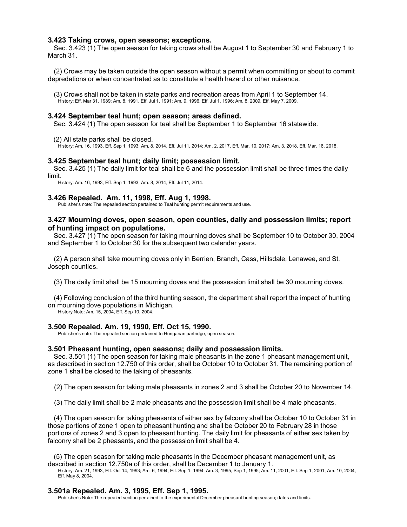### **3.423 Taking crows, open seasons; exceptions.**

Sec. 3.423 (1) The open season for taking crows shall be August 1 to September 30 and February 1 to March 31.

(2) Crows may be taken outside the open season without a permit when committing or about to commit depredations or when concentrated as to constitute a health hazard or other nuisance.

(3) Crows shall not be taken in state parks and recreation areas from April 1 to September 14. History: Eff. Mar 31, 1989; Am. 8, 1991, Eff. Jul 1, 1991; Am. 9, 1996, Eff. Jul 1, 1996; Am. 8, 2009, Eff. May 7, 2009.

### **3.424 September teal hunt; open season; areas defined.**

Sec. 3.424 (1) The open season for teal shall be September 1 to September 16 statewide.

(2) All state parks shall be closed.

History: Am. 16, 1993, Eff. Sep 1, 1993; Am. 8, 2014, Eff. Jul 11, 2014; Am. 2, 2017, Eff. Mar. 10, 2017; Am. 3, 2018, Eff. Mar. 16, 2018.

### **3.425 September teal hunt; daily limit; possession limit.**

Sec. 3.425 (1) The daily limit for teal shall be 6 and the possession limit shall be three times the daily limit.

History: Am. 16, 1993, Eff. Sep 1, 1993; Am. 8, 2014, Eff. Jul 11, 2014.

### **3.426 Repealed. Am. 11, 1998, Eff. Aug 1, 1998.**

Publisher's note: The repealed section pertained to Teal hunting permit requirements and use.

# **3.427 Mourning doves, open season, open counties, daily and possession limits; report of hunting impact on populations.**

Sec. 3.427 (1) The open season for taking mourning doves shall be September 10 to October 30, 2004 and September 1 to October 30 for the subsequent two calendar years.

(2) A person shall take mourning doves only in Berrien, Branch, Cass, Hillsdale, Lenawee, and St. Joseph counties.

(3) The daily limit shall be 15 mourning doves and the possession limit shall be 30 mourning doves.

(4) Following conclusion of the third hunting season, the department shall report the impact of hunting on mourning dove populations in Michigan.

History Note: Am. 15, 2004, Eff. Sep 10, 2004.

### **3.500 Repealed. Am. 19, 1990, Eff. Oct 15, 1990.**

Publisher's note: The repealed section pertained to Hungarian partridge, open season.

#### **3.501 Pheasant hunting, open seasons; daily and possession limits.**

Sec. 3.501 (1) The open season for taking male pheasants in the zone 1 pheasant management unit, as described in section 12.750 of this order, shall be October 10 to October 31. The remaining portion of zone 1 shall be closed to the taking of pheasants.

(2) The open season for taking male pheasants in zones 2 and 3 shall be October 20 to November 14.

(3) The daily limit shall be 2 male pheasants and the possession limit shall be 4 male pheasants.

(4) The open season for taking pheasants of either sex by falconry shall be October 10 to October 31 in those portions of zone 1 open to pheasant hunting and shall be October 20 to February 28 in those portions of zones 2 and 3 open to pheasant hunting. The daily limit for pheasants of either sex taken by falconry shall be 2 pheasants, and the possession limit shall be 4.

(5) The open season for taking male pheasants in the December pheasant management unit, as described in section 12.750a of this order, shall be December 1 to January 1.

History: Am. 21, 1993, Eff. Oct 14, 1993; Am. 6, 1994, Eff. Sep 1, 1994; Am. 3, 1995, Sep 1, 1995; Am. 11, 2001, Eff. Sep 1, 2001; Am. 10, 2004, Eff. May 8, 2004.

#### **3.501a Repealed. Am. 3, 1995, Eff. Sep 1, 1995.**

Publisher's Note: The repealed section pertained to the experimental December pheasant hunting season; dates and limits.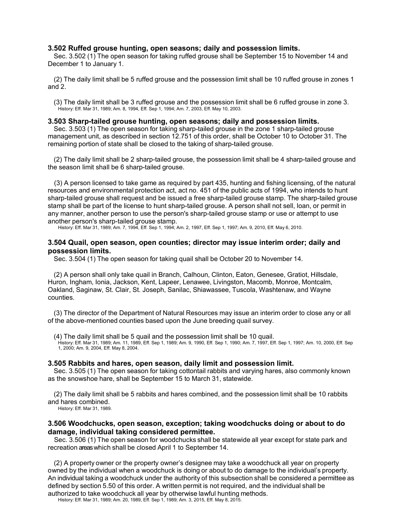# **3.502 Ruffed grouse hunting, open seasons; daily and possession limits.**

Sec. 3.502 (1) The open season for taking ruffed grouse shall be September 15 to November 14 and December 1 to January 1.

(2) The daily limit shall be 5 ruffed grouse and the possession limit shall be 10 ruffed grouse in zones 1 and 2.

(3) The daily limit shall be 3 ruffed grouse and the possession limit shall be 6 ruffed grouse in zone 3. History: Eff. Mar 31, 1989; Am. 8, 1994, Eff. Sep 1, 1994; Am. 7, 2003, Eff. May 10, 2003.

### **3.503 Sharp-tailed grouse hunting, open seasons; daily and possession limits.**

Sec. 3.503 (1) The open season for taking sharp-tailed grouse in the zone 1 sharp-tailed grouse management unit, as described in section 12.751 of this order, shall be October 10 to October 31. The remaining portion of state shall be closed to the taking of sharp-tailed grouse.

(2) The daily limit shall be 2 sharp-tailed grouse, the possession limit shall be 4 sharp-tailed grouse and the season limit shall be 6 sharp-tailed grouse.

(3) A person licensed to take game as required by part 435, hunting and fishing licensing, of the natural resources and environmental protection act, act no. 451 of the public acts of 1994, who intends to hunt sharp-tailed grouse shall request and be issued a free sharp-tailed grouse stamp. The sharp-tailed grouse stamp shall be part of the license to hunt sharp-tailed grouse. A person shall not sell, loan, or permit in any manner, another person to use the person's sharp-tailed grouse stamp or use or attempt to use another person's sharp-tailed grouse stamp.

History: Eff. Mar 31, 1989; Am. 7, 1994, Eff. Sep 1, 1994; Am. 2, 1997, Eff. Sep 1, 1997; Am. 9, 2010, Eff. May 6, 2010.

### **3.504 Quail, open season, open counties; director may issue interim order; daily and possession limits.**

Sec. 3.504 (1) The open season for taking quail shall be October 20 to November 14.

(2) A person shall only take quail in Branch, Calhoun, Clinton, Eaton, Genesee, Gratiot, Hillsdale, Huron, Ingham, Ionia, Jackson, Kent, Lapeer, Lenawee, Livingston, Macomb, Monroe, Montcalm, Oakland, Saginaw, St. Clair, St. Joseph, Sanilac, Shiawassee, Tuscola, Washtenaw, and Wayne counties.

(3) The director of the Department of Natural Resources may issue an interim order to close any or all of the above-mentioned counties based upon the June breeding quail survey.

(4) The daily limit shall be 5 quail and the possession limit shall be 10 quail.

History: Eff. Mar 31, 1989; Am. 11, 1989, Eff. Sep 1, 1989; Am. 9, 1990, Eff. Sep 1, 1990; Am. 7, 1997, Eff. Sep 1, 1997; Am. 10, 2000, Eff. Sep 1, 2000; Am. 9, 2004, Eff. May 8, 2004.

#### **3.505 Rabbits and hares, open season, daily limit and possession limit.**

Sec. 3.505 (1) The open season for taking cottontail rabbits and varying hares, also commonly known as the snowshoe hare, shall be September 15 to March 31, statewide.

(2) The daily limit shall be 5 rabbits and hares combined, and the possession limit shall be 10 rabbits and hares combined.

History: Eff. Mar 31, 1989.

# **3.506 Woodchucks, open season, exception; taking woodchucks doing or about to do damage, individual taking considered permittee.**

Sec. 3.506 (1) The open season for woodchucks shall be statewide all year except for state park and recreation areas which shall be closed April 1 to September 14.

(2) A property owner or the property owner's designee may take a woodchuck all year on property owned by the individual when a woodchuck is doing or about to do damage to the individual's property. An individual taking a woodchuck under the authority of this subsection shall be considered a permittee as defined by section 5.50 of this order. A written permit is not required, and the individual shall be

authorized to take woodchuck all year by otherwise lawful hunting methods.

History: Eff. Mar 31, 1989; Am. 20, 1989, Eff. Sep 1, 1989; Am. 3, 2015, Eff. May 8, 2015.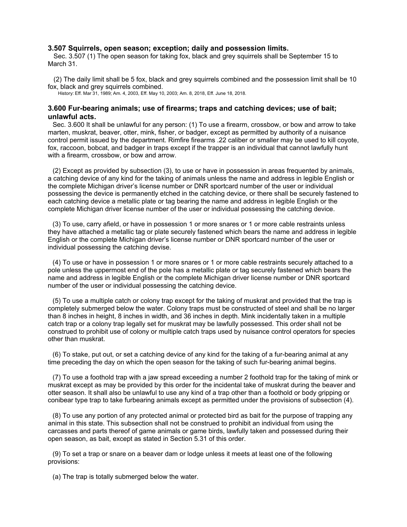# **3.507 Squirrels, open season; exception; daily and possession limits.**

Sec. 3.507 (1) The open season for taking fox, black and grey squirrels shall be September 15 to March 31.

(2) The daily limit shall be 5 fox, black and grey squirrels combined and the possession limit shall be 10 fox, black and grey squirrels combined.

History: Eff. Mar 31, 1989; Am. 4, 2003, Eff. May 10, 2003; Am. 8, 2018, Eff. June 18, 2018.

# **3.600 Fur-bearing animals; use of firearms; traps and catching devices; use of bait; unlawful acts.**

Sec. 3.600 It shall be unlawful for any person: (1) To use a firearm, crossbow, or bow and arrow to take marten, muskrat, beaver, otter, mink, fisher, or badger, except as permitted by authority of a nuisance control permit issued by the department. Rimfire firearms .22 caliber or smaller may be used to kill coyote, fox, raccoon, bobcat, and badger in traps except if the trapper is an individual that cannot lawfully hunt with a firearm, crossbow, or bow and arrow.

(2) Except as provided by subsection (3), to use or have in possession in areas frequented by animals, a catching device of any kind for the taking of animals unless the name and address in legible English or the complete Michigan driver's license number or DNR sportcard number of the user or individual possessing the device is permanently etched in the catching device, or there shall be securely fastened to each catching device a metallic plate or tag bearing the name and address in legible English or the complete Michigan driver license number of the user or individual possessing the catching device.

(3) To use, carry afield, or have in possession 1 or more snares or 1 or more cable restraints unless they have attached a metallic tag or plate securely fastened which bears the name and address in legible English or the complete Michigan driver's license number or DNR sportcard number of the user or individual possessing the catching devise.

(4) To use or have in possession 1 or more snares or 1 or more cable restraints securely attached to a pole unless the uppermost end of the pole has a metallic plate or tag securely fastened which bears the name and address in legible English or the complete Michigan driver license number or DNR sportcard number of the user or individual possessing the catching device.

(5) To use a multiple catch or colony trap except for the taking of muskrat and provided that the trap is completely submerged below the water. Colony traps must be constructed of steel and shall be no larger than 8 inches in height, 8 inches in width, and 36 inches in depth. Mink incidentally taken in a multiple catch trap or a colony trap legally set for muskrat may be lawfully possessed. This order shall not be construed to prohibit use of colony or multiple catch traps used by nuisance control operators for species other than muskrat.

(6) To stake, put out, or set a catching device of any kind for the taking of a fur-bearing animal at any time preceding the day on which the open season for the taking of such fur-bearing animal begins.

(7) To use a foothold trap with a jaw spread exceeding a number 2 foothold trap for the taking of mink or muskrat except as may be provided by this order for the incidental take of muskrat during the beaver and otter season. It shall also be unlawful to use any kind of a trap other than a foothold or body gripping or conibear type trap to take furbearing animals except as permitted under the provisions of subsection (4).

(8) To use any portion of any protected animal or protected bird as bait for the purpose of trapping any animal in this state. This subsection shall not be construed to prohibit an individual from using the carcasses and parts thereof of game animals or game birds, lawfully taken and possessed during their open season, as bait, except as stated in Section 5.31 of this order.

(9) To set a trap or snare on a beaver dam or lodge unless it meets at least one of the following provisions:

(a) The trap is totally submerged below the water.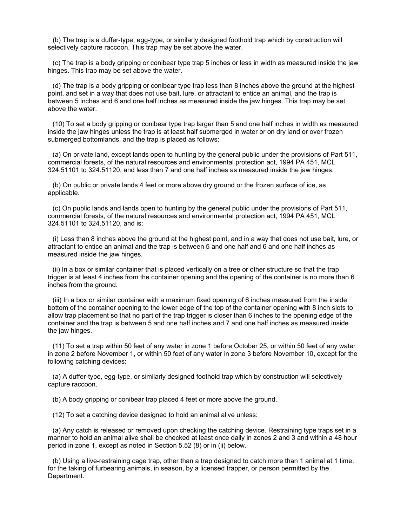(b) The trap is a duffer-type, egg-type, or similarly designed foothold trap which by construction will selectively capture raccoon. This trap may be set above the water.

(c) The trap is a body gripping or conibear type trap 5 inches or less in width as measured inside the jaw hinges. This trap may be set above the water.

(d) The trap is a body gripping or conibear type trap less than 8 inches above the ground at the highest point, and set in a way that does not use bait, lure, or attractant to entice an animal, and the trap is between 5 inches and 6 and one half inches as measured inside the jaw hinges. This trap may be set above the water.

(10) To set a body gripping or conibear type trap larger than 5 and one half inches in width as measured inside the jaw hinges unless the trap is at least half submerged in water or on dry land or over frozen submerged bottomlands, and the trap is placed as follows:

(a) On private land, except lands open to hunting by the general public under the provisions of Part 511, commercial forests, of the natural resources and environmental protection act, 1994 PA 451, MCL 324.51101 to 324.51120, and less than 7 and one half inches as measured inside the jaw hinges.

(b) On public or private lands 4 feet or more above dry ground or the frozen surface of ice, as applicable.

(c) On public lands and lands open to hunting by the general public under the provisions of Part 511, commercial forests, of the natural resources and environmental protection act, 1994 PA 451, MCL 324.51101 to 324.51120, and is:

(i) Less than 8 inches above the ground at the highest point, and in a way that does not use bait, lure, or attractant to entice an animal and the trap is between 5 and one half and 6 and one half inches as measured inside the jaw hinges.

(ii) In a box or similar container that is placed vertically on a tree or other structure so that the trap trigger is at least 4 inches from the container opening and the opening of the container is no more than 6 inches from the ground.

(iii) In a box or similar container with a maximum fixed opening of 6 inches measured from the inside bottom of the container opening to the lower edge of the top of the container opening with 8 inch slots to allow trap placement so that no part of the trap trigger is closer than 6 inches to the opening edge of the container and the trap is between 5 and one half inches and 7 and one half inches as measured inside the jaw hinges.

(11) To set a trap within 50 feet of any water in zone 1 before October 25, or within 50 feet of any water in zone 2 before November 1, or within 50 feet of any water in zone 3 before November 10, except for the following catching devices:

(a) A duffer-type, egg-type, or similarly designed foothold trap which by construction will selectively capture raccoon.

(b) A body gripping or conibear trap placed 4 feet or more above the ground.

(12) To set a catching device designed to hold an animal alive unless:

(a) Any catch is released or removed upon checking the catching device. Restraining type traps set in a manner to hold an animal alive shall be checked at least once daily in zones 2 and 3 and within a 48 hour period in zone 1, except as noted in Section 5.52 (8) or in (ii) below.

(b) Using a live-restraining cage trap, other than a trap designed to catch more than 1 animal at 1 time, for the taking of furbearing animals, in season, by a licensed trapper, or person permitted by the Department.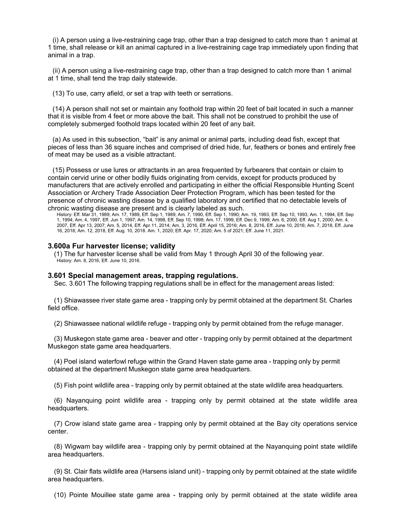(i) A person using a live-restraining cage trap, other than a trap designed to catch more than 1 animal at 1 time, shall release or kill an animal captured in a live-restraining cage trap immediately upon finding that animal in a trap.

(ii) A person using a live-restraining cage trap, other than a trap designed to catch more than 1 animal at 1 time, shall tend the trap daily statewide.

(13) To use, carry afield, or set a trap with teeth or serrations.

(14) A person shall not set or maintain any foothold trap within 20 feet of bait located in such a manner that it is visible from 4 feet or more above the bait. This shall not be construed to prohibit the use of completely submerged foothold traps located within 20 feet of any bait.

(a) As used in this subsection, "bait" is any animal or animal parts, including dead fish, except that pieces of less than 36 square inches and comprised of dried hide, fur, feathers or bones and entirely free of meat may be used as a visible attractant.

(15) Possess or use lures or attractants in an area frequented by furbearers that contain or claim to contain cervid urine or other bodily fluids originating from cervids, except for products produced by manufacturers that are actively enrolled and participating in either the official Responsible Hunting Scent Association or Archery Trade Association Deer Protection Program, which has been tested for the presence of chronic wasting disease by a qualified laboratory and certified that no detectable levels of chronic wasting disease are present and is clearly labeled as such.

History: Eff. Mar 31, 1989; Am. 17, 1989, Eff. Sep 1, 1989; Am. 7, 1990, Eff. Sep 1, 1990; Am. 19, 1993, Eff. Sep 10, 1993; Am. 1, 1994, Eff. Sep 1, 1994; Am. 4, 1997, Eff. Jun 1, 1997; Am. 14, 1998, Eff. Sep 10, 1998; Am. 17, 1999, Eff. Dec 9, 1999; Am. 6, 2000, Eff. Aug 1, 2000; Am. 4, 2007, Eff. Apr 13, 2007; Am. 5, 2014, Eff. Apr.11, 2014; Am. 3, 2016, Eff. April 15, 2016; Am. 8, 2016, Eff. June 10, 2016; Am. 7, 2018, Eff. June 16, 2018; Am. 12, 2018, Eff. Aug. 10, 2018. Am. 1, 2020; Eff. Apr. 17, 2020; Am. 5 of 2021; Eff. June 11, 2021.

### **3.600a Fur harvester license; validity**

(1) The fur harvester license shall be valid from May 1 through April 30 of the following year. History: Am. 8, 2016, Eff. June 10, 2016.

### **3.601 Special management areas, trapping regulations.**

Sec. 3.601 The following trapping regulations shall be in effect for the management areas listed:

(1) Shiawassee river state game area - trapping only by permit obtained at the department St. Charles field office.

(2) Shiawassee national wildlife refuge - trapping only by permit obtained from the refuge manager.

(3) Muskegon state game area - beaver and otter - trapping only by permit obtained at the department Muskegon state game area headquarters.

(4) Poel island waterfowl refuge within the Grand Haven state game area - trapping only by permit obtained at the department Muskegon state game area headquarters.

(5) Fish point wildlife area - trapping only by permit obtained at the state wildlife area headquarters.

(6) Nayanquing point wildlife area - trapping only by permit obtained at the state wildlife area headquarters.

(7) Crow island state game area - trapping only by permit obtained at the Bay city operations service center.

(8) Wigwam bay wildlife area - trapping only by permit obtained at the Nayanquing point state wildlife area headquarters.

(9) St. Clair flats wildlife area (Harsens island unit) - trapping only by permit obtained at the state wildlife area headquarters.

(10) Pointe Mouillee state game area - trapping only by permit obtained at the state wildlife area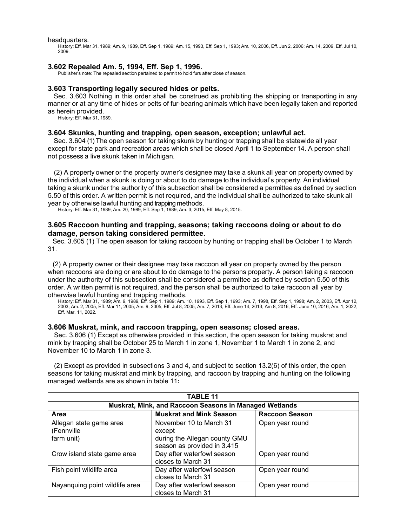headquarters.

History: Eff. Mar 31, 1989; Am. 9, 1989, Eff. Sep 1, 1989; Am. 15, 1993, Eff. Sep 1, 1993; Am. 10, 2006, Eff. Jun 2, 2006; Am. 14, 2009, Eff. Jul 10, 2009.

### **3.602 Repealed Am. 5, 1994, Eff. Sep 1, 1996.**

Publisher's note: The repealed section pertained to permit to hold furs after close of season.

### **3.603 Transporting legally secured hides or pelts.**

Sec. 3.603 Nothing in this order shall be construed as prohibiting the shipping or transporting in any manner or at any time of hides or pelts of fur-bearing animals which have been legally taken and reported as herein provided.

History: Eff. Mar 31, 1989.

### **3.604 Skunks, hunting and trapping, open season, exception; unlawful act.**

Sec. 3.604 (1) The open season for taking skunk by hunting or trapping shall be statewide all year except for state park and recreation areas which shall be closed April 1 to September 14. A person shall not possess a live skunk taken in Michigan.

(2) A property owner or the property owner's designee may take a skunk all year on property owned by the individual when a skunk is doing or about to do damage to the individual's property. An individual taking a skunk under the authority of this subsection shall be considered a permittee as defined by section 5.50 of this order. A written permit is not required, and the individual shall be authorized to take skunk all year by otherwise lawful hunting and trapping methods.

History: Eff. Mar 31, 1989; Am. 20, 1989, Eff. Sep 1, 1989; Am. 3, 2015, Eff. May 8, 2015.

# **3.605 Raccoon hunting and trapping, seasons; taking raccoons doing or about to do damage, person taking considered permittee.**

Sec. 3.605 (1) The open season for taking raccoon by hunting or trapping shall be October 1 to March 31.

(2) A property owner or their designee may take raccoon all year on property owned by the person when raccoons are doing or are about to do damage to the persons property. A person taking a raccoon under the authority of this subsection shall be considered a permittee as defined by section 5.50 of this order. A written permit is not required, and the person shall be authorized to take raccoon all year by otherwise lawful hunting and trapping methods.

History: Eff. Mar 31, 1989; Am. 9, 1989, Eff. Sep 1, 1989; Am. 10, 1993, Eff. Sep 1, 1993; Am. 7, 1998, Eff. Sep 1, 1998; Am. 2, 2003, Eff. Apr 12, 2003; Am. 2, 2005, Eff. Mar 11, 2005; Am. 9, 2005, Eff. Jul 8, 2005; Am. 7, 2013, Eff. June 14, 2013; Am 8, 2016, Eff. June 10, 2016; Am. 1, 2022, Eff. Mar. 11, 2022.

### **3.606 Muskrat, mink, and raccoon trapping, open seasons; closed areas.**

Sec. 3.606 (1) Except as otherwise provided in this section, the open season for taking muskrat and mink by trapping shall be October 25 to March 1 in zone 1, November 1 to March 1 in zone 2, and November 10 to March 1 in zone 3.

(2) Except as provided in subsections 3 and 4, and subject to section 13.2(6) of this order, the open seasons for taking muskrat and mink by trapping, and raccoon by trapping and hunting on the following managed wetlands are as shown in table 11**:**

| <b>TABLE 11</b>                                        |                                |                       |  |
|--------------------------------------------------------|--------------------------------|-----------------------|--|
| Muskrat, Mink, and Raccoon Seasons in Managed Wetlands |                                |                       |  |
| Area                                                   | <b>Muskrat and Mink Season</b> | <b>Raccoon Season</b> |  |
| Allegan state game area                                | November 10 to March 31        | Open year round       |  |
| (Fennville                                             | except                         |                       |  |
| farm unit)                                             | during the Allegan county GMU  |                       |  |
|                                                        | season as provided in 3.415    |                       |  |
| Crow island state game area                            | Day after waterfowl season     | Open year round       |  |
|                                                        | closes to March 31             |                       |  |
| Fish point wildlife area                               | Day after waterfowl season     | Open year round       |  |
|                                                        | closes to March 31             |                       |  |
| Nayanquing point wildlife area                         | Day after waterfowl season     | Open year round       |  |
|                                                        | closes to March 31             |                       |  |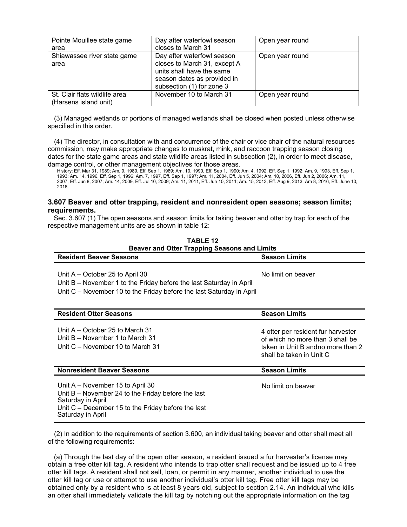| Pointe Mouillee state game<br>area                     | Day after waterfowl season<br>closes to March 31                                                                                                    | Open year round |
|--------------------------------------------------------|-----------------------------------------------------------------------------------------------------------------------------------------------------|-----------------|
| Shiawassee river state game<br>area                    | Day after waterfowl season<br>closes to March 31, except A<br>units shall have the same<br>season dates as provided in<br>subsection (1) for zone 3 | Open year round |
| St. Clair flats wildlife area<br>(Harsens island unit) | November 10 to March 31                                                                                                                             | Open year round |

(3) Managed wetlands or portions of managed wetlands shall be closed when posted unless otherwise specified in this order.

(4) The director, in consultation with and concurrence of the chair or vice chair of the natural resources commission, may make appropriate changes to muskrat, mink, and raccoon trapping season closing dates for the state game areas and state wildlife areas listed in subsection (2), in order to meet disease, damage control, or other management objectives for those areas.

History: Eff. Mar 31, 1989; Am. 9, 1989, Eff. Sep 1, 1989; Am. 10, 1990, Eff. Sep 1, 1990; Am. 4, 1992, Eff. Sep 1, 1992; Am. 9, 1993, Eff. Sep 1, 1993; Am. 14, 1996, Eff. Sep 1, 1996; Am. 7, 1997, Eff. Sep 1, 1997; Am. 11, 2004, Eff. Jun 5, 2004; Am. 10, 2006, Eff. Jun 2, 2006; Am. 11, 2007, Eff. Jun 8, 2007; Am. 14, 2009, Eff. Jul 10, 2009; Am. 11, 2011, Eff. Jun 10, 2011; Am. 15, 2013, Eff. Aug 9, 2013; Am 8, 2016, Eff. June 10, 2016.

# **3.607 Beaver and otter trapping, resident and nonresident open seasons; season limits; requirements.**

Sec. 3.607 (1) The open seasons and season limits for taking beaver and otter by trap for each of the respective management units are as shown in table 12:

**TABLE 12**

| <b>Beaver and Otter Trapping Seasons and Limits</b>                                                                                                                                        |                                                                                                                                         |
|--------------------------------------------------------------------------------------------------------------------------------------------------------------------------------------------|-----------------------------------------------------------------------------------------------------------------------------------------|
| <b>Resident Beaver Seasons</b>                                                                                                                                                             | <b>Season Limits</b>                                                                                                                    |
| Unit A – October 25 to April 30<br>Unit B – November 1 to the Friday before the last Saturday in April<br>Unit C – November 10 to the Friday before the last Saturday in April             | No limit on beaver                                                                                                                      |
| <b>Resident Otter Seasons</b>                                                                                                                                                              | <b>Season Limits</b>                                                                                                                    |
| Unit $A - October$ 25 to March 31<br>Unit B – November 1 to March 31<br>Unit C – November 10 to March 31                                                                                   | 4 otter per resident fur harvester<br>of which no more than 3 shall be<br>taken in Unit B andno more than 2<br>shall be taken in Unit C |
| <b>Nonresident Beaver Seasons</b>                                                                                                                                                          | <b>Season Limits</b>                                                                                                                    |
| Unit A – November 15 to April 30<br>Unit $B -$ November 24 to the Friday before the last<br>Saturday in April<br>Unit $C$ – December 15 to the Friday before the last<br>Saturday in April | No limit on beaver                                                                                                                      |

(2) In addition to the requirements of section 3.600, an individual taking beaver and otter shall meet all of the following requirements:

(a) Through the last day of the open otter season, a resident issued a fur harvester's license may obtain a free otter kill tag. A resident who intends to trap otter shall request and be issued up to 4 free otter kill tags. A resident shall not sell, loan, or permit in any manner, another individual to use the otter kill tag or use or attempt to use another individual's otter kill tag. Free otter kill tags may be obtained only by a resident who is at least 8 years old, subject to section 2.14. An individual who kills an otter shall immediately validate the kill tag by notching out the appropriate information on the tag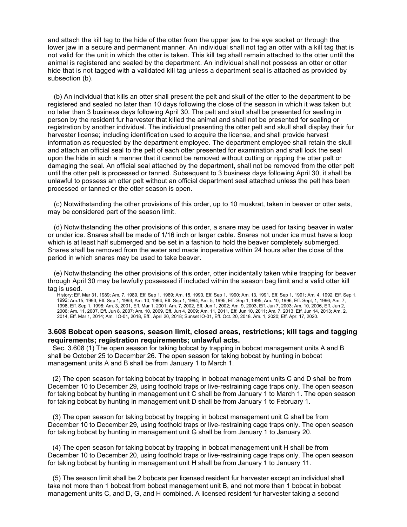and attach the kill tag to the hide of the otter from the upper jaw to the eye socket or through the lower jaw in a secure and permanent manner. An individual shall not tag an otter with a kill tag that is not valid for the unit in which the otter is taken. This kill tag shall remain attached to the otter until the animal is registered and sealed by the department. An individual shall not possess an otter or otter hide that is not tagged with a validated kill tag unless a department seal is attached as provided by subsection (b).

(b) An individual that kills an otter shall present the pelt and skull of the otter to the department to be registered and sealed no later than 10 days following the close of the season in which it was taken but no later than 3 business days following April 30. The pelt and skull shall be presented for sealing in person by the resident fur harvester that killed the animal and shall not be presented for sealing or registration by another individual. The individual presenting the otter pelt and skull shall display their fur harvester license; including identification used to acquire the license, and shall provide harvest information as requested by the department employee. The department employee shall retain the skull and attach an official seal to the pelt of each otter presented for examination and shall lock the seal upon the hide in such a manner that it cannot be removed without cutting or ripping the otter pelt or damaging the seal. An official seal attached by the department, shall not be removed from the otter pelt until the otter pelt is processed or tanned. Subsequent to 3 business days following April 30, it shall be unlawful to possess an otter pelt without an official department seal attached unless the pelt has been processed or tanned or the otter season is open.

(c) Notwithstanding the other provisions of this order, up to 10 muskrat, taken in beaver or otter sets, may be considered part of the season limit.

(d) Notwithstanding the other provisions of this order, a snare may be used for taking beaver in water or under ice. Snares shall be made of 1/16 inch or larger cable. Snares not under ice must have a loop which is at least half submerged and be set in a fashion to hold the beaver completely submerged. Snares shall be removed from the water and made inoperative within 24 hours after the close of the period in which snares may be used to take beaver.

(e) Notwithstanding the other provisions of this order, otter incidentally taken while trapping for beaver through April 30 may be lawfully possessed if included within the season bag limit and a valid otter kill tag is used.

History: Eff. Mar 31, 1989; Am. 7, 1989, Eff. Sep 1, 1989; Am. 15, 1990, Eff. Sep 1, 1990; Am. 13, 1991, Eff. Sep 1, 1991; Am. 4, 1992, Eff. Sep 1, 1992; Am.15, 1993, Eff. Sep 1, 1993; Am. 10, 1994, Eff. Sep 1, 1994; Am. 5, 1995, Eff. Sep 1, 1995; Am. 10, 1996, Eff. Sept, 1, 1996; Am. 7, 1998, Eff. Sep 1, 1998; Am. 3, 2001, Eff. Mar 1, 2001; Am. 7, 2002, Eff. Jun 1, 2002; Am. 9, 2003, Eff. Jun 7, 2003; Am. 10, 2006, Eff. Jun 2, 2006; Am. 11, 2007, Eff. Jun 8, 2007; Am. 10, 2009, Eff. Jun 4, 2009; Am. 11, 2011, Eff. Jun 10, 2011; Am. 7, 2013, Eff. Jun 14, 2013; Am. 2, 2014, Eff. Mar 1, 2014; Am. IO-01, 2018, Eff., April 20, 2018; Sunset IO-01, Eff. Oct. 20, 2018. Am. 1, 2020; Eff. Apr. 17, 2020.

### **3.608 Bobcat open seasons, season limit, closed areas, restrictions; kill tags and tagging requirements; registration requirements; unlawful acts.**

Sec. 3.608 (1) The open season for taking bobcat by trapping in bobcat management units A and B shall be October 25 to December 26. The open season for taking bobcat by hunting in bobcat management units A and B shall be from January 1 to March 1.

(2) The open season for taking bobcat by trapping in bobcat management units C and D shall be from December 10 to December 29, using foothold traps or live-restraining cage traps only. The open season for taking bobcat by hunting in management unit C shall be from January 1 to March 1. The open season for taking bobcat by hunting in management unit D shall be from January 1 to February 1.

(3) The open season for taking bobcat by trapping in bobcat management unit G shall be from December 10 to December 29, using foothold traps or live-restraining cage traps only. The open season for taking bobcat by hunting in management unit G shall be from January 1 to January 20.

(4) The open season for taking bobcat by trapping in bobcat management unit H shall be from December 10 to December 20, using foothold traps or live-restraining cage traps only. The open season for taking bobcat by hunting in management unit H shall be from January 1 to January 11.

(5) The season limit shall be 2 bobcats per licensed resident fur harvester except an individual shall take not more than 1 bobcat from bobcat management unit B, and not more than 1 bobcat in bobcat management units C, and D, G, and H combined. A licensed resident fur harvester taking a second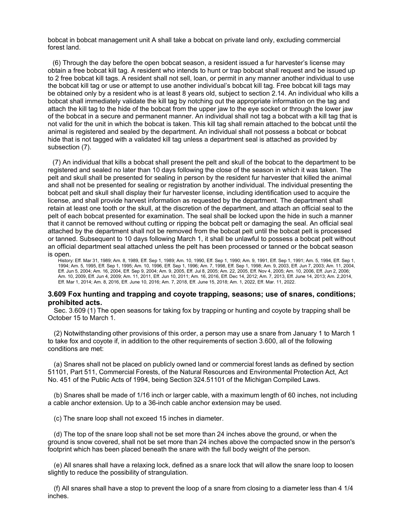bobcat in bobcat management unit A shall take a bobcat on private land only, excluding commercial forest land.

(6) Through the day before the open bobcat season, a resident issued a fur harvester's license may obtain a free bobcat kill tag. A resident who intends to hunt or trap bobcat shall request and be issued up to 2 free bobcat kill tags. A resident shall not sell, loan, or permit in any manner another individual to use the bobcat kill tag or use or attempt to use another individual's bobcat kill tag. Free bobcat kill tags may be obtained only by a resident who is at least 8 years old, subject to section 2.14. An individual who kills a bobcat shall immediately validate the kill tag by notching out the appropriate information on the tag and attach the kill tag to the hide of the bobcat from the upper jaw to the eye socket or through the lower jaw of the bobcat in a secure and permanent manner. An individual shall not tag a bobcat with a kill tag that is not valid for the unit in which the bobcat is taken. This kill tag shall remain attached to the bobcat until the animal is registered and sealed by the department. An individual shall not possess a bobcat or bobcat hide that is not tagged with a validated kill tag unless a department seal is attached as provided by subsection (7).

(7) An individual that kills a bobcat shall present the pelt and skull of the bobcat to the department to be registered and sealed no later than 10 days following the close of the season in which it was taken. The pelt and skull shall be presented for sealing in person by the resident fur harvester that killed the animal and shall not be presented for sealing or registration by another individual. The individual presenting the bobcat pelt and skull shall display their fur harvester license, including identification used to acquire the license, and shall provide harvest information as requested by the department. The department shall retain at least one tooth or the skull, at the discretion of the department, and attach an official seal to the pelt of each bobcat presented for examination. The seal shall be locked upon the hide in such a manner that it cannot be removed without cutting or ripping the bobcat pelt or damaging the seal. An official seal attached by the department shall not be removed from the bobcat pelt until the bobcat pelt is processed or tanned. Subsequent to 10 days following March 1, it shall be unlawful to possess a bobcat pelt without an official department seal attached unless the pelt has been processed or tanned or the bobcat season is open.

History: Eff. Mar 31, 1989; Am. 8, 1989, Eff. Sep 1, 1989; Am. 10, 1990, Eff. Sep 1, 1990; Am. 9, 1991, Eff. Sep 1, 1991; Am. 5, 1994, Eff. Sep 1, 1994; Am. 5, 1995, Eff. Sep 1, 1995; Am. 10, 1996, Eff. Sep 1, 1996; Am. 7, 1998, Eff. Sep 1, 1998; Am. 9, 2003, Eff. Jun 7, 2003; Am. 11, 2004, Eff. Jun 5, 2004; Am. 16, 2004, Eff. Sep 9, 2004; Am. 9, 2005, Eff. Jul 8, 2005; Am. 22, 2005, Eff. Nov 4, 2005; Am. 10, 2006, Eff. Jun 2, 2006; Am. 10, 2009, Eff. Jun 4, 2009; Am. 11, 2011, Eff. Jun 10, 2011; Am. 16, 2016, Eff. Dec 14, 2012; Am. 7, 2013, Eff. June 14, 2013; Am. 2,2014, Eff. Mar 1, 2014; Am. 8, 2016, Eff. June 10, 2016; Am. 7, 2018, Eff. June 15, 2018; Am. 1, 2022, Eff. Mar. 11, 2022.

# **3.609 Fox hunting and trapping and coyote trapping, seasons; use of snares, conditions; prohibited acts.**

Sec. 3.609 (1) The open seasons for taking fox by trapping or hunting and coyote by trapping shall be October 15 to March 1.

(2) Notwithstanding other provisions of this order, a person may use a snare from January 1 to March 1 to take fox and coyote if, in addition to the other requirements of section 3.600, all of the following conditions are met:

(a) Snares shall not be placed on publicly owned land or commercial forest lands as defined by section 51101, Part 511, Commercial Forests, of the Natural Resources and Environmental Protection Act, Act No. 451 of the Public Acts of 1994, being Section 324.51101 of the Michigan Compiled Laws.

(b) Snares shall be made of 1/16 inch or larger cable, with a maximum length of 60 inches, not including a cable anchor extension. Up to a 36-inch cable anchor extension may be used.

(c) The snare loop shall not exceed 15 inches in diameter.

(d) The top of the snare loop shall not be set more than 24 inches above the ground, or when the ground is snow covered, shall not be set more than 24 inches above the compacted snow in the person's footprint which has been placed beneath the snare with the full body weight of the person.

(e) All snares shall have a relaxing lock, defined as a snare lock that will allow the snare loop to loosen slightly to reduce the possibility of strangulation.

(f) All snares shall have a stop to prevent the loop of a snare from closing to a diameter less than 4 1/4 inches.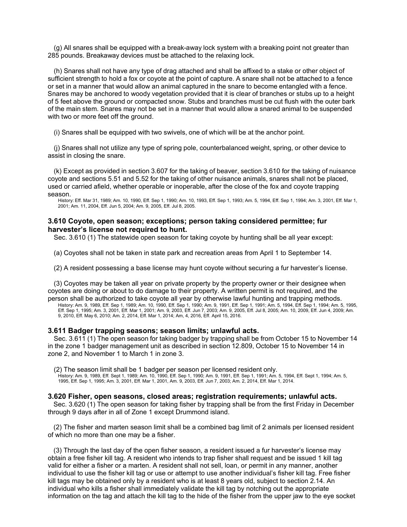(g) All snares shall be equipped with a break-away lock system with a breaking point not greater than 285 pounds. Breakaway devices must be attached to the relaxing lock.

(h) Snares shall not have any type of drag attached and shall be affixed to a stake or other object of sufficient strength to hold a fox or coyote at the point of capture. A snare shall not be attached to a fence or set in a manner that would allow an animal captured in the snare to become entangled with a fence. Snares may be anchored to woody vegetation provided that it is clear of branches or stubs up to a height of 5 feet above the ground or compacted snow. Stubs and branches must be cut flush with the outer bark of the main stem. Snares may not be set in a manner that would allow a snared animal to be suspended with two or more feet off the ground.

(i) Snares shall be equipped with two swivels, one of which will be at the anchor point.

(j) Snares shall not utilize any type of spring pole, counterbalanced weight, spring, or other device to assist in closing the snare.

(k) Except as provided in section 3.607 for the taking of beaver, section 3.610 for the taking of nuisance coyote and sections 5.51 and 5.52 for the taking of other nuisance animals, snares shall not be placed, used or carried afield, whether operable or inoperable, after the close of the fox and coyote trapping season.

History: Eff. Mar 31, 1989; Am. 10, 1990, Eff. Sep 1, 1990; Am. 10, 1993, Eff. Sep 1, 1993; Am. 5, 1994, Eff. Sep 1, 1994; Am. 3, 2001, Eff. Mar 1, 2001; Am. 11, 2004, Eff. Jun 5, 2004; Am. 9, 2005, Eff. Jul 8, 2005.

# **3.610 Coyote, open season; exceptions; person taking considered permittee; fur harvester's license not required to hunt.**

Sec. 3.610 (1) The statewide open season for taking coyote by hunting shall be all year except:

(a) Coyotes shall not be taken in state park and recreation areas from April 1 to September 14.

(2) A resident possessing a base license may hunt coyote without securing a fur harvester's license.

(3) Coyotes may be taken all year on private property by the property owner or their designee when coyotes are doing or about to do damage to their property. A written permit is not required, and the person shall be authorized to take coyote all year by otherwise lawful hunting and trapping methods.

History: Am. 9, 1989, Eff. Sep 1, 1989; Am. 10, 1990, Eff. Sep 1, 1990; Am. 9, 1991, Eff. Sep 1, 1991; Am. 5, 1994, Eff. Sep 1, 1994; Am. 5, 1995, Eff. Sep 1, 1995; Am. 3, 2001, Eff. Mar 1, 2001; Am. 9, 2003, Eff. Jun 7, 2003; Am. 9, 2005, Eff. Jul 8, 2005; Am. 10, 2009, Eff. Jun 4, 2009; Am. 9, 2010, Eff. May 6, 2010; Am. 2, 2014, Eff. Mar 1, 2014; Am, 4, 2016, Eff. April 15, 2016.

### **3.611 Badger trapping seasons; season limits; unlawful acts.**

Sec. 3.611 (1) The open season for taking badger by trapping shall be from October 15 to November 14 in the zone 1 badger management unit as described in section 12.809, October 15 to November 14 in zone 2, and November 1 to March 1 in zone 3.

(2) The season limit shall be 1 badger per season per licensed resident only.

History: Am. 9, 1989, Eff. Sept 1, 1989; Am. 10, 1990, Eff. Sep 1, 1990; Am. 9, 1991, Eff. Sep 1, 1991; Am. 5, 1994, Eff. Sept 1, 1994; Am. 5, 1995, Eff. Sep 1, 1995; Am. 3, 2001, Eff. Mar 1, 2001, Am. 9, 2003, Eff. Jun 7, 2003; Am. 2, 2014, Eff. Mar 1, 2014.

### **3.620 Fisher, open seasons, closed areas; registration requirements; unlawful acts.**

Sec. 3.620 (1) The open season for taking fisher by trapping shall be from the first Friday in December through 9 days after in all of Zone 1 except Drummond island.

(2) The fisher and marten season limit shall be a combined bag limit of 2 animals per licensed resident of which no more than one may be a fisher.

(3) Through the last day of the open fisher season, a resident issued a fur harvester's license may obtain a free fisher kill tag. A resident who intends to trap fisher shall request and be issued 1 kill tag valid for either a fisher or a marten. A resident shall not sell, loan, or permit in any manner, another individual to use the fisher kill tag or use or attempt to use another individual's fisher kill tag. Free fisher kill tags may be obtained only by a resident who is at least 8 years old, subject to section 2.14. An individual who kills a fisher shall immediately validate the kill tag by notching out the appropriate information on the tag and attach the kill tag to the hide of the fisher from the upper jaw to the eye socket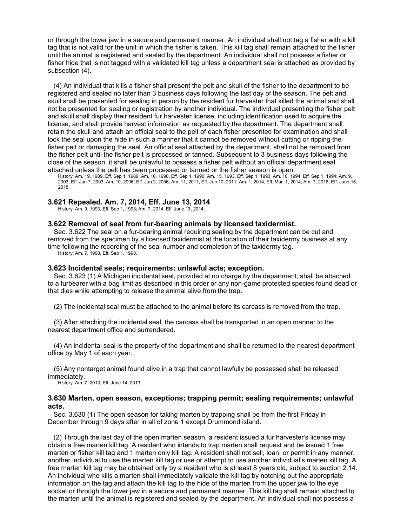or through the lower jaw in a secure and permanent manner. An individual shall not tag a fisher with a kill tag that is not valid for the unit in which the fisher is taken. This kill tag shall remain attached to the fisher until the animal is registered and sealed by the department. An individual shall not possess a fisher or fisher hide that is not tagged with a validated kill tag unless a department seal is attached as provided by subsection (4).

(4) An individual that kills a fisher shall present the pelt and skull of the fisher to the department to be registered and sealed no later than 3 business days following the last day of the season. The pelt and skull shall be presented for sealing in person by the resident fur harvester that killed the animal and shall not be presented for sealing or registration by another individual. The individual presenting the fisher pelt and skull shall display their resident fur harvester license, including identification used to acquire the license, and shall provide harvest information as requested by the department. The department shall retain the skull and attach an official seal to the pelt of each fisher presented for examination and shall lock the seal upon the hide in such a manner that it cannot be removed without cutting or ripping the fisher pelt or damaging the seal. An official seal attached by the department, shall not be removed from the fisher pelt until the fisher pelt is processed or tanned. Subsequent to 3 business days following the close of the season, it shall be unlawful to possess a fisher pelt without an official department seal attached unless the pelt has been processed or tanned or the fisher season is open.

History: Am. 19, 1989, Eff. Sep 1, 1989; Am. 10, 1990, Eff. Sep 1, 1990; Am. 15, 1993, Eff. Sep 1, 1993; Am. 10, 1994, Eff. Sep 1, 1994; Am. 9, 2003, Eff. Jun 7, 2003; Am. 10, 2006, Eff. Jun 2, 2006; Am. 11, 2011, Eff. Jun 10, 2011; Am. 1, 2014, Eff. Mar. 1, 2014; Am. 7, 2018, Eff. June 15, 2018.

### **3.621 Repealed. Am. 7, 2014, Eff. June 13, 2014**

History: Am. 9, 1993, Eff. Sep 1, 1993; Am. 7, 2014, Eff. June 13, 2014.

### **3.622 Removal of seal from fur-bearing animals by licensed taxidermist.**

Sec. 3.622 The seal on a fur-bearing animal requiring sealing by the department can be cut and removed from the specimen by a licensed taxidermist at the location of their taxidermy business at any time following the recording of the seal number and completion of the taxidermy tag. History: Am. 7, 1998, Eff. Sep 1, 1998.

# **3.623 Incidental seals; requirements; unlawful acts; exception.**

Sec. 3.623 (1) A Michigan incidental seal, provided at no charge by the department, shall be attached to a furbearer with a bag limit as described in this order or any non-game protected species found dead or that dies while attempting to release the animal alive from the trap.

(2) The incidental seal must be attached to the animal before its carcass is removed from the trap.

(3) After attaching the incidental seal, the carcass shall be transported in an open manner to the nearest department office and surrendered.

(4) An incidental seal is the property of the department and shall be returned to the nearest department office by May 1 of each year.

(5) Any nontarget animal found alive in a trap that cannot lawfully be possessed shall be released immediately.

History: Am. 7, 2013, Eff. June 14, 2013.

### **3.630 Marten, open season, exceptions; trapping permit; sealing requirements; unlawful acts.**

Sec. 3.630 (1) The open season for taking marten by trapping shall be from the first Friday in December through 9 days after in all of zone 1 except Drummond island.

(2) Through the last day of the open marten season, a resident issued a fur harvester's license may obtain a free marten kill tag. A resident who intends to trap marten shall request and be issued 1 free marten or fisher kill tag and 1 marten only kill tag. A resident shall not sell, loan, or permit in any manner, another individual to use the marten kill tag or use or attempt to use another individual's marten kill tag. A free marten kill tag may be obtained only by a resident who is at least 8 years old, subject to section 2.14. An individual who kills a marten shall immediately validate the kill tag by notching out the appropriate information on the tag and attach the kill tag to the hide of the marten from the upper jaw to the eye socket or through the lower jaw in a secure and permanent manner. This kill tag shall remain attached to the marten until the animal is registered and sealed by the department. An individual shall not possess a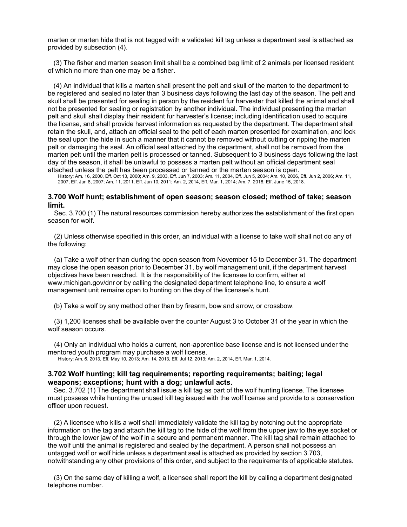marten or marten hide that is not tagged with a validated kill tag unless a department seal is attached as provided by subsection (4).

(3) The fisher and marten season limit shall be a combined bag limit of 2 animals per licensed resident of which no more than one may be a fisher.

(4) An individual that kills a marten shall present the pelt and skull of the marten to the department to be registered and sealed no later than 3 business days following the last day of the season. The pelt and skull shall be presented for sealing in person by the resident fur harvester that killed the animal and shall not be presented for sealing or registration by another individual. The individual presenting the marten pelt and skull shall display their resident fur harvester's license; including identification used to acquire the license, and shall provide harvest information as requested by the department. The department shall retain the skull, and, attach an official seal to the pelt of each marten presented for examination, and lock the seal upon the hide in such a manner that it cannot be removed without cutting or ripping the marten pelt or damaging the seal. An official seal attached by the department, shall not be removed from the marten pelt until the marten pelt is processed or tanned. Subsequent to 3 business days following the last day of the season, it shall be unlawful to possess a marten pelt without an official department seal attached unless the pelt has been processed or tanned or the marten season is open.

History: Am. 16, 2000, Eff. Oct 13, 2000; Am. 9, 2003, Eff. Jun 7, 2003; Am. 11, 2004, Eff. Jun 5, 2004; Am. 10, 2006, Eff. Jun 2, 2006; Am. 11, 2007, Eff. Jun 8, 2007; Am. 11, 2011, Eff. Jun 10, 2011; Am. 2, 2014, Eff. Mar. 1, 2014; Am. 7, 2018, Eff. June 15, 2018.

## **3.700 Wolf hunt; establishment of open season; season closed; method of take; season limit.**

Sec. 3.700 (1) The natural resources commission hereby authorizes the establishment of the first open season for wolf.

(2) Unless otherwise specified in this order, an individual with a license to take wolf shall not do any of the following:

(a) Take a wolf other than during the open season from November 15 to December 31. The department may close the open season prior to December 31, by wolf management unit, if the department harvest objectives have been reached. It is the responsibility of the licensee to confirm, either at [www.michigan.gov/dnr](http://www.michigan.gov/dnr) or by calling the designated department telephone line, to ensure a wolf management unit remains open to hunting on the day of the licensee's hunt.

(b) Take a wolf by any method other than by firearm, bow and arrow, or crossbow.

(3) 1,200 licenses shall be available over the counter August 3 to October 31 of the year in which the wolf season occurs.

(4) Only an individual who holds a current, non-apprentice base license and is not licensed under the mentored youth program may purchase a wolf license.

History: Am. 6, 2013, Eff. May 10, 2013; Am. 14, 2013, Eff. Jul 12, 2013; Am. 2, 2014, Eff. Mar. 1, 2014.

### **3.702 Wolf hunting; kill tag requirements; reporting requirements; baiting; legal weapons; exceptions; hunt with a dog; unlawful acts.**

Sec. 3.702 (1) The department shall issue a kill tag as part of the wolf hunting license. The licensee must possess while hunting the unused kill tag issued with the wolf license and provide to a conservation officer upon request.

(2) A licensee who kills a wolf shall immediately validate the kill tag by notching out the appropriate information on the tag and attach the kill tag to the hide of the wolf from the upper jaw to the eye socket or through the lower jaw of the wolf in a secure and permanent manner. The kill tag shall remain attached to the wolf until the animal is registered and sealed by the department. A person shall not possess an untagged wolf or wolf hide unless a department seal is attached as provided by section 3.703, notwithstanding any other provisions of this order, and subject to the requirements of applicable statutes.

(3) On the same day of killing a wolf, a licensee shall report the kill by calling a department designated telephone number.